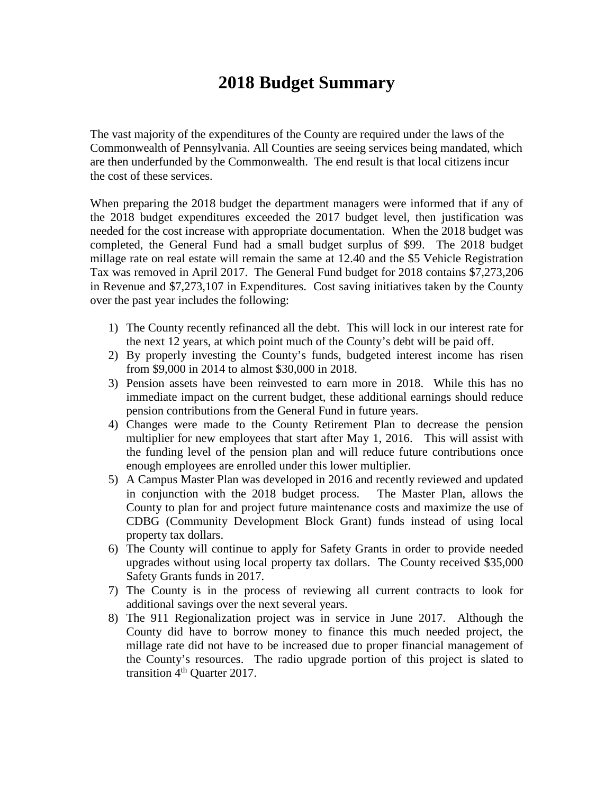# **2018 Budget Summary**

The vast majority of the expenditures of the County are required under the laws of the Commonwealth of Pennsylvania. All Counties are seeing services being mandated, which are then underfunded by the Commonwealth. The end result is that local citizens incur the cost of these services.

When preparing the 2018 budget the department managers were informed that if any of the 2018 budget expenditures exceeded the 2017 budget level, then justification was needed for the cost increase with appropriate documentation. When the 2018 budget was completed, the General Fund had a small budget surplus of \$99. The 2018 budget millage rate on real estate will remain the same at 12.40 and the \$5 Vehicle Registration Tax was removed in April 2017. The General Fund budget for 2018 contains \$7,273,206 in Revenue and \$7,273,107 in Expenditures. Cost saving initiatives taken by the County over the past year includes the following:

- 1) The County recently refinanced all the debt. This will lock in our interest rate for the next 12 years, at which point much of the County's debt will be paid off.
- 2) By properly investing the County's funds, budgeted interest income has risen from \$9,000 in 2014 to almost \$30,000 in 2018.
- 3) Pension assets have been reinvested to earn more in 2018. While this has no immediate impact on the current budget, these additional earnings should reduce pension contributions from the General Fund in future years.
- 4) Changes were made to the County Retirement Plan to decrease the pension multiplier for new employees that start after May 1, 2016. This will assist with the funding level of the pension plan and will reduce future contributions once enough employees are enrolled under this lower multiplier.
- 5) A Campus Master Plan was developed in 2016 and recently reviewed and updated in conjunction with the 2018 budget process. The Master Plan, allows the County to plan for and project future maintenance costs and maximize the use of CDBG (Community Development Block Grant) funds instead of using local property tax dollars.
- 6) The County will continue to apply for Safety Grants in order to provide needed upgrades without using local property tax dollars. The County received \$35,000 Safety Grants funds in 2017.
- 7) The County is in the process of reviewing all current contracts to look for additional savings over the next several years.
- 8) The 911 Regionalization project was in service in June 2017. Although the County did have to borrow money to finance this much needed project, the millage rate did not have to be increased due to proper financial management of the County's resources. The radio upgrade portion of this project is slated to transition 4<sup>th</sup> Quarter 2017.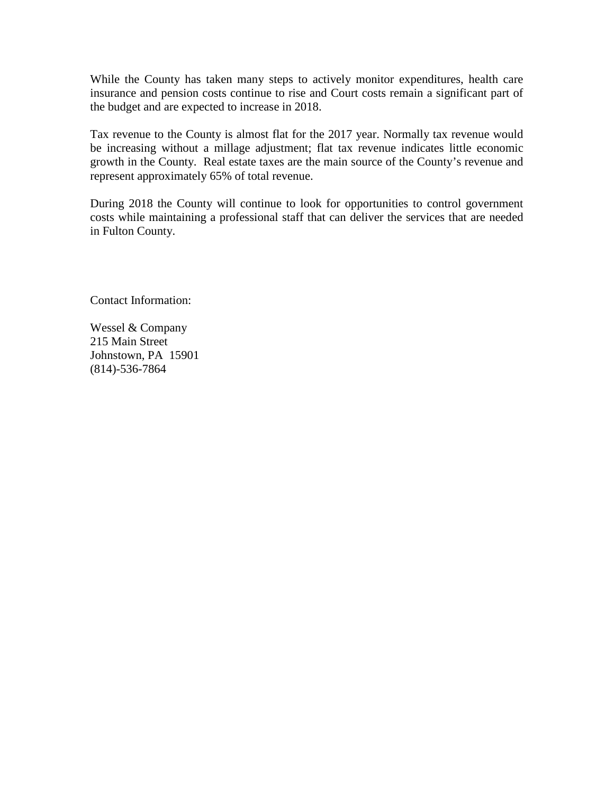While the County has taken many steps to actively monitor expenditures, health care insurance and pension costs continue to rise and Court costs remain a significant part of the budget and are expected to increase in 2018.

Tax revenue to the County is almost flat for the 2017 year. Normally tax revenue would be increasing without a millage adjustment; flat tax revenue indicates little economic growth in the County. Real estate taxes are the main source of the County's revenue and represent approximately 65% of total revenue.

During 2018 the County will continue to look for opportunities to control government costs while maintaining a professional staff that can deliver the services that are needed in Fulton County.

Contact Information:

Wessel & Company 215 Main Street Johnstown, PA 15901 (814)-536-7864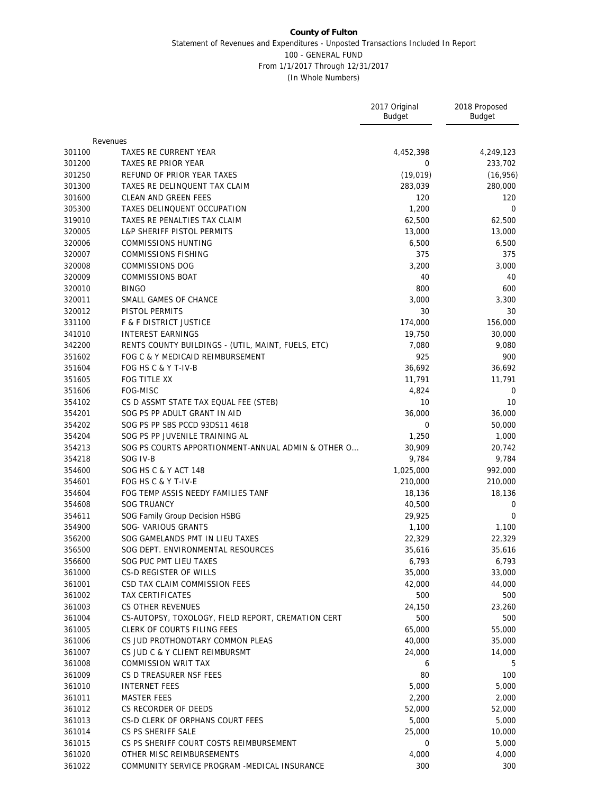|        |                                                    | 2017 Original<br><b>Budget</b> | 2018 Proposed<br><b>Budget</b> |
|--------|----------------------------------------------------|--------------------------------|--------------------------------|
|        | Revenues                                           |                                |                                |
| 301100 | TAXES RE CURRENT YEAR                              | 4,452,398                      | 4,249,123                      |
| 301200 | TAXES RE PRIOR YEAR                                | 0                              | 233,702                        |
| 301250 | REFUND OF PRIOR YEAR TAXES                         | (19,019)                       | (16, 956)                      |
| 301300 | TAXES RE DELINQUENT TAX CLAIM                      | 283,039                        | 280,000                        |
| 301600 | CLEAN AND GREEN FEES                               | 120                            | 120                            |
| 305300 | TAXES DELINQUENT OCCUPATION                        | 1,200                          | $\mathbf{0}$                   |
| 319010 | TAXES RE PENALTIES TAX CLAIM                       | 62,500                         | 62,500                         |
| 320005 | <b>L&amp;P SHERIFF PISTOL PERMITS</b>              | 13,000                         | 13,000                         |
| 320006 | <b>COMMISSIONS HUNTING</b>                         | 6,500                          | 6,500                          |
| 320007 | <b>COMMISSIONS FISHING</b>                         | 375                            | 375                            |
| 320008 | COMMISSIONS DOG                                    | 3,200                          | 3,000                          |
| 320009 | <b>COMMISSIONS BOAT</b>                            | 40                             | 40                             |
| 320010 | <b>BINGO</b>                                       | 800                            | 600                            |
| 320011 | SMALL GAMES OF CHANCE                              | 3,000                          | 3,300                          |
| 320012 | PISTOL PERMITS                                     | 30                             | 30                             |
| 331100 | F & F DISTRICT JUSTICE                             | 174,000                        | 156,000                        |
| 341010 | <b>INTEREST EARNINGS</b>                           | 19,750                         | 30,000                         |
| 342200 | RENTS COUNTY BUILDINGS - (UTIL, MAINT, FUELS, ETC) | 7,080                          | 9,080                          |
| 351602 | FOG C & Y MEDICAID REIMBURSEMENT                   | 925                            | 900                            |
| 351604 | FOG HS C & Y T-IV-B                                | 36,692                         | 36,692                         |
| 351605 | FOG TITLE XX                                       | 11,791                         | 11,791                         |
| 351606 | FOG-MISC                                           | 4,824                          | 0                              |
| 354102 | CS D ASSMT STATE TAX EQUAL FEE (STEB)              | 10                             | 10                             |
| 354201 | SOG PS PP ADULT GRANT IN AID                       | 36,000                         | 36,000                         |
| 354202 | SOG PS PP SBS PCCD 93DS11 4618                     | 0                              | 50,000                         |
| 354204 | SOG PS PP JUVENILE TRAINING AL                     | 1,250                          | 1,000                          |
| 354213 | SOG PS COURTS APPORTIONMENT-ANNUAL ADMIN & OTHER O | 30,909                         | 20,742                         |
| 354218 | SOG IV-B                                           | 9,784                          | 9,784                          |
| 354600 | SOG HS C & Y ACT 148                               | 1,025,000                      | 992,000                        |
| 354601 | FOG HS C & Y T-IV-E                                | 210,000                        | 210,000                        |
| 354604 | FOG TEMP ASSIS NEEDY FAMILIES TANF                 | 18,136                         | 18,136                         |
| 354608 | <b>SOG TRUANCY</b>                                 | 40,500                         | 0                              |
| 354611 | SOG Family Group Decision HSBG                     | 29,925                         | $\Omega$                       |
| 354900 | SOG- VARIOUS GRANTS                                | 1,100                          | 1,100                          |
| 356200 | SOG GAMELANDS PMT IN LIEU TAXES                    | 22,329                         | 22,329                         |
| 356500 | SOG DEPT. ENVIRONMENTAL RESOURCES                  | 35,616                         | 35,616                         |
| 356600 | SOG PUC PMT LIEU TAXES                             | 6,793                          | 6,793                          |
| 361000 | CS-D REGISTER OF WILLS                             | 35,000                         | 33,000                         |
| 361001 | CSD TAX CLAIM COMMISSION FEES                      | 42,000                         | 44,000                         |
| 361002 | TAX CERTIFICATES                                   | 500                            | 500                            |
| 361003 | CS OTHER REVENUES                                  | 24,150                         | 23,260                         |
| 361004 | CS-AUTOPSY, TOXOLOGY, FIELD REPORT, CREMATION CERT | 500                            | 500                            |
| 361005 | <b>CLERK OF COURTS FILING FEES</b>                 | 65,000                         | 55,000                         |
| 361006 | CS JUD PROTHONOTARY COMMON PLEAS                   | 40,000                         | 35,000                         |
| 361007 | CS JUD C & Y CLIENT REIMBURSMT                     | 24,000                         | 14,000                         |
| 361008 | COMMISSION WRIT TAX                                | 6                              | 5                              |
| 361009 | CS D TREASURER NSF FEES                            | 80                             | 100                            |
| 361010 | <b>INTERNET FEES</b>                               | 5,000                          | 5,000                          |
| 361011 | <b>MASTER FEES</b>                                 | 2,200                          | 2,000                          |
| 361012 | CS RECORDER OF DEEDS                               | 52,000                         | 52,000                         |
| 361013 | CS-D CLERK OF ORPHANS COURT FEES                   | 5,000                          | 5,000                          |
| 361014 | CS PS SHERIFF SALE                                 | 25,000                         | 10,000                         |
| 361015 | CS PS SHERIFF COURT COSTS REIMBURSEMENT            | 0                              | 5,000                          |
| 361020 | OTHER MISC REIMBURSEMENTS                          | 4,000                          | 4,000                          |
| 361022 | COMMUNITY SERVICE PROGRAM -MEDICAL INSURANCE       | 300                            | 300                            |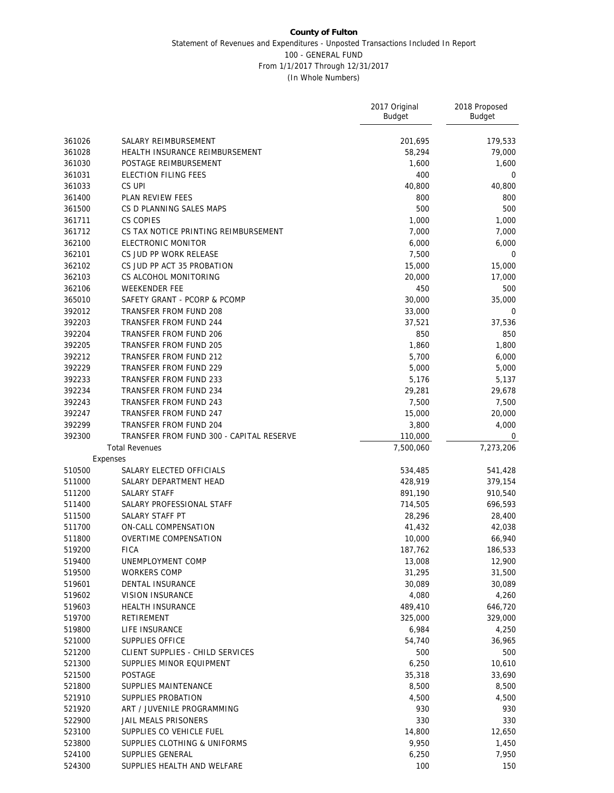|                  |                                          | 2017 Original<br><b>Budget</b> | 2018 Proposed<br>Budget |
|------------------|------------------------------------------|--------------------------------|-------------------------|
| 361026           | SALARY REIMBURSEMENT                     | 201,695                        | 179,533                 |
| 361028           | HEALTH INSURANCE REIMBURSEMENT           | 58,294                         | 79,000                  |
| 361030           | POSTAGE REIMBURSEMENT                    | 1,600                          | 1,600                   |
| 361031           | ELECTION FILING FEES                     | 400                            | $\mathbf 0$             |
| 361033           | CS UPI                                   | 40,800                         | 40,800                  |
| 361400           | PLAN REVIEW FEES                         | 800                            | 800                     |
| 361500           | CS D PLANNING SALES MAPS                 | 500                            | 500                     |
| 361711           | CS COPIES                                | 1,000                          | 1,000                   |
| 361712           | CS TAX NOTICE PRINTING REIMBURSEMENT     | 7,000                          | 7,000                   |
| 362100           | ELECTRONIC MONITOR                       | 6,000                          | 6,000                   |
| 362101           | CS JUD PP WORK RELEASE                   | 7,500                          | 0                       |
| 362102           | CS JUD PP ACT 35 PROBATION               | 15,000                         | 15,000                  |
| 362103           | CS ALCOHOL MONITORING                    | 20,000                         | 17,000                  |
| 362106           | <b>WEEKENDER FEE</b>                     | 450                            | 500                     |
| 365010           | SAFETY GRANT - PCORP & PCOMP             | 30,000                         | 35,000                  |
| 392012           | TRANSFER FROM FUND 208                   | 33,000                         | 0                       |
| 392203           | TRANSFER FROM FUND 244                   | 37,521                         | 37,536                  |
| 392204           | TRANSFER FROM FUND 206                   | 850                            | 850                     |
| 392205           | TRANSFER FROM FUND 205                   | 1,860                          | 1,800                   |
| 392212           | TRANSFER FROM FUND 212                   | 5,700                          | 6,000                   |
| 392229           | TRANSFER FROM FUND 229                   | 5,000                          | 5,000                   |
| 392233           | TRANSFER FROM FUND 233                   | 5,176                          | 5,137                   |
| 392234           | TRANSFER FROM FUND 234                   | 29,281                         | 29,678                  |
| 392243           | TRANSFER FROM FUND 243                   | 7,500                          | 7,500                   |
| 392247           | TRANSFER FROM FUND 247                   | 15,000                         | 20,000                  |
| 392299           | TRANSFER FROM FUND 204                   | 3,800                          | 4,000                   |
| 392300           | TRANSFER FROM FUND 300 - CAPITAL RESERVE | 110,000                        | 0                       |
|                  | <b>Total Revenues</b>                    | 7,500,060                      | 7,273,206               |
|                  | Expenses                                 |                                |                         |
| 510500           | SALARY ELECTED OFFICIALS                 | 534,485                        | 541,428                 |
| 511000           | SALARY DEPARTMENT HEAD                   | 428,919                        | 379,154                 |
| 511200           | <b>SALARY STAFF</b>                      | 891,190                        | 910,540                 |
| 511400           | SALARY PROFESSIONAL STAFF                | 714,505                        | 696,593                 |
| 511500           | SALARY STAFF PT                          | 28,296                         | 28,400                  |
| 511700           | ON-CALL COMPENSATION                     | 41,432                         | 42,038                  |
| 511800           | OVERTIME COMPENSATION                    | 10,000                         | 66,940                  |
| 519200           | <b>FICA</b>                              | 187,762                        | 186,533                 |
| 519400           | UNEMPLOYMENT COMP                        | 13,008                         | 12,900                  |
| 519500           | <b>WORKERS COMP</b>                      | 31,295                         | 31,500                  |
| 519601           | DENTAL INSURANCE<br>VISION INSURANCE     | 30,089                         | 30,089                  |
| 519602           |                                          | 4,080                          | 4,260                   |
| 519603<br>519700 | HEALTH INSURANCE                         | 489,410                        | 646,720<br>329,000      |
|                  | RETIREMENT<br>LIFE INSURANCE             | 325,000                        |                         |
| 519800           | SUPPLIES OFFICE                          | 6,984<br>54,740                | 4,250                   |
| 521000<br>521200 | CLIENT SUPPLIES - CHILD SERVICES         | 500                            | 36,965<br>500           |
| 521300           | SUPPLIES MINOR EQUIPMENT                 | 6,250                          | 10,610                  |
| 521500           | POSTAGE                                  | 35,318                         | 33,690                  |
|                  | SUPPLIES MAINTENANCE                     |                                |                         |
| 521800<br>521910 | SUPPLIES PROBATION                       | 8,500<br>4,500                 | 8,500<br>4,500          |
| 521920           | ART / JUVENILE PROGRAMMING               | 930                            | 930                     |
| 522900           | JAIL MEALS PRISONERS                     | 330                            | 330                     |
| 523100           | SUPPLIES CO VEHICLE FUEL                 | 14,800                         | 12,650                  |
| 523800           | SUPPLIES CLOTHING & UNIFORMS             | 9,950                          | 1,450                   |
| 524100           | SUPPLIES GENERAL                         | 6,250                          | 7,950                   |
| 524300           | SUPPLIES HEALTH AND WELFARE              | 100                            | 150                     |
|                  |                                          |                                |                         |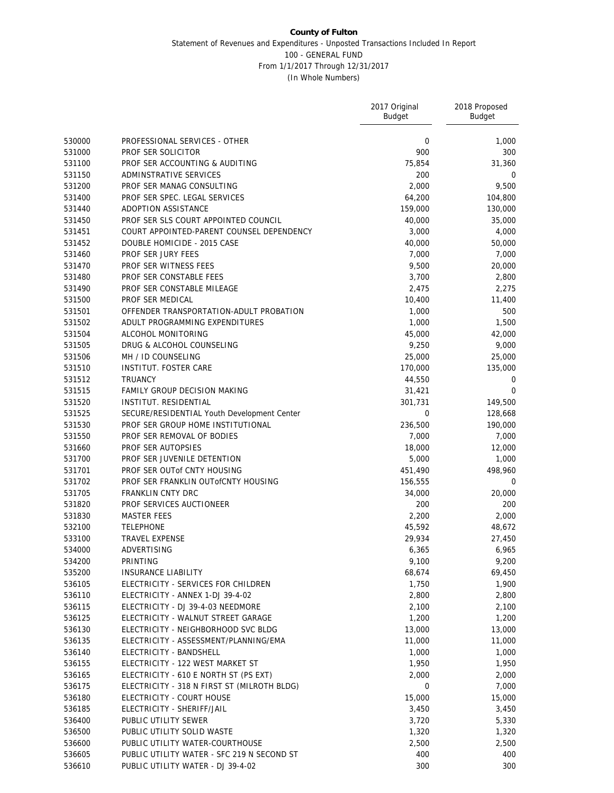|        |                                             | 2017 Original<br><b>Budget</b> | 2018 Proposed<br><b>Budget</b> |
|--------|---------------------------------------------|--------------------------------|--------------------------------|
| 530000 | PROFESSIONAL SERVICES - OTHER               | 0                              | 1,000                          |
| 531000 | PROF SER SOLICITOR                          | 900                            | 300                            |
| 531100 | PROF SER ACCOUNTING & AUDITING              | 75,854                         | 31,360                         |
| 531150 | ADMINSTRATIVE SERVICES                      | 200                            | 0                              |
| 531200 | PROF SER MANAG CONSULTING                   | 2,000                          | 9,500                          |
| 531400 | PROF SER SPEC. LEGAL SERVICES               | 64,200                         | 104,800                        |
| 531440 | ADOPTION ASSISTANCE                         | 159,000                        | 130,000                        |
| 531450 | PROF SER SLS COURT APPOINTED COUNCIL        | 40,000                         | 35,000                         |
| 531451 | COURT APPOINTED-PARENT COUNSEL DEPENDENCY   | 3,000                          | 4,000                          |
| 531452 | DOUBLE HOMICIDE - 2015 CASE                 | 40,000                         | 50,000                         |
| 531460 | PROF SER JURY FEES                          | 7,000                          | 7,000                          |
| 531470 | PROF SER WITNESS FEES                       | 9,500                          | 20,000                         |
| 531480 | PROF SER CONSTABLE FEES                     | 3,700                          | 2,800                          |
| 531490 | PROF SER CONSTABLE MILEAGE                  | 2,475                          | 2,275                          |
| 531500 | PROF SER MEDICAL                            | 10,400                         | 11,400                         |
| 531501 | OFFENDER TRANSPORTATION-ADULT PROBATION     | 1,000                          | 500                            |
| 531502 | ADULT PROGRAMMING EXPENDITURES              | 1,000                          | 1,500                          |
| 531504 | ALCOHOL MONITORING                          | 45,000                         | 42,000                         |
| 531505 | DRUG & ALCOHOL COUNSELING                   | 9,250                          | 9,000                          |
| 531506 | MH / ID COUNSELING                          | 25,000                         | 25,000                         |
| 531510 | <b>INSTITUT. FOSTER CARE</b>                | 170,000                        | 135,000                        |
| 531512 | <b>TRUANCY</b>                              | 44,550                         | $\mathbf 0$                    |
| 531515 | FAMILY GROUP DECISION MAKING                | 31,421                         | $\mathbf 0$                    |
| 531520 | INSTITUT. RESIDENTIAL                       | 301,731                        | 149,500                        |
| 531525 | SECURE/RESIDENTIAL Youth Development Center | 0                              | 128,668                        |
| 531530 | PROF SER GROUP HOME INSTITUTIONAL           | 236,500                        | 190,000                        |
| 531550 | PROF SER REMOVAL OF BODIES                  | 7,000                          | 7,000                          |
| 531660 | PROF SER AUTOPSIES                          | 18,000                         | 12,000                         |
| 531700 | PROF SER JUVENILE DETENTION                 | 5,000                          | 1,000                          |
| 531701 | PROF SER OUT of CNTY HOUSING                | 451,490                        | 498,960                        |
| 531702 | PROF SER FRANKLIN OUT OF CNTY HOUSING       | 156,555                        | 0                              |
| 531705 | <b>FRANKLIN CNTY DRC</b>                    | 34,000                         | 20,000                         |
| 531820 | PROF SERVICES AUCTIONEER                    | 200                            | 200                            |
| 531830 | <b>MASTER FEES</b>                          | 2,200                          | 2,000                          |
| 532100 | <b>TELEPHONE</b>                            | 45,592                         | 48,672                         |
| 533100 | TRAVEL EXPENSE                              | 29,934                         | 27,450                         |
| 534000 | ADVERTISING                                 | 6,365                          | 6,965                          |
| 534200 | PRINTING                                    | 9,100                          | 9,200                          |
| 535200 | <b>INSURANCE LIABILITY</b>                  | 68,674                         | 69,450                         |
| 536105 | ELECTRICITY - SERVICES FOR CHILDREN         | 1,750                          | 1,900                          |
| 536110 | ELECTRICITY - ANNEX 1-DJ 39-4-02            | 2,800                          | 2,800                          |
| 536115 | ELECTRICITY - DJ 39-4-03 NEEDMORE           | 2,100                          | 2,100                          |
| 536125 | ELECTRICITY - WALNUT STREET GARAGE          | 1,200                          | 1,200                          |
| 536130 | ELECTRICITY - NEIGHBORHOOD SVC BLDG         | 13,000                         | 13,000                         |
| 536135 | ELECTRICITY - ASSESSMENT/PLANNING/EMA       | 11,000                         | 11,000                         |
| 536140 | ELECTRICITY - BANDSHELL                     | 1,000                          | 1,000                          |
| 536155 | ELECTRICITY - 122 WEST MARKET ST            | 1,950                          | 1,950                          |
| 536165 | ELECTRICITY - 610 E NORTH ST (PS EXT)       | 2,000                          | 2,000                          |
| 536175 | ELECTRICITY - 318 N FIRST ST (MILROTH BLDG) | $\mathbf 0$                    | 7,000                          |
| 536180 | ELECTRICITY - COURT HOUSE                   | 15,000                         | 15,000                         |
| 536185 | ELECTRICITY - SHERIFF/JAIL                  | 3,450                          | 3,450                          |
| 536400 | PUBLIC UTILITY SEWER                        | 3,720                          | 5,330                          |
| 536500 | PUBLIC UTILITY SOLID WASTE                  | 1,320                          | 1,320                          |
| 536600 | PUBLIC UTILITY WATER-COURTHOUSE             | 2,500                          | 2,500                          |
| 536605 | PUBLIC UTILITY WATER - SFC 219 N SECOND ST  | 400                            | 400                            |
| 536610 | PUBLIC UTILITY WATER - DJ 39-4-02           | 300                            | 300                            |
|        |                                             |                                |                                |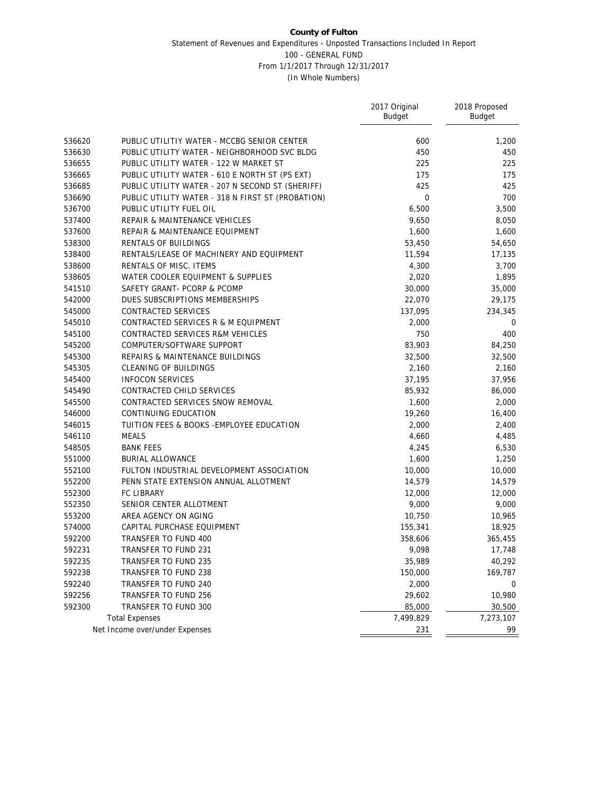|        |                                                   | 2017 Original<br><b>Budget</b> | 2018 Proposed<br>Budget |
|--------|---------------------------------------------------|--------------------------------|-------------------------|
| 536620 | PUBLIC UTILITIY WATER - MCCBG SENIOR CENTER       | 600                            | 1,200                   |
| 536630 | PUBLIC UTILITY WATER - NEIGHBORHOOD SVC BLDG      | 450                            | 450                     |
| 536655 | PUBLIC UTILITY WATER - 122 W MARKET ST            | 225                            | 225                     |
| 536665 | PUBLIC UTILITY WATER - 610 E NORTH ST (PS EXT)    | 175                            | 175                     |
| 536685 | PUBLIC UTILITY WATER - 207 N SECOND ST (SHERIFF)  | 425                            | 425                     |
| 536690 | PUBLIC UTILITY WATER - 318 N FIRST ST (PROBATION) | $\boldsymbol{0}$               | 700                     |
| 536700 | PUBLIC UTILITY FUEL OIL                           | 6,500                          | 3,500                   |
| 537400 | REPAIR & MAINTENANCE VEHICLES                     | 9,650                          | 8,050                   |
| 537600 | REPAIR & MAINTENANCE EQUIPMENT                    | 1,600                          | 1,600                   |
| 538300 | RENTALS OF BUILDINGS                              | 53,450                         | 54,650                  |
| 538400 | RENTALS/LEASE OF MACHINERY AND EQUIPMENT          | 11,594                         | 17,135                  |
| 538600 | RENTALS OF MISC. ITEMS                            | 4,300                          | 3,700                   |
| 538605 | WATER COOLER EQUIPMENT & SUPPLIES                 | 2,020                          | 1,895                   |
| 541510 | SAFETY GRANT- PCORP & PCOMP                       | 30,000                         | 35,000                  |
| 542000 | DUES SUBSCRIPTIONS MEMBERSHIPS                    | 22,070                         | 29,175                  |
| 545000 | CONTRACTED SERVICES                               | 137,095                        | 234,345                 |
| 545010 | CONTRACTED SERVICES R & M EQUIPMENT               | 2,000                          | 0                       |
| 545100 | CONTRACTED SERVICES R&M VEHICLES                  | 750                            | 400                     |
| 545200 | COMPUTER/SOFTWARE SUPPORT                         | 83,903                         | 84,250                  |
| 545300 | REPAIRS & MAINTENANCE BUILDINGS                   | 32,500                         | 32,500                  |
| 545305 | CLEANING OF BUILDINGS                             | 2,160                          | 2,160                   |
| 545400 | <b>INFOCON SERVICES</b>                           | 37,195                         | 37,956                  |
| 545490 | CONTRACTED CHILD SERVICES                         | 85,932                         | 86,000                  |
| 545500 | CONTRACTED SERVICES SNOW REMOVAL                  | 1,600                          | 2,000                   |
| 546000 | CONTINUING EDUCATION                              | 19,260                         | 16,400                  |
| 546015 | TUITION FEES & BOOKS - EMPLOYEE EDUCATION         | 2,000                          | 2,400                   |
| 546110 | <b>MEALS</b>                                      | 4,660                          | 4,485                   |
| 548505 | <b>BANK FEES</b>                                  | 4,245                          | 6,530                   |
| 551000 | <b>BURIAL ALLOWANCE</b>                           | 1,600                          | 1,250                   |
| 552100 | FULTON INDUSTRIAL DEVELOPMENT ASSOCIATION         | 10,000                         | 10,000                  |
| 552200 | PENN STATE EXTENSION ANNUAL ALLOTMENT             | 14,579                         | 14,579                  |
| 552300 | FC LIBRARY                                        | 12,000                         | 12,000                  |
| 552350 | SENIOR CENTER ALLOTMENT                           | 9,000                          | 9,000                   |
| 553200 | AREA AGENCY ON AGING                              | 10,750                         | 10,965                  |
| 574000 | CAPITAL PURCHASE EQUIPMENT                        | 155,341                        | 18,925                  |
| 592200 | TRANSFER TO FUND 400                              | 358,606                        | 365,455                 |
| 592231 | TRANSFER TO FUND 231                              | 9,098                          | 17,748                  |
| 592235 | TRANSFER TO FUND 235                              | 35,989                         | 40,292                  |
| 592238 | TRANSFER TO FUND 238                              | 150,000                        | 169,787                 |
| 592240 | TRANSFER TO FUND 240                              | 2,000                          | 0                       |
| 592256 | TRANSFER TO FUND 256                              | 29,602                         | 10,980                  |
| 592300 | TRANSFER TO FUND 300                              | 85,000                         | 30,500                  |
|        | <b>Total Expenses</b>                             | 7,499,829                      | 7,273,107               |
|        | Net Income over/under Expenses                    | 231                            | 99                      |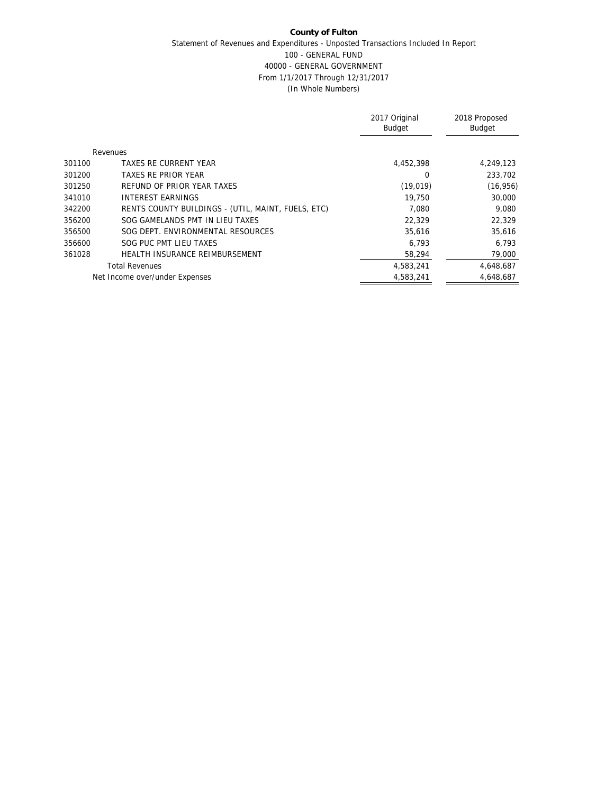|        |                                                    | 2017 Original<br><b>Budget</b> | 2018 Proposed<br><b>Budget</b> |
|--------|----------------------------------------------------|--------------------------------|--------------------------------|
|        | Revenues                                           |                                |                                |
| 301100 | TAXES RE CURRENT YEAR                              | 4.452.398                      | 4,249,123                      |
| 301200 | TAXES RE PRIOR YEAR                                | 0                              | 233,702                        |
| 301250 | REFUND OF PRIOR YEAR TAXES                         | (19, 019)                      | (16, 956)                      |
| 341010 | INTEREST FARNINGS                                  | 19,750                         | 30,000                         |
| 342200 | RENTS COUNTY BUILDINGS - (UTIL, MAINT, FUELS, ETC) | 7.080                          | 9.080                          |
| 356200 | SOG GAMELANDS PMT IN LIEU TAXES                    | 22,329                         | 22,329                         |
| 356500 | SOG DEPT. ENVIRONMENTAL RESOURCES                  | 35,616                         | 35,616                         |
| 356600 | SOG PUC PMT LIEU TAXES                             | 6,793                          | 6,793                          |
| 361028 | HEALTH INSURANCE REIMBURSEMENT                     | 58,294                         | 79,000                         |
|        | <b>Total Revenues</b>                              | 4,583,241                      | 4,648,687                      |
|        | Net Income over/under Expenses                     | 4.583.241                      | 4.648.687                      |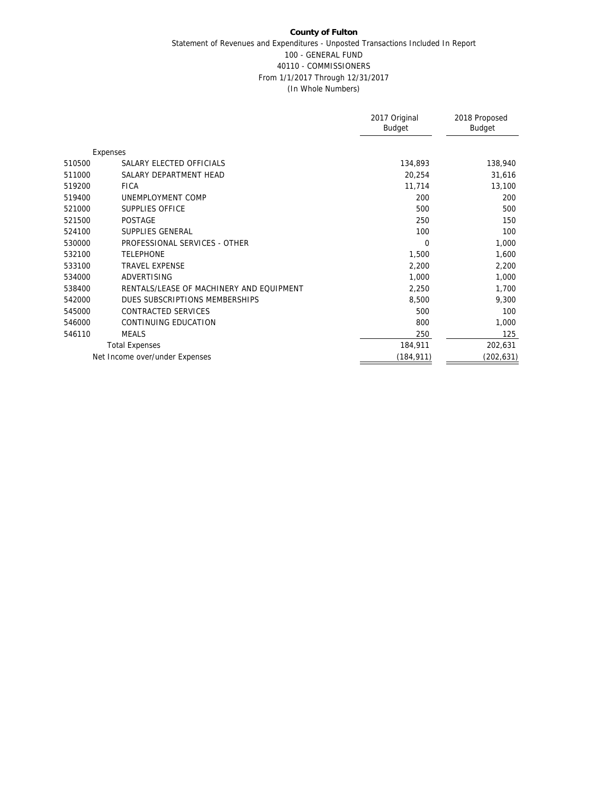|        |                                          | 2017 Original<br><b>Budget</b> | 2018 Proposed<br>Budget |
|--------|------------------------------------------|--------------------------------|-------------------------|
|        | Expenses                                 |                                |                         |
| 510500 | SALARY ELECTED OFFICIALS                 | 134,893                        | 138,940                 |
| 511000 | SALARY DEPARTMENT HEAD                   | 20,254                         | 31,616                  |
| 519200 | <b>FICA</b>                              | 11,714                         | 13,100                  |
| 519400 | UNEMPLOYMENT COMP                        | 200                            | 200                     |
| 521000 | SUPPLIES OFFICE                          | 500                            | 500                     |
| 521500 | <b>POSTAGE</b>                           | 250                            | 150                     |
| 524100 | SUPPLIES GENERAL                         | 100                            | 100                     |
| 530000 | PROFESSIONAL SERVICES - OTHER            | $\Omega$                       | 1,000                   |
| 532100 | <b>TELEPHONE</b>                         | 1,500                          | 1,600                   |
| 533100 | <b>TRAVEL EXPENSE</b>                    | 2,200                          | 2,200                   |
| 534000 | ADVERTISING                              | 1,000                          | 1,000                   |
| 538400 | RENTALS/LEASE OF MACHINERY AND EQUIPMENT | 2,250                          | 1,700                   |
| 542000 | DUES SUBSCRIPTIONS MEMBERSHIPS           | 8,500                          | 9,300                   |
| 545000 | CONTRACTED SERVICES                      | 500                            | 100                     |
| 546000 | CONTINUING EDUCATION                     | 800                            | 1,000                   |
| 546110 | <b>MEALS</b>                             | 250                            | 125                     |
|        | <b>Total Expenses</b>                    | 184,911                        | 202,631                 |
|        | Net Income over/under Expenses           | (184,911)                      | (202,631)               |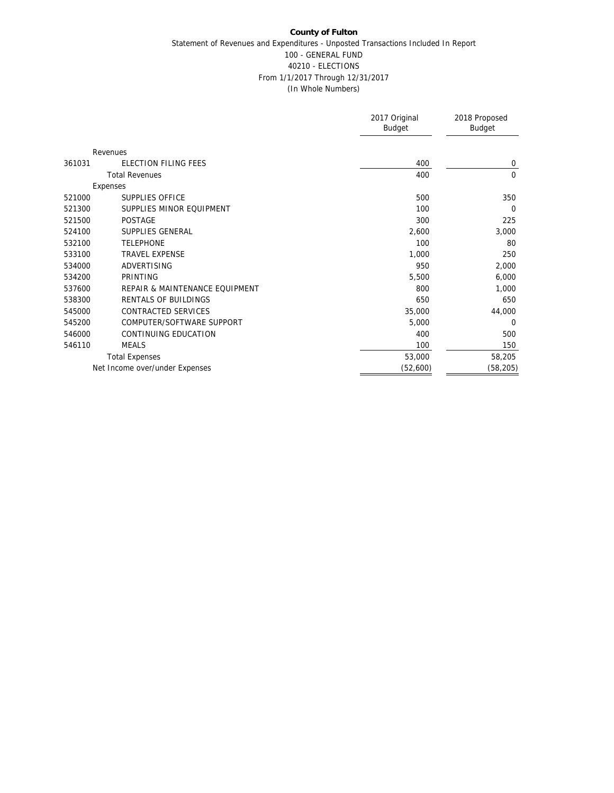|                                          | 2017 Original<br><b>Budget</b> | 2018 Proposed<br>Budget |
|------------------------------------------|--------------------------------|-------------------------|
| Revenues                                 |                                |                         |
| ELECTION FILING FEES<br>361031           | 400                            | 0                       |
| <b>Total Revenues</b>                    | 400                            | $\mathbf 0$             |
| Expenses                                 |                                |                         |
| SUPPLIES OFFICE<br>521000                | 500                            | 350                     |
| SUPPLIES MINOR EQUIPMENT<br>521300       | 100                            | $\Omega$                |
| 521500<br><b>POSTAGE</b>                 | 300                            | 225                     |
| 524100<br>SUPPLIES GENERAL               | 2,600                          | 3,000                   |
| <b>TELEPHONE</b><br>532100               | 100                            | 80                      |
| <b>TRAVEL EXPENSE</b><br>533100          | 1,000                          | 250                     |
| ADVERTISING<br>534000                    | 950                            | 2,000                   |
| 534200<br>PRINTING                       | 5,500                          | 6,000                   |
| 537600<br>REPAIR & MAINTENANCE EQUIPMENT | 800                            | 1,000                   |
| RENTALS OF BUILDINGS<br>538300           | 650                            | 650                     |
| 545000<br>CONTRACTED SERVICES            | 35,000                         | 44,000                  |
| COMPUTER/SOFTWARE SUPPORT<br>545200      | 5,000                          | 0                       |
| CONTINUING EDUCATION<br>546000           | 400                            | 500                     |
| 546110<br><b>MEALS</b>                   | 100                            | 150                     |
| <b>Total Expenses</b>                    | 53,000                         | 58,205                  |
| Net Income over/under Expenses           | (52,600)                       | (58, 205)               |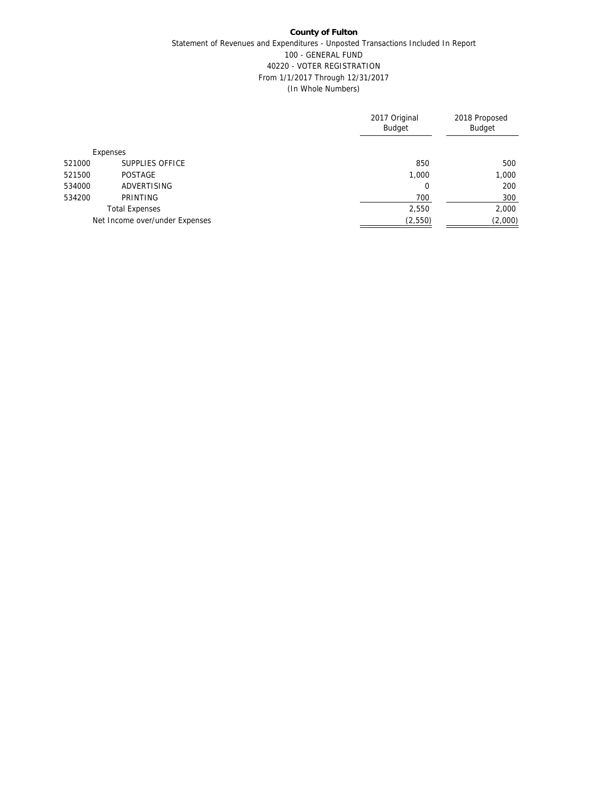|        |                                | 2017 Original<br><b>Budget</b> | 2018 Proposed<br><b>Budget</b> |
|--------|--------------------------------|--------------------------------|--------------------------------|
|        | Expenses                       |                                |                                |
| 521000 | SUPPLIES OFFICE                | 850                            | 500                            |
| 521500 | POSTAGE                        | 1,000                          | 1,000                          |
| 534000 | ADVERTISING                    | 0                              | 200                            |
| 534200 | PRINTING                       | 700                            | 300                            |
|        | <b>Total Expenses</b>          | 2,550                          | 2,000                          |
|        | Net Income over/under Expenses | (2, 550)                       | (2,000)                        |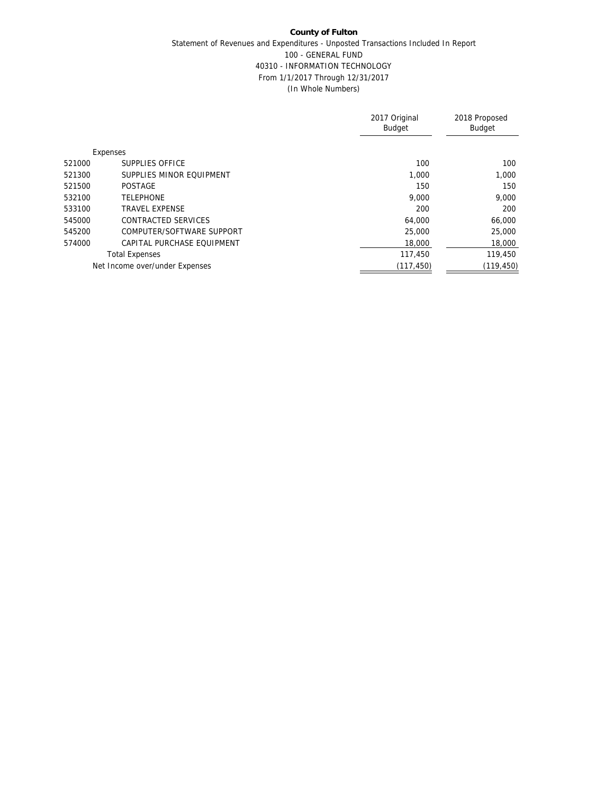|                                      | 2017 Original<br><b>Budget</b> | 2018 Proposed<br><b>Budget</b> |
|--------------------------------------|--------------------------------|--------------------------------|
| Expenses                             |                                |                                |
| SUPPLIES OFFICE<br>521000            | 100                            | 100                            |
| SUPPLIES MINOR FOUIPMENT<br>521300   | 1.000                          | 1,000                          |
| 521500<br><b>POSTAGE</b>             | 150                            | 150                            |
| <b>TELEPHONE</b><br>532100           | 9.000                          | 9.000                          |
| 533100<br><b>TRAVEL EXPENSE</b>      | 200                            | 200                            |
| CONTRACTED SERVICES<br>545000        | 64,000                         | 66,000                         |
| 545200<br>COMPUTER/SOFTWARE SUPPORT  | 25,000                         | 25,000                         |
| 574000<br>CAPITAL PURCHASE EQUIPMENT | 18,000                         | 18,000                         |
| <b>Total Expenses</b>                | 117,450                        | 119,450                        |
| Net Income over/under Expenses       | (117, 450)                     | (119, 450)                     |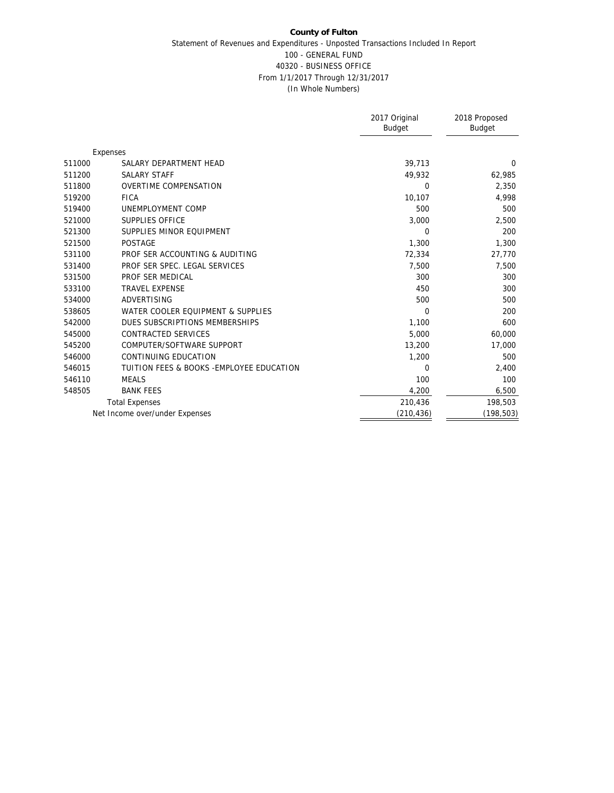|        |                                           | 2017 Original<br><b>Budget</b> | 2018 Proposed<br>Budget |
|--------|-------------------------------------------|--------------------------------|-------------------------|
|        | Expenses                                  |                                |                         |
| 511000 | SALARY DEPARTMENT HEAD                    | 39,713                         | 0                       |
| 511200 | <b>SALARY STAFF</b>                       | 49,932                         | 62,985                  |
| 511800 | <b>OVERTIME COMPENSATION</b>              | $\Omega$                       | 2,350                   |
| 519200 | <b>FICA</b>                               | 10,107                         | 4,998                   |
| 519400 | UNEMPLOYMENT COMP                         | 500                            | 500                     |
| 521000 | <b>SUPPLIES OFFICE</b>                    | 3,000                          | 2,500                   |
| 521300 | SUPPLIES MINOR EQUIPMENT                  | $\Omega$                       | 200                     |
| 521500 | <b>POSTAGE</b>                            | 1,300                          | 1,300                   |
| 531100 | PROF SER ACCOUNTING & AUDITING            | 72,334                         | 27,770                  |
| 531400 | PROF SER SPEC. LEGAL SERVICES             | 7,500                          | 7,500                   |
| 531500 | PROF SER MEDICAL                          | 300                            | 300                     |
| 533100 | <b>TRAVEL EXPENSE</b>                     | 450                            | 300                     |
| 534000 | <b>ADVERTISING</b>                        | 500                            | 500                     |
| 538605 | WATER COOLER EQUIPMENT & SUPPLIES         | $\Omega$                       | 200                     |
| 542000 | DUES SUBSCRIPTIONS MEMBERSHIPS            | 1,100                          | 600                     |
| 545000 | CONTRACTED SERVICES                       | 5,000                          | 60,000                  |
| 545200 | COMPUTER/SOFTWARE SUPPORT                 | 13,200                         | 17,000                  |
| 546000 | CONTINUING EDUCATION                      | 1,200                          | 500                     |
| 546015 | TUITION FEES & BOOKS - EMPLOYEE EDUCATION | $\Omega$                       | 2,400                   |
| 546110 | <b>MEALS</b>                              | 100                            | 100                     |
| 548505 | <b>BANK FEES</b>                          | 4,200                          | 6,500                   |
|        | <b>Total Expenses</b>                     | 210,436                        | 198,503                 |
|        | Net Income over/under Expenses            | (210, 436)                     | (198, 503)              |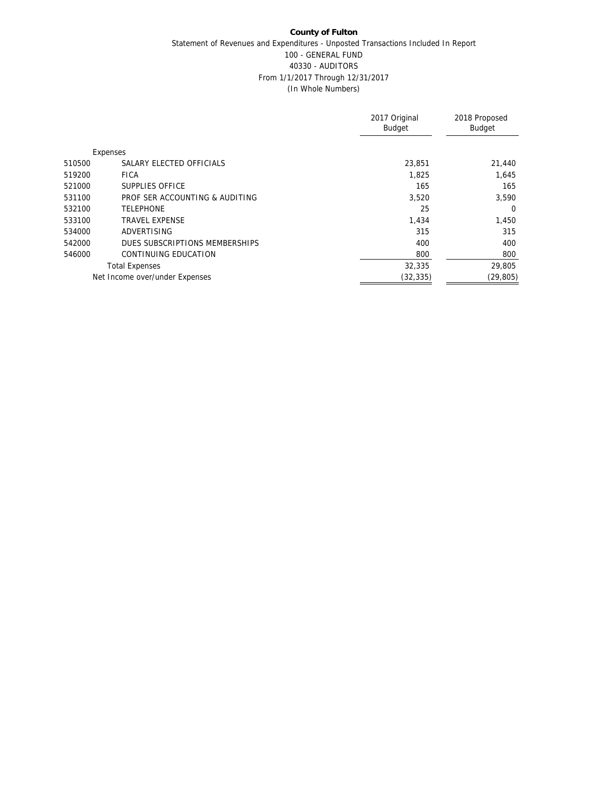|        |                                | 2017 Original<br><b>Budget</b> | 2018 Proposed<br>Budget |
|--------|--------------------------------|--------------------------------|-------------------------|
|        | Expenses                       |                                |                         |
| 510500 | SALARY ELECTED OFFICIALS       | 23.851                         | 21,440                  |
| 519200 | <b>FICA</b>                    | 1,825                          | 1,645                   |
| 521000 | SUPPLIES OFFICE                | 165                            | 165                     |
| 531100 | PROF SER ACCOUNTING & AUDITING | 3,520                          | 3,590                   |
| 532100 | <b>TELEPHONE</b>               | 25                             | $\Omega$                |
| 533100 | <b>TRAVEL EXPENSE</b>          | 1,434                          | 1,450                   |
| 534000 | ADVERTISING                    | 315                            | 315                     |
| 542000 | DUES SUBSCRIPTIONS MEMBERSHIPS | 400                            | 400                     |
| 546000 | CONTINUING EDUCATION           | 800                            | 800                     |
|        | <b>Total Expenses</b>          | 32,335                         | 29,805                  |
|        | Net Income over/under Expenses | (32, 335)                      | (29, 805)               |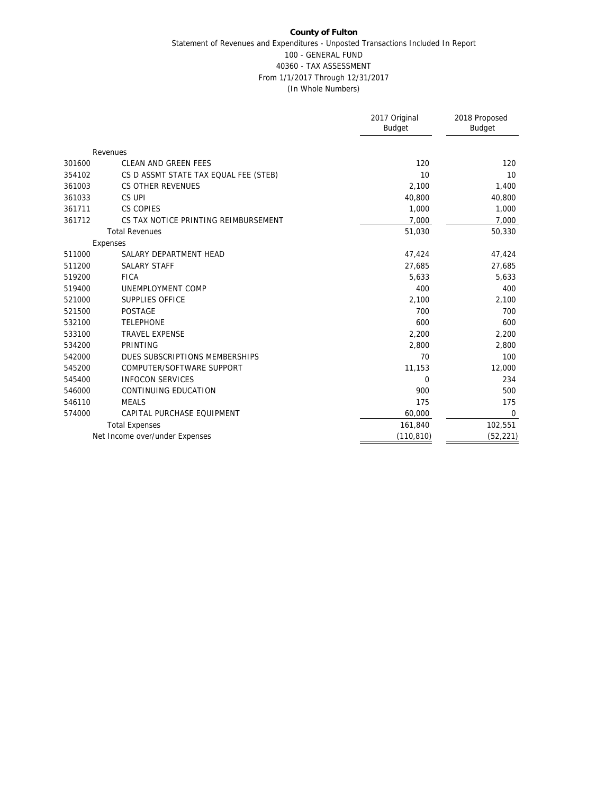|        |                                       | 2017 Original<br>Budget | 2018 Proposed<br><b>Budget</b> |
|--------|---------------------------------------|-------------------------|--------------------------------|
|        | Revenues                              |                         |                                |
| 301600 | CLEAN AND GREEN FEES                  | 120                     | 120                            |
| 354102 | CS D ASSMT STATE TAX EQUAL FEE (STEB) | 10                      | 10                             |
| 361003 | <b>CS OTHER REVENUES</b>              | 2,100                   | 1,400                          |
| 361033 | CS UPI                                | 40,800                  | 40,800                         |
| 361711 | CS COPIES                             | 1,000                   | 1,000                          |
| 361712 | CS TAX NOTICE PRINTING REIMBURSEMENT  | 7,000                   | 7,000                          |
|        | <b>Total Revenues</b>                 | 51,030                  | 50,330                         |
|        | Expenses                              |                         |                                |
| 511000 | SALARY DEPARTMENT HEAD                | 47,424                  | 47,424                         |
| 511200 | <b>SALARY STAFF</b>                   | 27,685                  | 27,685                         |
| 519200 | <b>FICA</b>                           | 5,633                   | 5,633                          |
| 519400 | UNEMPLOYMENT COMP                     | 400                     | 400                            |
| 521000 | SUPPLIES OFFICE                       | 2,100                   | 2,100                          |
| 521500 | <b>POSTAGE</b>                        | 700                     | 700                            |
| 532100 | <b>TELEPHONE</b>                      | 600                     | 600                            |
| 533100 | <b>TRAVEL EXPENSE</b>                 | 2,200                   | 2,200                          |
| 534200 | PRINTING                              | 2,800                   | 2,800                          |
| 542000 | DUES SUBSCRIPTIONS MEMBERSHIPS        | 70                      | 100                            |
| 545200 | COMPUTER/SOFTWARE SUPPORT             | 11,153                  | 12,000                         |
| 545400 | <b>INFOCON SERVICES</b>               | $\mathbf{0}$            | 234                            |
| 546000 | CONTINUING EDUCATION                  | 900                     | 500                            |
| 546110 | <b>MEALS</b>                          | 175                     | 175                            |
| 574000 | CAPITAL PURCHASE EQUIPMENT            | 60,000                  | $\mathbf 0$                    |
|        | <b>Total Expenses</b>                 | 161,840                 | 102,551                        |
|        | Net Income over/under Expenses        | (110, 810)              | (52, 221)                      |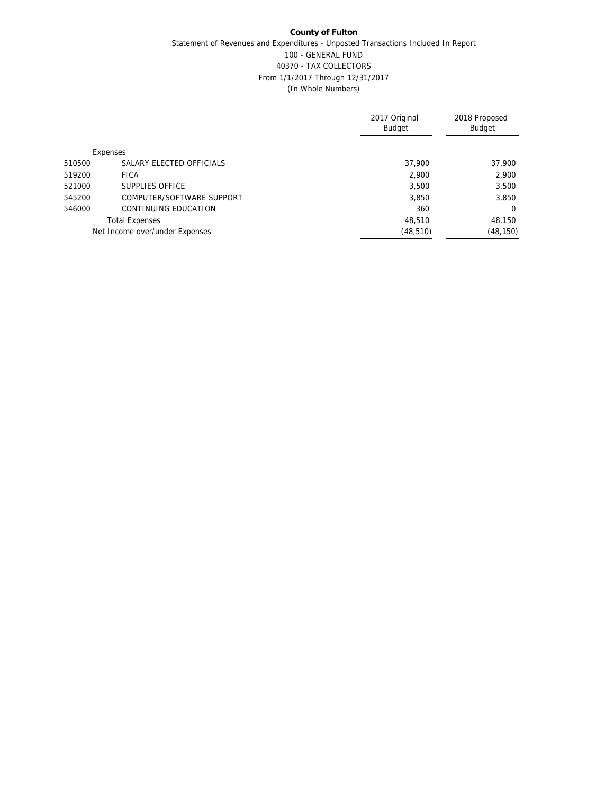|        |                                | 2017 Original<br><b>Budget</b> | 2018 Proposed<br><b>Budget</b> |
|--------|--------------------------------|--------------------------------|--------------------------------|
|        | Expenses                       |                                |                                |
| 510500 | SALARY ELECTED OFFICIALS       | 37,900                         | 37,900                         |
| 519200 | <b>FICA</b>                    | 2,900                          | 2,900                          |
| 521000 | SUPPLIES OFFICE                | 3,500                          | 3,500                          |
| 545200 | COMPUTER/SOFTWARE SUPPORT      | 3,850                          | 3,850                          |
| 546000 | CONTINUING EDUCATION           | 360                            | 0                              |
|        | <b>Total Expenses</b>          | 48,510                         | 48,150                         |
|        | Net Income over/under Expenses | (48, 510)                      | (48, 150)                      |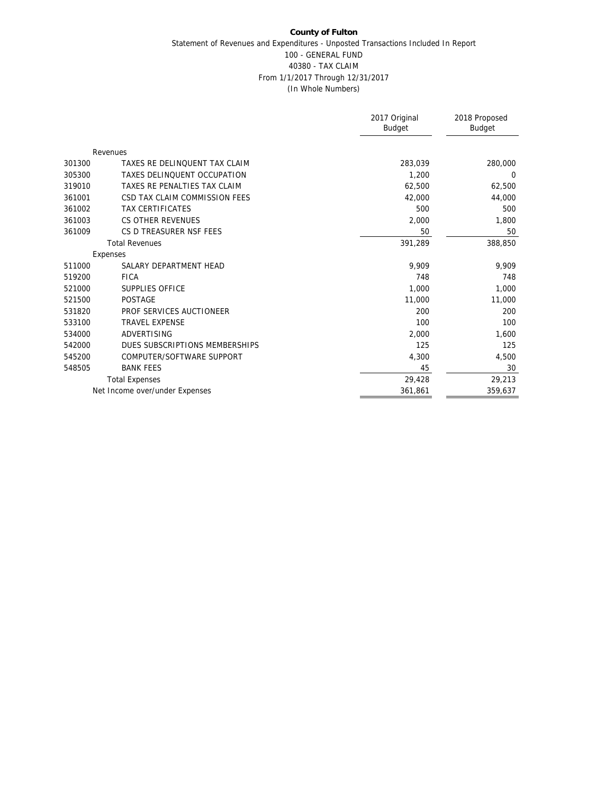|        |                                | 2017 Original<br><b>Budget</b> | 2018 Proposed<br>Budget |
|--------|--------------------------------|--------------------------------|-------------------------|
|        | Revenues                       |                                |                         |
| 301300 | TAXES RE DELINQUENT TAX CLAIM  | 283,039                        | 280,000                 |
| 305300 | TAXES DELINQUENT OCCUPATION    | 1,200                          | 0                       |
| 319010 | TAXES RE PENALTIES TAX CLAIM   | 62,500                         | 62,500                  |
| 361001 | CSD TAX CLAIM COMMISSION FEES  | 42,000                         | 44,000                  |
| 361002 | <b>TAX CERTIFICATES</b>        | 500                            | 500                     |
| 361003 | CS OTHER REVENUES              | 2,000                          | 1,800                   |
| 361009 | CS D TREASURER NSF FEES        | 50                             | 50                      |
|        | <b>Total Revenues</b>          | 391,289                        | 388,850                 |
|        | Expenses                       |                                |                         |
| 511000 | SALARY DEPARTMENT HEAD         | 9.909                          | 9.909                   |
| 519200 | <b>FICA</b>                    | 748                            | 748                     |
| 521000 | SUPPLIES OFFICE                | 1,000                          | 1,000                   |
| 521500 | <b>POSTAGE</b>                 | 11,000                         | 11,000                  |
| 531820 | PROF SERVICES AUCTIONEER       | 200                            | 200                     |
| 533100 | <b>TRAVEL EXPENSE</b>          | 100                            | 100                     |
| 534000 | ADVERTISING                    | 2,000                          | 1,600                   |
| 542000 | DUES SUBSCRIPTIONS MEMBERSHIPS | 125                            | 125                     |
| 545200 | COMPUTER/SOFTWARE SUPPORT      | 4,300                          | 4,500                   |
| 548505 | <b>BANK FEES</b>               | 45                             | 30                      |
|        | <b>Total Expenses</b>          | 29,428                         | 29,213                  |
|        | Net Income over/under Expenses | 361,861                        | 359,637                 |
|        |                                |                                |                         |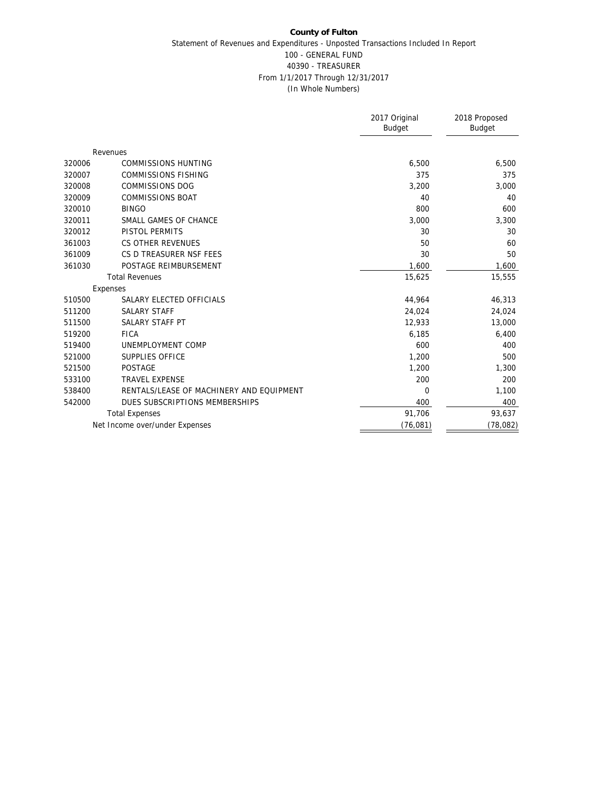|        |                                          | 2017 Original<br><b>Budget</b> | 2018 Proposed<br>Budget |
|--------|------------------------------------------|--------------------------------|-------------------------|
|        | Revenues                                 |                                |                         |
| 320006 | <b>COMMISSIONS HUNTING</b>               | 6,500                          | 6,500                   |
| 320007 | <b>COMMISSIONS FISHING</b>               | 375                            | 375                     |
| 320008 | <b>COMMISSIONS DOG</b>                   | 3,200                          | 3,000                   |
| 320009 | <b>COMMISSIONS BOAT</b>                  | 40                             | 40                      |
| 320010 | <b>BINGO</b>                             | 800                            | 600                     |
| 320011 | SMALL GAMES OF CHANCE                    | 3,000                          | 3,300                   |
| 320012 | PISTOL PERMITS                           | 30                             | 30                      |
| 361003 | CS OTHER REVENUES                        | 50                             | 60                      |
| 361009 | CS D TREASURER NSF FEES                  | 30                             | 50                      |
| 361030 | POSTAGE REIMBURSEMENT                    | 1,600                          | 1,600                   |
|        | <b>Total Revenues</b>                    | 15,625                         | 15,555                  |
|        | Expenses                                 |                                |                         |
| 510500 | SALARY ELECTED OFFICIALS                 | 44,964                         | 46,313                  |
| 511200 | <b>SALARY STAFF</b>                      | 24,024                         | 24,024                  |
| 511500 | SALARY STAFF PT                          | 12,933                         | 13,000                  |
| 519200 | <b>FICA</b>                              | 6,185                          | 6,400                   |
| 519400 | UNEMPLOYMENT COMP                        | 600                            | 400                     |
| 521000 | <b>SUPPLIES OFFICE</b>                   | 1,200                          | 500                     |
| 521500 | POSTAGE                                  | 1,200                          | 1,300                   |
| 533100 | <b>TRAVEL EXPENSE</b>                    | 200                            | 200                     |
| 538400 | RENTALS/LEASE OF MACHINERY AND EQUIPMENT | $\Omega$                       | 1,100                   |
| 542000 | DUES SUBSCRIPTIONS MEMBERSHIPS           | 400                            | 400                     |
|        | <b>Total Expenses</b>                    | 91,706                         | 93,637                  |
|        | Net Income over/under Expenses           | (76, 081)                      | (78, 082)               |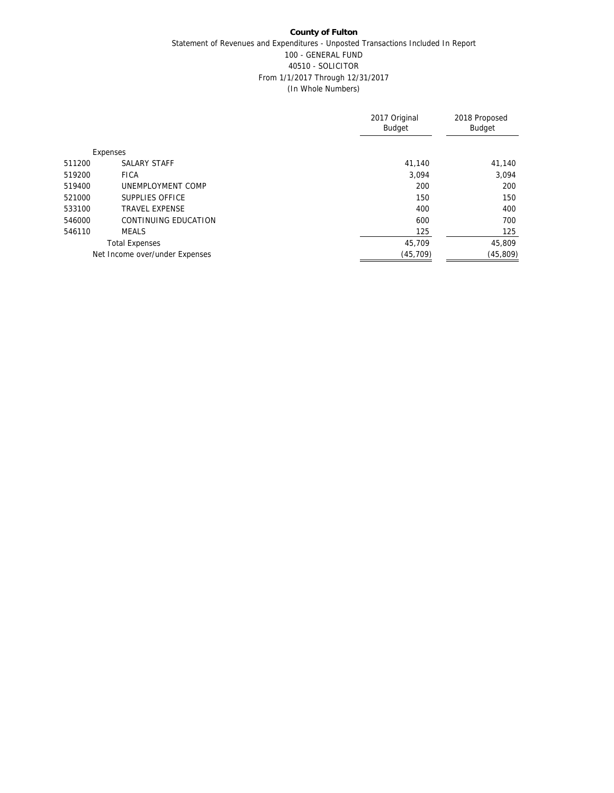|        |                                | 2017 Original<br><b>Budget</b> | 2018 Proposed<br>Budget |
|--------|--------------------------------|--------------------------------|-------------------------|
|        | Expenses                       |                                |                         |
| 511200 | <b>SALARY STAFF</b>            | 41,140                         | 41,140                  |
| 519200 | <b>FICA</b>                    | 3.094                          | 3,094                   |
| 519400 | UNEMPLOYMENT COMP              | 200                            | 200                     |
| 521000 | SUPPLIES OFFICE                | 150                            | 150                     |
| 533100 | <b>TRAVEL EXPENSE</b>          | 400                            | 400                     |
| 546000 | CONTINUING EDUCATION           | 600                            | 700                     |
| 546110 | <b>MEALS</b>                   | 125                            | 125                     |
|        | <b>Total Expenses</b>          | 45,709                         | 45,809                  |
|        | Net Income over/under Expenses | (45, 709)                      | (45, 809)               |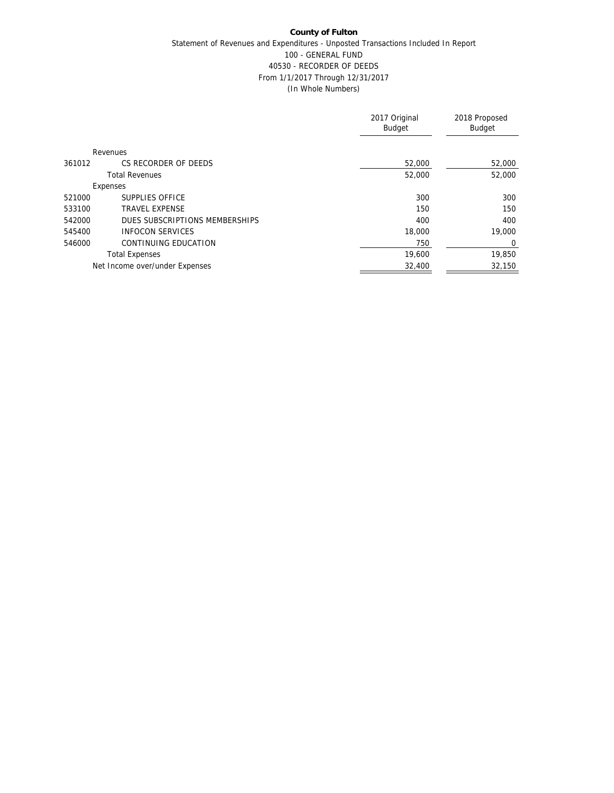|        |                                | 2017 Original<br><b>Budget</b> | 2018 Proposed<br>Budget |
|--------|--------------------------------|--------------------------------|-------------------------|
|        |                                |                                |                         |
|        | Revenues                       |                                |                         |
| 361012 | CS RECORDER OF DEEDS           | 52,000                         | 52,000                  |
|        | <b>Total Revenues</b>          | 52,000                         | 52,000                  |
|        | Expenses                       |                                |                         |
| 521000 | SUPPLIES OFFICE                | 300                            | 300                     |
| 533100 | <b>TRAVEL EXPENSE</b>          | 150                            | 150                     |
| 542000 | DUES SUBSCRIPTIONS MEMBERSHIPS | 400                            | 400                     |
| 545400 | <b>INFOCON SERVICES</b>        | 18,000                         | 19,000                  |
| 546000 | CONTINUING EDUCATION           | 750                            | $\Omega$                |
|        | <b>Total Expenses</b>          | 19,600                         | 19,850                  |
|        | Net Income over/under Expenses | 32,400                         | 32,150                  |
|        |                                |                                |                         |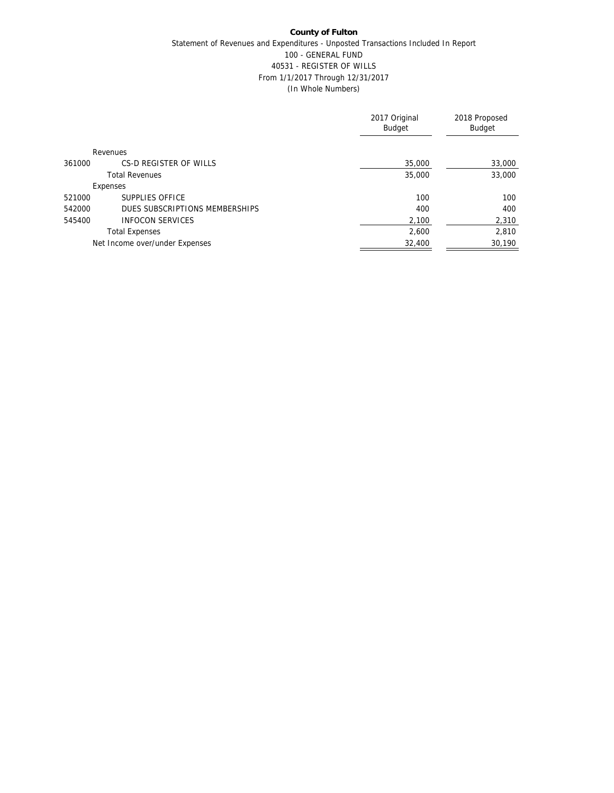|        |                                | 2017 Original<br><b>Budget</b> | 2018 Proposed<br>Budget |
|--------|--------------------------------|--------------------------------|-------------------------|
|        | Revenues                       |                                |                         |
| 361000 | CS-D REGISTER OF WILLS         | 35,000                         | 33,000                  |
|        | <b>Total Revenues</b>          | 35,000                         | 33,000                  |
|        | Expenses                       |                                |                         |
| 521000 | SUPPLIES OFFICE                | 100                            | 100                     |
| 542000 | DUES SUBSCRIPTIONS MEMBERSHIPS | 400                            | 400                     |
| 545400 | <b>INFOCON SERVICES</b>        | 2,100                          | 2,310                   |
|        | <b>Total Expenses</b>          | 2.600                          | 2,810                   |
|        | Net Income over/under Expenses | 32,400                         | 30,190                  |
|        |                                |                                |                         |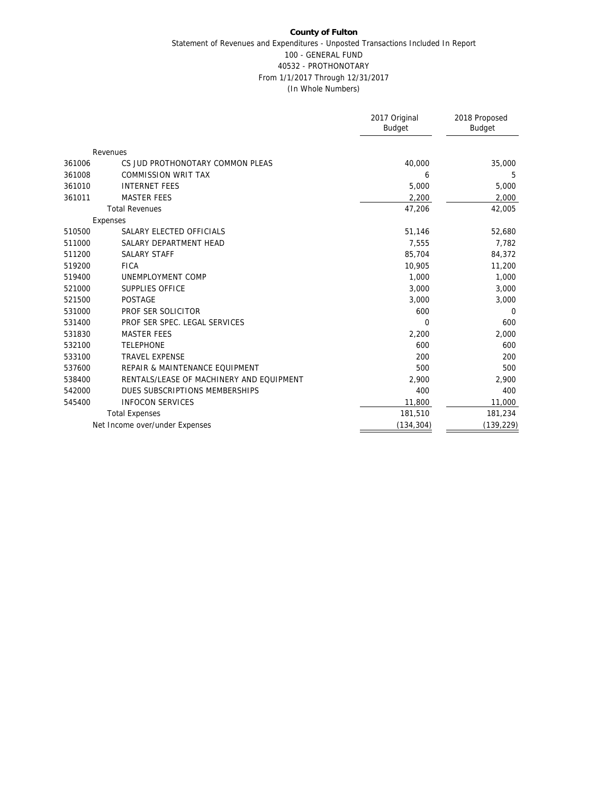|        |                                          | 2017 Original<br>Budget | 2018 Proposed<br>Budget |
|--------|------------------------------------------|-------------------------|-------------------------|
|        | Revenues                                 |                         |                         |
| 361006 | CS JUD PROTHONOTARY COMMON PLEAS         | 40,000                  | 35,000                  |
| 361008 | <b>COMMISSION WRIT TAX</b>               | 6                       | 5                       |
| 361010 | <b>INTERNET FEES</b>                     | 5,000                   | 5,000                   |
| 361011 | <b>MASTER FEES</b>                       | 2,200                   | 2,000                   |
|        | <b>Total Revenues</b>                    | 47,206                  | 42,005                  |
|        | Expenses                                 |                         |                         |
| 510500 | SALARY ELECTED OFFICIALS                 | 51,146                  | 52,680                  |
| 511000 | SALARY DEPARTMENT HEAD                   | 7,555                   | 7,782                   |
| 511200 | <b>SALARY STAFF</b>                      | 85,704                  | 84,372                  |
| 519200 | <b>FICA</b>                              | 10,905                  | 11,200                  |
| 519400 | UNEMPLOYMENT COMP                        | 1,000                   | 1,000                   |
| 521000 | SUPPLIES OFFICE                          | 3,000                   | 3,000                   |
| 521500 | <b>POSTAGE</b>                           | 3,000                   | 3,000                   |
| 531000 | PROF SER SOLICITOR                       | 600                     | $\Omega$                |
| 531400 | PROF SER SPEC. LEGAL SERVICES            | $\Omega$                | 600                     |
| 531830 | <b>MASTER FEES</b>                       | 2,200                   | 2,000                   |
| 532100 | <b>TELEPHONE</b>                         | 600                     | 600                     |
| 533100 | <b>TRAVEL EXPENSE</b>                    | 200                     | 200                     |
| 537600 | REPAIR & MAINTENANCE EQUIPMENT           | 500                     | 500                     |
| 538400 | RENTALS/LEASE OF MACHINERY AND EQUIPMENT | 2,900                   | 2,900                   |
| 542000 | DUES SUBSCRIPTIONS MEMBERSHIPS           | 400                     | 400                     |
| 545400 | <b>INFOCON SERVICES</b>                  | 11,800                  | 11,000                  |
|        | <b>Total Expenses</b>                    | 181,510                 | 181,234                 |
|        | Net Income over/under Expenses           | (134, 304)              | (139, 229)              |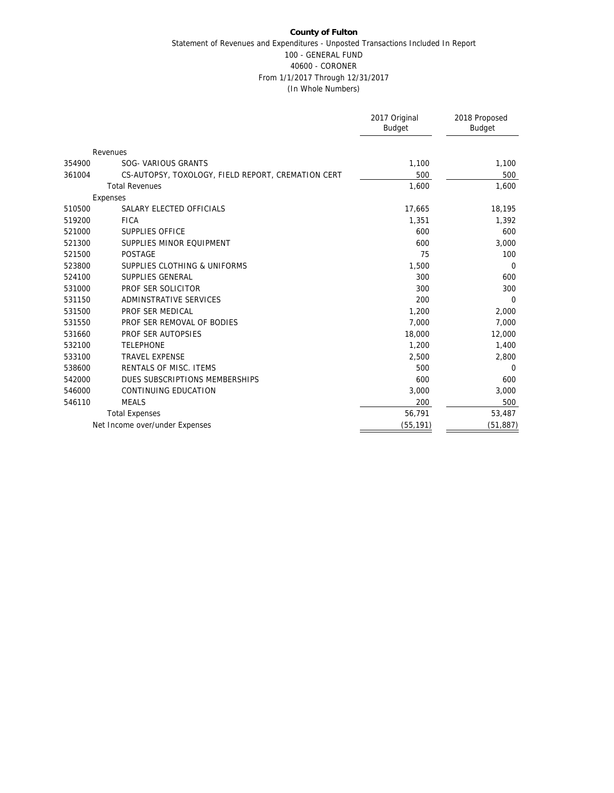|        |                                                    | 2017 Original<br><b>Budget</b> | 2018 Proposed<br><b>Budget</b> |
|--------|----------------------------------------------------|--------------------------------|--------------------------------|
|        | Revenues                                           |                                |                                |
| 354900 | SOG- VARIOUS GRANTS                                | 1,100                          | 1,100                          |
| 361004 | CS-AUTOPSY, TOXOLOGY, FIELD REPORT, CREMATION CERT | 500                            | 500                            |
|        | <b>Total Revenues</b>                              | 1,600                          | 1,600                          |
|        | Expenses                                           |                                |                                |
| 510500 | SALARY ELECTED OFFICIALS                           | 17,665                         | 18,195                         |
| 519200 | <b>FICA</b>                                        | 1,351                          | 1,392                          |
| 521000 | SUPPLIES OFFICE                                    | 600                            | 600                            |
| 521300 | SUPPLIES MINOR EQUIPMENT                           | 600                            | 3,000                          |
| 521500 | <b>POSTAGE</b>                                     | 75                             | 100                            |
| 523800 | SUPPLIES CLOTHING & UNIFORMS                       | 1,500                          | 0                              |
| 524100 | SUPPLIES GENERAL                                   | 300                            | 600                            |
| 531000 | PROF SER SOLICITOR                                 | 300                            | 300                            |
| 531150 | ADMINSTRATIVE SERVICES                             | 200                            | $\Omega$                       |
| 531500 | PROF SER MEDICAL                                   | 1,200                          | 2,000                          |
| 531550 | PROF SER REMOVAL OF BODIES                         | 7,000                          | 7,000                          |
| 531660 | PROF SER AUTOPSIES                                 | 18,000                         | 12,000                         |
| 532100 | <b>TELEPHONE</b>                                   | 1,200                          | 1,400                          |
| 533100 | <b>TRAVEL EXPENSE</b>                              | 2,500                          | 2,800                          |
| 538600 | RENTALS OF MISC. ITEMS                             | 500                            | $\mathbf 0$                    |
| 542000 | DUES SUBSCRIPTIONS MEMBERSHIPS                     | 600                            | 600                            |
| 546000 | CONTINUING EDUCATION                               | 3,000                          | 3,000                          |
| 546110 | <b>MEALS</b>                                       | 200                            | 500                            |
|        | <b>Total Expenses</b>                              | 56,791                         | 53,487                         |
|        | Net Income over/under Expenses                     | (55, 191)                      | (51, 887)                      |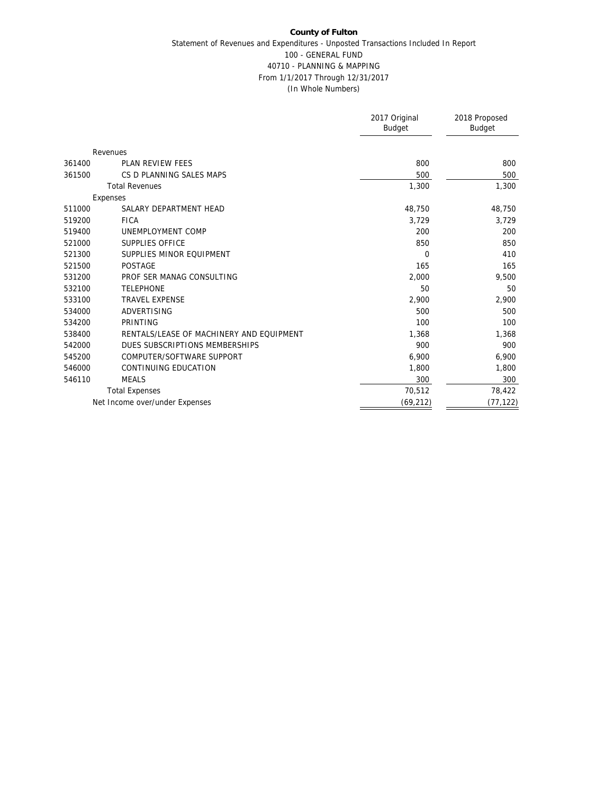|        |                                          | 2017 Original<br><b>Budget</b> | 2018 Proposed<br><b>Budget</b> |
|--------|------------------------------------------|--------------------------------|--------------------------------|
|        | Revenues                                 |                                |                                |
| 361400 | <b>PLAN REVIEW FEES</b>                  | 800                            | 800                            |
| 361500 | CS D PLANNING SALES MAPS                 | 500                            | 500                            |
|        | <b>Total Revenues</b>                    | 1,300                          | 1,300                          |
|        | Expenses                                 |                                |                                |
| 511000 | SALARY DEPARTMENT HEAD                   | 48,750                         | 48,750                         |
| 519200 | <b>FICA</b>                              | 3,729                          | 3,729                          |
| 519400 | UNEMPLOYMENT COMP                        | 200                            | 200                            |
| 521000 | SUPPLIES OFFICE                          | 850                            | 850                            |
| 521300 | SUPPLIES MINOR EQUIPMENT                 | 0                              | 410                            |
| 521500 | <b>POSTAGE</b>                           | 165                            | 165                            |
| 531200 | PROF SER MANAG CONSULTING                | 2,000                          | 9,500                          |
| 532100 | <b>TELEPHONE</b>                         | 50                             | 50                             |
| 533100 | <b>TRAVEL EXPENSE</b>                    | 2,900                          | 2,900                          |
| 534000 | <b>ADVERTISING</b>                       | 500                            | 500                            |
| 534200 | PRINTING                                 | 100                            | 100                            |
| 538400 | RENTALS/LEASE OF MACHINERY AND EQUIPMENT | 1,368                          | 1,368                          |
| 542000 | DUES SUBSCRIPTIONS MEMBERSHIPS           | 900                            | 900                            |
| 545200 | COMPUTER/SOFTWARE SUPPORT                | 6,900                          | 6,900                          |
| 546000 | CONTINUING EDUCATION                     | 1,800                          | 1,800                          |
| 546110 | <b>MEALS</b>                             | 300                            | 300                            |
|        | <b>Total Expenses</b>                    | 70,512                         | 78,422                         |
|        | Net Income over/under Expenses           | (69, 212)                      | (77, 122)                      |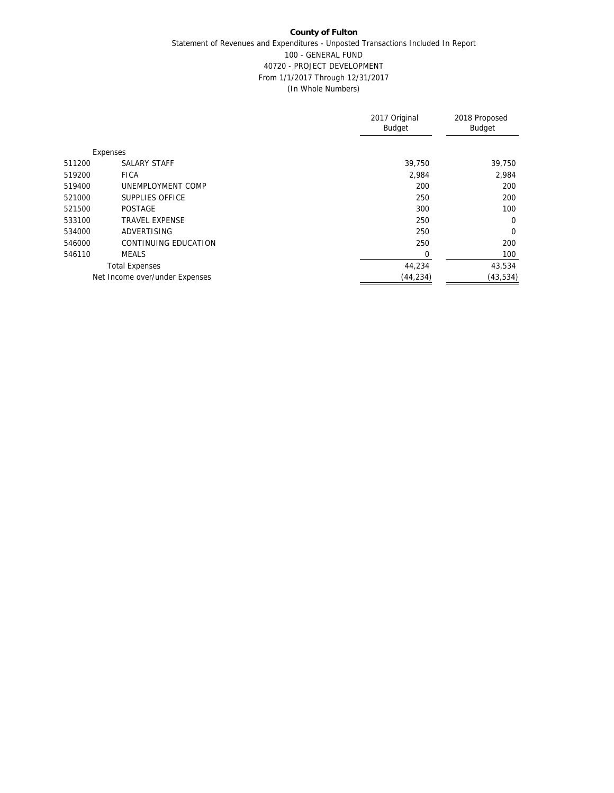|        |                                | 2017 Original<br><b>Budget</b> | 2018 Proposed<br>Budget |
|--------|--------------------------------|--------------------------------|-------------------------|
|        | Expenses                       |                                |                         |
| 511200 | <b>SALARY STAFF</b>            | 39,750                         | 39,750                  |
| 519200 | <b>FICA</b>                    | 2,984                          | 2,984                   |
| 519400 | UNEMPLOYMENT COMP              | 200                            | 200                     |
| 521000 | SUPPLIES OFFICE                | 250                            | 200                     |
| 521500 | <b>POSTAGE</b>                 | 300                            | 100                     |
| 533100 | <b>TRAVEL EXPENSE</b>          | 250                            | $\overline{0}$          |
| 534000 | ADVERTISING                    | 250                            | $\overline{0}$          |
| 546000 | CONTINUING EDUCATION           | 250                            | 200                     |
| 546110 | <b>MEALS</b>                   | 0                              | 100                     |
|        | <b>Total Expenses</b>          | 44,234                         | 43,534                  |
|        | Net Income over/under Expenses | (44, 234)                      | (43, 534)               |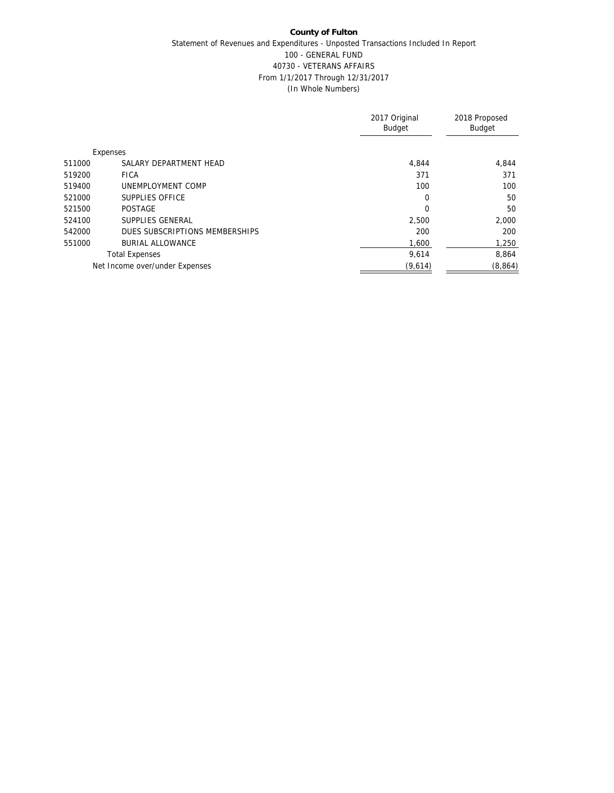|                                          | 2017 Original<br><b>Budget</b> | 2018 Proposed<br><b>Budget</b> |
|------------------------------------------|--------------------------------|--------------------------------|
| Expenses                                 |                                |                                |
| SALARY DEPARTMENT HEAD<br>511000         | 4.844                          | 4,844                          |
| 519200<br><b>FICA</b>                    | 371                            | 371                            |
| UNEMPLOYMENT COMP<br>519400              | 100                            | 100                            |
| SUPPLIES OFFICE<br>521000                | $\Omega$                       | 50                             |
| 521500<br><b>POSTAGE</b>                 | 0                              | 50                             |
| SUPPLIES GENERAL<br>524100               | 2,500                          | 2,000                          |
| DUES SUBSCRIPTIONS MEMBERSHIPS<br>542000 | 200                            | 200                            |
| 551000<br><b>BURIAL ALLOWANCE</b>        | 1,600                          | 1,250                          |
| <b>Total Expenses</b>                    | 9.614                          | 8.864                          |
| Net Income over/under Expenses           | (9,614)                        | (8,864)                        |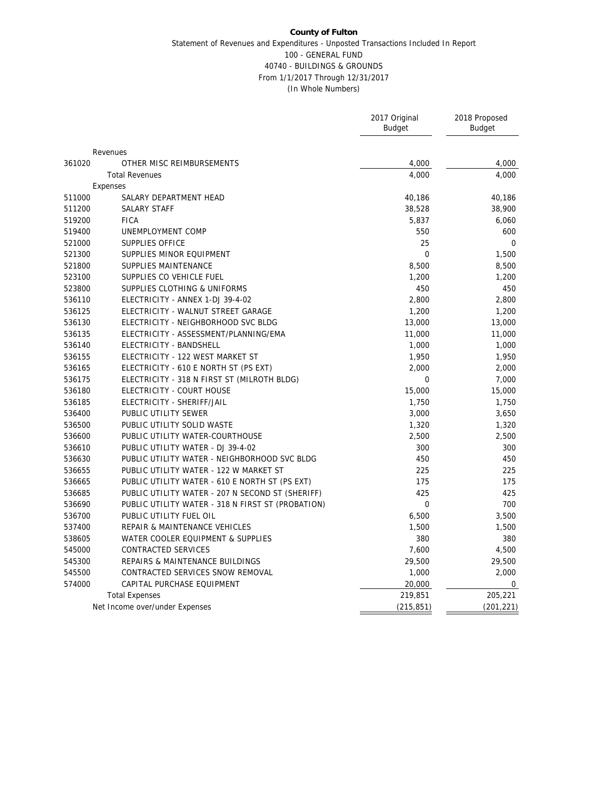|        |                                                   | 2017 Original<br><b>Budget</b> | 2018 Proposed<br><b>Budget</b> |
|--------|---------------------------------------------------|--------------------------------|--------------------------------|
|        |                                                   |                                |                                |
|        | Revenues                                          |                                |                                |
| 361020 | OTHER MISC REIMBURSEMENTS                         | 4,000                          | 4,000                          |
|        | <b>Total Revenues</b>                             | 4,000                          | 4,000                          |
|        | Expenses                                          |                                |                                |
| 511000 | SALARY DEPARTMENT HEAD                            | 40,186                         | 40,186                         |
| 511200 | SALARY STAFF                                      | 38,528                         | 38,900                         |
| 519200 | <b>FICA</b>                                       | 5,837                          | 6,060                          |
| 519400 | UNEMPLOYMENT COMP                                 | 550                            | 600                            |
| 521000 | SUPPLIES OFFICE                                   | 25                             | $\mathbf 0$                    |
| 521300 | SUPPLIES MINOR EQUIPMENT                          | $\mathbf 0$                    | 1,500                          |
| 521800 | SUPPLIES MAINTENANCE                              | 8,500                          | 8,500                          |
| 523100 | SUPPLIES CO VEHICLE FUEL                          | 1,200                          | 1,200                          |
| 523800 | SUPPLIES CLOTHING & UNIFORMS                      | 450                            | 450                            |
| 536110 | ELECTRICITY - ANNEX 1-DJ 39-4-02                  | 2,800                          | 2,800                          |
| 536125 | ELECTRICITY - WALNUT STREET GARAGE                | 1,200                          | 1,200                          |
| 536130 | ELECTRICITY - NEIGHBORHOOD SVC BLDG               | 13,000                         | 13,000                         |
| 536135 | ELECTRICITY - ASSESSMENT/PLANNING/EMA             | 11,000                         | 11,000                         |
| 536140 | ELECTRICITY - BANDSHELL                           | 1,000                          | 1,000                          |
| 536155 | ELECTRICITY - 122 WEST MARKET ST                  | 1,950                          | 1,950                          |
| 536165 | ELECTRICITY - 610 E NORTH ST (PS EXT)             | 2,000                          | 2,000                          |
| 536175 | ELECTRICITY - 318 N FIRST ST (MILROTH BLDG)       | $\mathbf{0}$                   | 7,000                          |
| 536180 | ELECTRICITY - COURT HOUSE                         | 15,000                         | 15,000                         |
| 536185 | ELECTRICITY - SHERIFF/JAIL                        | 1,750                          | 1,750                          |
| 536400 | PUBLIC UTILITY SEWER                              | 3,000                          | 3,650                          |
| 536500 | PUBLIC UTILITY SOLID WASTE                        | 1,320                          | 1,320                          |
| 536600 | PUBLIC UTILITY WATER-COURTHOUSE                   | 2,500                          | 2,500                          |
| 536610 | PUBLIC UTILITY WATER - DJ 39-4-02                 | 300                            | 300                            |
| 536630 | PUBLIC UTILITY WATER - NEIGHBORHOOD SVC BLDG      | 450                            | 450                            |
| 536655 | PUBLIC UTILITY WATER - 122 W MARKET ST            | 225                            | 225                            |
| 536665 | PUBLIC UTILITY WATER - 610 E NORTH ST (PS EXT)    | 175                            | 175                            |
| 536685 | PUBLIC UTILITY WATER - 207 N SECOND ST (SHERIFF)  | 425                            | 425                            |
| 536690 | PUBLIC UTILITY WATER - 318 N FIRST ST (PROBATION) | $\mathbf{0}$                   | 700                            |
| 536700 | PUBLIC UTILITY FUEL OIL                           | 6,500                          | 3,500                          |
| 537400 | REPAIR & MAINTENANCE VEHICLES                     | 1,500                          | 1,500                          |
| 538605 | WATER COOLER EQUIPMENT & SUPPLIES                 | 380                            | 380                            |
| 545000 | CONTRACTED SERVICES                               | 7,600                          | 4,500                          |
| 545300 | REPAIRS & MAINTENANCE BUILDINGS                   | 29,500                         | 29,500                         |
| 545500 | CONTRACTED SERVICES SNOW REMOVAL                  | 1,000                          | 2,000                          |
| 574000 | CAPITAL PURCHASE EQUIPMENT                        | 20,000                         | 0                              |
|        | <b>Total Expenses</b>                             | 219,851                        | 205,221                        |
|        | Net Income over/under Expenses                    | (215, 851)                     | (201, 221)                     |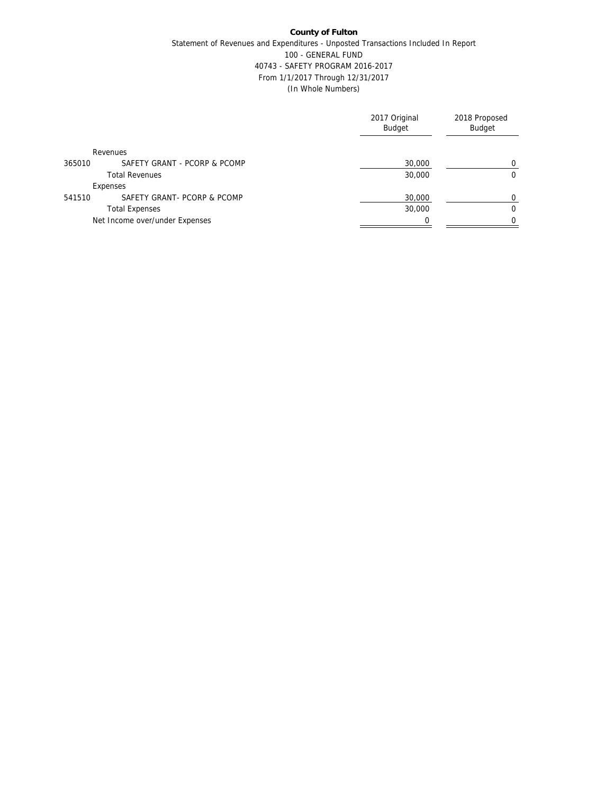|                                        | 2017 Original<br><b>Budget</b> | 2018 Proposed<br>Budget |
|----------------------------------------|--------------------------------|-------------------------|
| Revenues                               |                                |                         |
| SAFETY GRANT - PCORP & PCOMP<br>365010 | 30,000                         | $\Omega$                |
| <b>Total Revenues</b>                  | 30,000                         | $\mathbf 0$             |
| Expenses                               |                                |                         |
| SAFETY GRANT- PCORP & PCOMP<br>541510  | 30,000                         | 0                       |
| <b>Total Expenses</b>                  | 30,000                         | $\mathbf 0$             |
| Net Income over/under Expenses         |                                | $\Omega$                |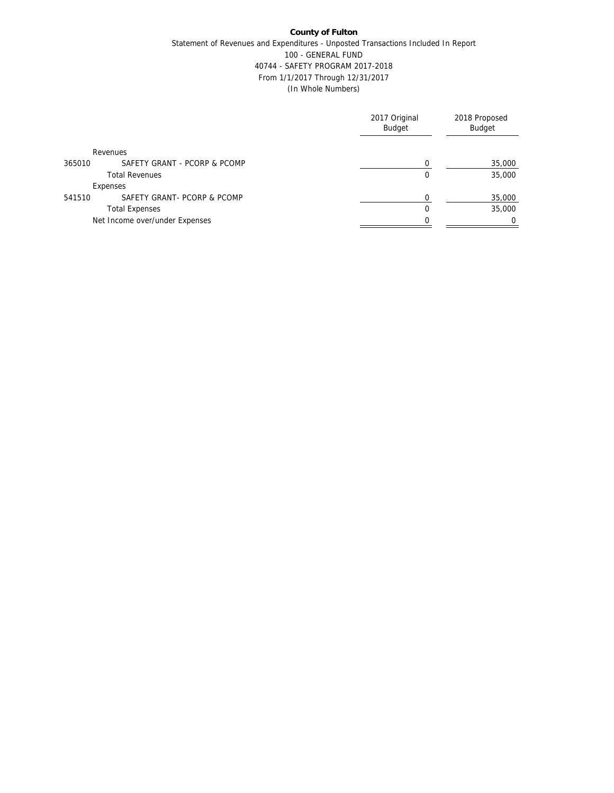|                                        | 2017 Original<br><b>Budget</b> | 2018 Proposed<br>Budget |
|----------------------------------------|--------------------------------|-------------------------|
| Revenues                               |                                |                         |
| SAFETY GRANT - PCORP & PCOMP<br>365010 |                                | 35,000                  |
| <b>Total Revenues</b>                  | $\Omega$                       | 35,000                  |
| Expenses                               |                                |                         |
| SAFETY GRANT- PCORP & PCOMP<br>541510  | $\Omega$                       | 35,000                  |
| <b>Total Expenses</b>                  | $\Omega$                       | 35,000                  |
| Net Income over/under Expenses         |                                | $\Omega$                |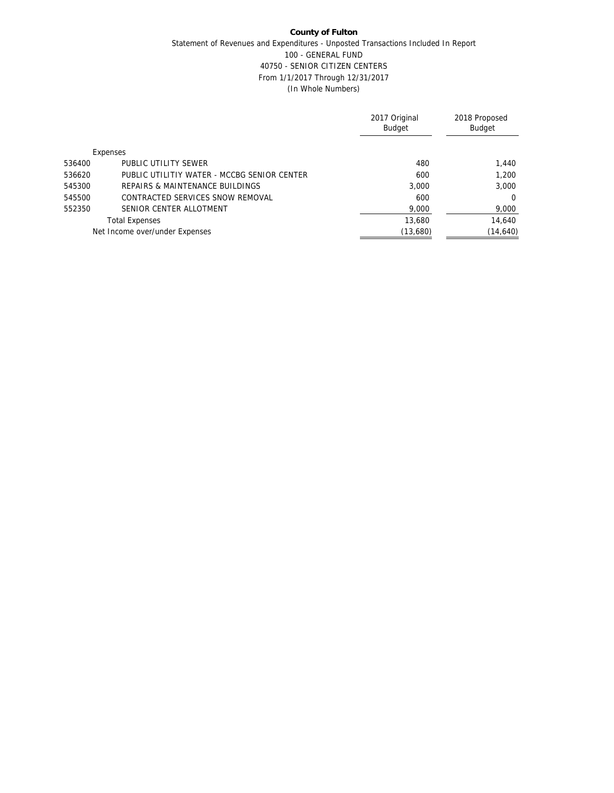|        |                                             | 2017 Original<br><b>Budget</b> | 2018 Proposed<br><b>Budget</b> |
|--------|---------------------------------------------|--------------------------------|--------------------------------|
|        | Expenses                                    |                                |                                |
| 536400 | PUBLIC UTILITY SEWER                        | 480                            | 1,440                          |
| 536620 | PUBLIC UTILITIY WATER - MCCBG SENIOR CENTER | 600                            | 1,200                          |
| 545300 | REPAIRS & MAINTENANCE BUILDINGS             | 3.000                          | 3,000                          |
| 545500 | CONTRACTED SERVICES SNOW REMOVAL            | 600                            | $\Omega$                       |
| 552350 | SENIOR CENTER ALLOTMENT                     | 9,000                          | 9,000                          |
|        | <b>Total Expenses</b>                       | 13,680                         | 14,640                         |
|        | Net Income over/under Expenses              | (13,680)                       | (14, 640)                      |
|        |                                             |                                |                                |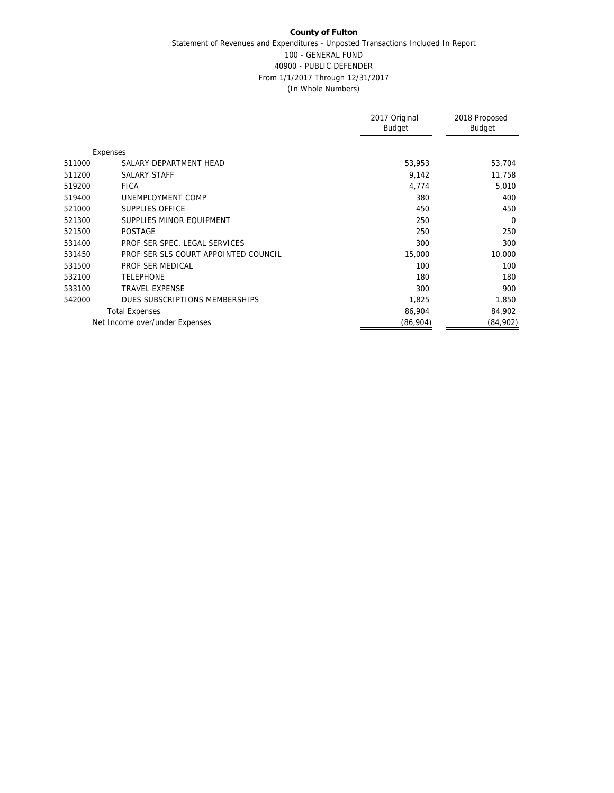|        |                                      | 2017 Original<br><b>Budget</b> | 2018 Proposed<br>Budget |
|--------|--------------------------------------|--------------------------------|-------------------------|
|        | Expenses                             |                                |                         |
| 511000 | SALARY DEPARTMENT HEAD               | 53,953                         | 53,704                  |
| 511200 | <b>SALARY STAFF</b>                  | 9,142                          | 11,758                  |
| 519200 | <b>FICA</b>                          | 4,774                          | 5,010                   |
| 519400 | UNEMPLOYMENT COMP                    | 380                            | 400                     |
| 521000 | SUPPLIES OFFICE                      | 450                            | 450                     |
| 521300 | SUPPLIES MINOR EQUIPMENT             | 250                            | $\Omega$                |
| 521500 | <b>POSTAGE</b>                       | 250                            | 250                     |
| 531400 | PROF SER SPEC. LEGAL SERVICES        | 300                            | 300                     |
| 531450 | PROF SER SLS COURT APPOINTED COUNCIL | 15,000                         | 10,000                  |
| 531500 | PROF SER MEDICAL                     | 100                            | 100                     |
| 532100 | <b>TELEPHONE</b>                     | 180                            | 180                     |
| 533100 | <b>TRAVEL EXPENSE</b>                | 300                            | 900                     |
| 542000 | DUES SUBSCRIPTIONS MEMBERSHIPS       | 1,825                          | 1,850                   |
|        | <b>Total Expenses</b>                | 86,904                         | 84,902                  |
|        | Net Income over/under Expenses       | (86,904)                       | (84,902)                |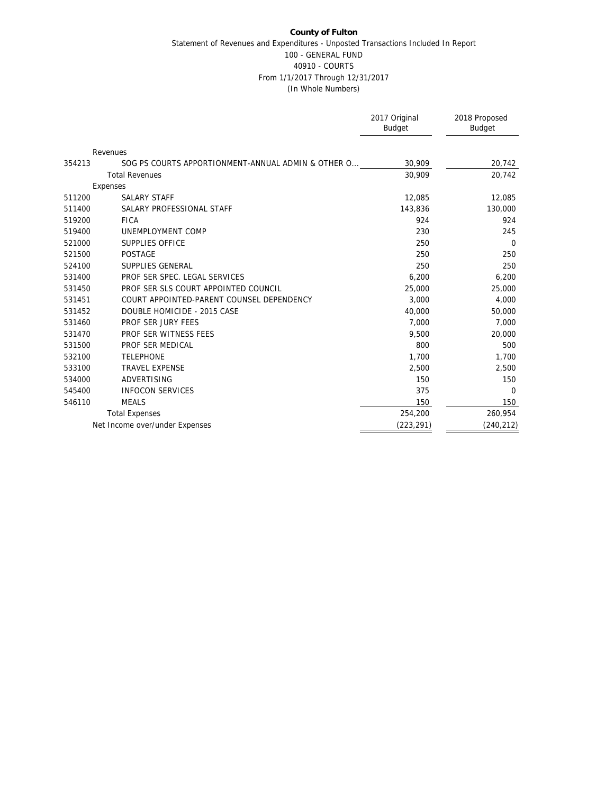|        |                                                    | 2017 Original<br><b>Budget</b> | 2018 Proposed<br><b>Budget</b> |
|--------|----------------------------------------------------|--------------------------------|--------------------------------|
|        | Revenues                                           |                                |                                |
| 354213 | SOG PS COURTS APPORTIONMENT-ANNUAL ADMIN & OTHER O | 30,909                         | 20,742                         |
|        | <b>Total Revenues</b>                              | 30.909                         | 20,742                         |
|        | Expenses                                           |                                |                                |
| 511200 | <b>SALARY STAFF</b>                                | 12,085                         | 12,085                         |
| 511400 | SALARY PROFESSIONAL STAFF                          | 143,836                        | 130,000                        |
| 519200 | <b>FICA</b>                                        | 924                            | 924                            |
| 519400 | UNEMPLOYMENT COMP                                  | 230                            | 245                            |
| 521000 | <b>SUPPLIES OFFICE</b>                             | 250                            | $\Omega$                       |
| 521500 | <b>POSTAGE</b>                                     | 250                            | 250                            |
| 524100 | SUPPLIES GENERAL                                   | 250                            | 250                            |
| 531400 | PROF SER SPEC. LEGAL SERVICES                      | 6,200                          | 6,200                          |
| 531450 | PROF SER SLS COURT APPOINTED COUNCIL               | 25,000                         | 25,000                         |
| 531451 | COURT APPOINTED-PARENT COUNSEL DEPENDENCY          | 3.000                          | 4,000                          |
| 531452 | DOUBLE HOMICIDE - 2015 CASE                        | 40,000                         | 50,000                         |
| 531460 | PROF SER JURY FEES                                 | 7,000                          | 7,000                          |
| 531470 | PROF SER WITNESS FEES                              | 9,500                          | 20,000                         |
| 531500 | PROF SER MEDICAL                                   | 800                            | 500                            |
| 532100 | <b>TELEPHONE</b>                                   | 1,700                          | 1,700                          |
| 533100 | <b>TRAVEL EXPENSE</b>                              | 2,500                          | 2,500                          |
| 534000 | <b>ADVERTISING</b>                                 | 150                            | 150                            |
| 545400 | <b>INFOCON SERVICES</b>                            | 375                            | $\Omega$                       |
| 546110 | <b>MEALS</b>                                       | 150                            | 150                            |
|        | <b>Total Expenses</b>                              | 254,200                        | 260,954                        |
|        | Net Income over/under Expenses                     | (223, 291)                     | (240, 212)                     |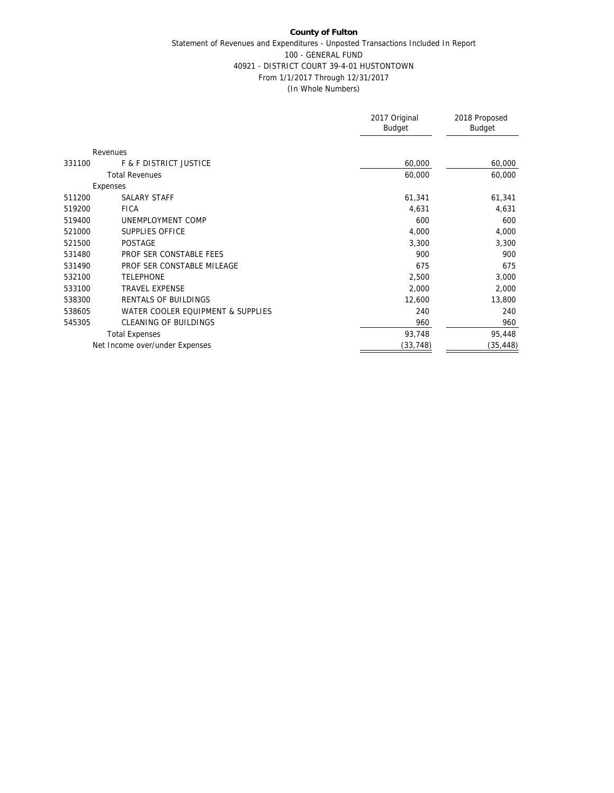## **County of Fulton** Statement of Revenues and Expenditures - Unposted Transactions Included In Report 100 - GENERAL FUND 40921 - DISTRICT COURT 39-4-01 HUSTONTOWN From 1/1/2017 Through 12/31/2017 (In Whole Numbers)

|        |                                   | 2017 Original<br><b>Budget</b> | 2018 Proposed<br>Budget |
|--------|-----------------------------------|--------------------------------|-------------------------|
|        | Revenues                          |                                |                         |
| 331100 | <b>F &amp; F DISTRICT JUSTICE</b> | 60,000                         | 60,000                  |
|        | <b>Total Revenues</b>             | 60,000                         | 60,000                  |
|        | Expenses                          |                                |                         |
| 511200 | <b>SALARY STAFF</b>               | 61,341                         | 61,341                  |
| 519200 | <b>FICA</b>                       | 4,631                          | 4,631                   |
| 519400 | UNEMPLOYMENT COMP                 | 600                            | 600                     |
| 521000 | SUPPLIES OFFICE                   | 4,000                          | 4,000                   |
| 521500 | <b>POSTAGE</b>                    | 3,300                          | 3,300                   |
| 531480 | PROF SER CONSTABLE FEES           | 900                            | 900                     |
| 531490 | PROF SER CONSTABLE MILEAGE        | 675                            | 675                     |
| 532100 | <b>TELEPHONE</b>                  | 2,500                          | 3,000                   |
| 533100 | <b>TRAVEL EXPENSE</b>             | 2,000                          | 2,000                   |
| 538300 | RENTALS OF BUILDINGS              | 12,600                         | 13,800                  |
| 538605 | WATER COOLER EQUIPMENT & SUPPLIES | 240                            | 240                     |
| 545305 | CLEANING OF BUILDINGS             | 960                            | 960                     |
|        | <b>Total Expenses</b>             | 93,748                         | 95,448                  |
|        | Net Income over/under Expenses    | (33,748)                       | (35,448)                |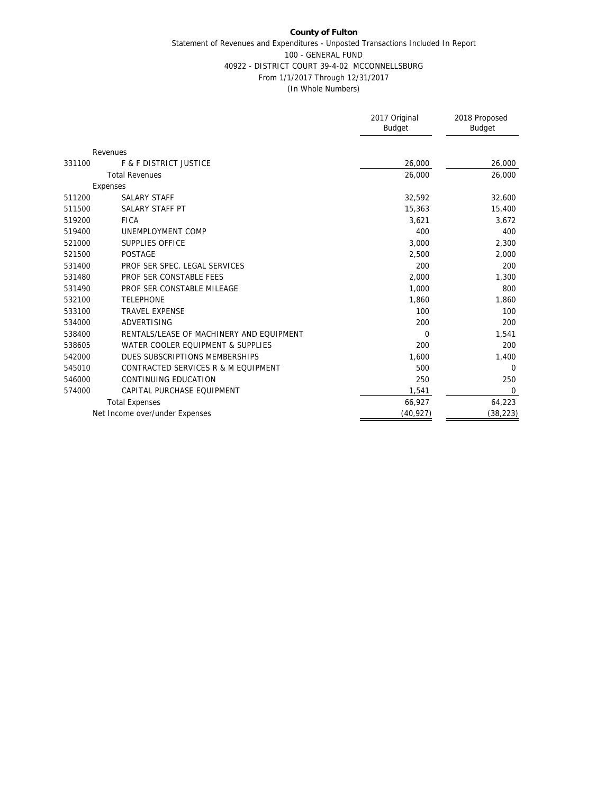#### **County of Fulton** Statement of Revenues and Expenditures - Unposted Transactions Included In Report 100 - GENERAL FUND 40922 - DISTRICT COURT 39-4-02 MCCONNELLSBURG From 1/1/2017 Through 12/31/2017 (In Whole Numbers)

|        |                                          | 2017 Original<br><b>Budget</b> | 2018 Proposed<br>Budget |
|--------|------------------------------------------|--------------------------------|-------------------------|
|        | Revenues                                 |                                |                         |
| 331100 | <b>F &amp; F DISTRICT JUSTICE</b>        | 26,000                         | 26,000                  |
|        | <b>Total Revenues</b>                    | 26,000                         | 26,000                  |
|        | Expenses                                 |                                |                         |
| 511200 | <b>SALARY STAFF</b>                      | 32,592                         | 32,600                  |
| 511500 | SALARY STAFF PT                          | 15,363                         | 15,400                  |
| 519200 | <b>FICA</b>                              | 3,621                          | 3,672                   |
| 519400 | UNEMPLOYMENT COMP                        | 400                            | 400                     |
| 521000 | <b>SUPPLIES OFFICE</b>                   | 3,000                          | 2,300                   |
| 521500 | <b>POSTAGE</b>                           | 2,500                          | 2,000                   |
| 531400 | PROF SER SPEC. LEGAL SERVICES            | 200                            | 200                     |
| 531480 | PROF SER CONSTABLE FEES                  | 2,000                          | 1,300                   |
| 531490 | PROF SER CONSTABLE MILEAGE               | 1,000                          | 800                     |
| 532100 | <b>TELEPHONE</b>                         | 1,860                          | 1,860                   |
| 533100 | <b>TRAVEL EXPENSE</b>                    | 100                            | 100                     |
| 534000 | ADVERTISING                              | 200                            | 200                     |
| 538400 | RENTALS/LEASE OF MACHINERY AND EQUIPMENT | $\mathbf 0$                    | 1,541                   |
| 538605 | WATER COOLER EQUIPMENT & SUPPLIES        | 200                            | 200                     |
| 542000 | DUES SUBSCRIPTIONS MEMBERSHIPS           | 1,600                          | 1,400                   |
| 545010 | CONTRACTED SERVICES R & M EQUIPMENT      | 500                            | $\Omega$                |
| 546000 | CONTINUING EDUCATION                     | 250                            | 250                     |
| 574000 | CAPITAL PURCHASE EQUIPMENT               | 1,541                          | $\mathbf 0$             |
|        | <b>Total Expenses</b>                    | 66,927                         | 64,223                  |
|        | Net Income over/under Expenses           | (40, 927)                      | (38, 223)               |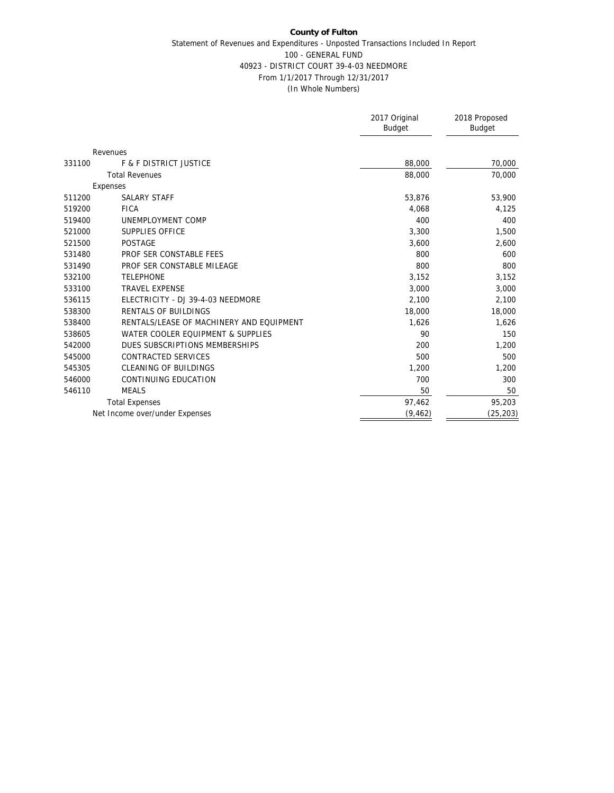## **County of Fulton** Statement of Revenues and Expenditures - Unposted Transactions Included In Report 100 - GENERAL FUND 40923 - DISTRICT COURT 39-4-03 NEEDMORE From 1/1/2017 Through 12/31/2017 (In Whole Numbers)

|        |                                          | 2017 Original<br>Budget | 2018 Proposed<br><b>Budget</b> |
|--------|------------------------------------------|-------------------------|--------------------------------|
|        |                                          |                         |                                |
|        | Revenues                                 |                         |                                |
| 331100 | <b>F &amp; F DISTRICT JUSTICE</b>        | 88,000                  | 70,000                         |
|        | <b>Total Revenues</b>                    | 88,000                  | 70,000                         |
|        | Expenses                                 |                         |                                |
| 511200 | <b>SALARY STAFF</b>                      | 53,876                  | 53,900                         |
| 519200 | <b>FICA</b>                              | 4,068                   | 4,125                          |
| 519400 | UNEMPLOYMENT COMP                        | 400                     | 400                            |
| 521000 | SUPPLIES OFFICE                          | 3,300                   | 1,500                          |
| 521500 | <b>POSTAGE</b>                           | 3,600                   | 2,600                          |
| 531480 | PROF SER CONSTABLE FEES                  | 800                     | 600                            |
| 531490 | PROF SER CONSTABLE MILEAGE               | 800                     | 800                            |
| 532100 | <b>TELEPHONE</b>                         | 3,152                   | 3,152                          |
| 533100 | <b>TRAVEL EXPENSE</b>                    | 3,000                   | 3,000                          |
| 536115 | ELECTRICITY - DJ 39-4-03 NEEDMORE        | 2,100                   | 2,100                          |
| 538300 | RENTALS OF BUILDINGS                     | 18,000                  | 18,000                         |
| 538400 | RENTALS/LEASE OF MACHINERY AND EQUIPMENT | 1,626                   | 1,626                          |
| 538605 | WATER COOLER EQUIPMENT & SUPPLIES        | 90                      | 150                            |
| 542000 | DUES SUBSCRIPTIONS MEMBERSHIPS           | 200                     | 1,200                          |
| 545000 | CONTRACTED SERVICES                      | 500                     | 500                            |
| 545305 | <b>CLEANING OF BUILDINGS</b>             | 1,200                   | 1,200                          |
| 546000 | CONTINUING EDUCATION                     | 700                     | 300                            |
| 546110 | <b>MEALS</b>                             | 50                      | 50                             |
|        | <b>Total Expenses</b>                    | 97,462                  | 95,203                         |
|        | Net Income over/under Expenses           | (9, 462)                | (25, 203)                      |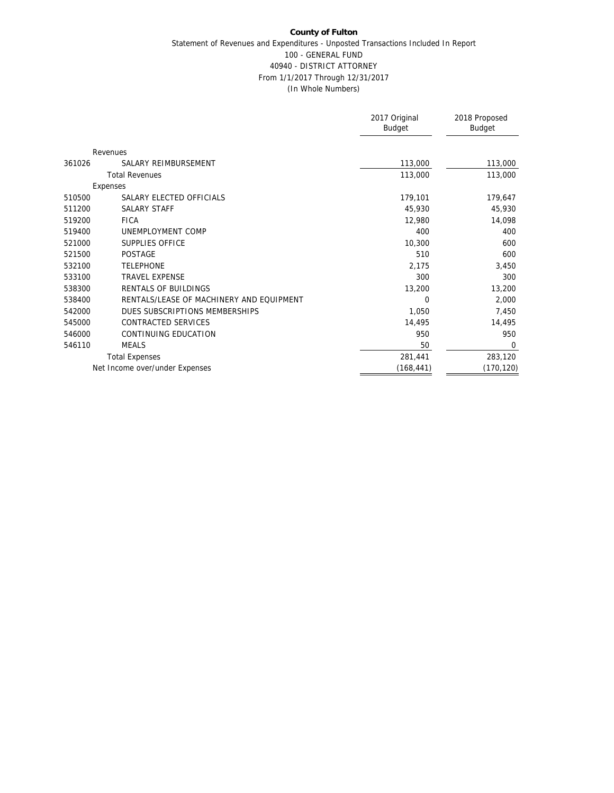|        |                                          | 2017 Original<br>Budget | 2018 Proposed<br>Budget |
|--------|------------------------------------------|-------------------------|-------------------------|
|        | Revenues                                 |                         |                         |
| 361026 | SALARY REIMBURSEMENT                     | 113,000                 | 113,000                 |
|        | <b>Total Revenues</b>                    | 113,000                 | 113,000                 |
|        | Expenses                                 |                         |                         |
| 510500 | SALARY ELECTED OFFICIALS                 | 179,101                 | 179,647                 |
| 511200 | SALARY STAFF                             | 45,930                  | 45,930                  |
| 519200 | <b>FICA</b>                              | 12,980                  | 14,098                  |
| 519400 | UNEMPLOYMENT COMP                        | 400                     | 400                     |
| 521000 | SUPPLIES OFFICE                          | 10,300                  | 600                     |
| 521500 | <b>POSTAGE</b>                           | 510                     | 600                     |
| 532100 | <b>TELEPHONE</b>                         | 2,175                   | 3,450                   |
| 533100 | <b>TRAVEL EXPENSE</b>                    | 300                     | 300                     |
| 538300 | RENTALS OF BUILDINGS                     | 13,200                  | 13,200                  |
| 538400 | RENTALS/LEASE OF MACHINERY AND EOUIPMENT | $\Omega$                | 2,000                   |
| 542000 | DUES SUBSCRIPTIONS MEMBERSHIPS           | 1,050                   | 7,450                   |
| 545000 | CONTRACTED SERVICES                      | 14,495                  | 14,495                  |
| 546000 | CONTINUING EDUCATION                     | 950                     | 950                     |
| 546110 | <b>MEALS</b>                             | 50                      | $\overline{0}$          |
|        | <b>Total Expenses</b>                    | 281,441                 | 283,120                 |
|        | Net Income over/under Expenses           | (168, 441)              | (170, 120)              |
|        |                                          |                         |                         |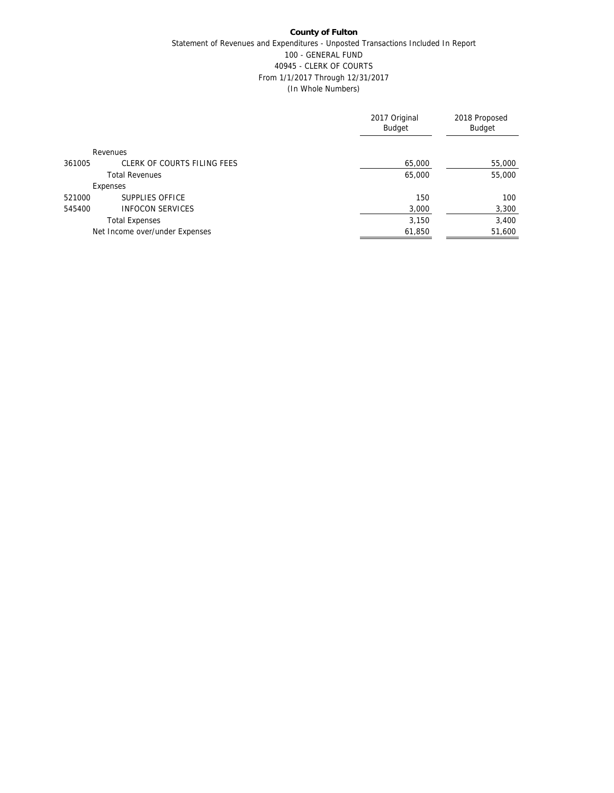|        |                                | 2017 Original<br><b>Budget</b> | 2018 Proposed<br><b>Budget</b> |
|--------|--------------------------------|--------------------------------|--------------------------------|
|        | Revenues                       |                                |                                |
| 361005 | CLERK OF COURTS FILING FEES    | 65,000                         | 55,000                         |
|        | <b>Total Revenues</b>          | 65,000                         | 55,000                         |
|        | Expenses                       |                                |                                |
| 521000 | SUPPLIES OFFICE                | 150                            | 100                            |
| 545400 | <b>INFOCON SERVICES</b>        | 3,000                          | 3,300                          |
|        | <b>Total Expenses</b>          | 3,150                          | 3,400                          |
|        | Net Income over/under Expenses | 61,850                         | 51,600                         |
|        |                                |                                |                                |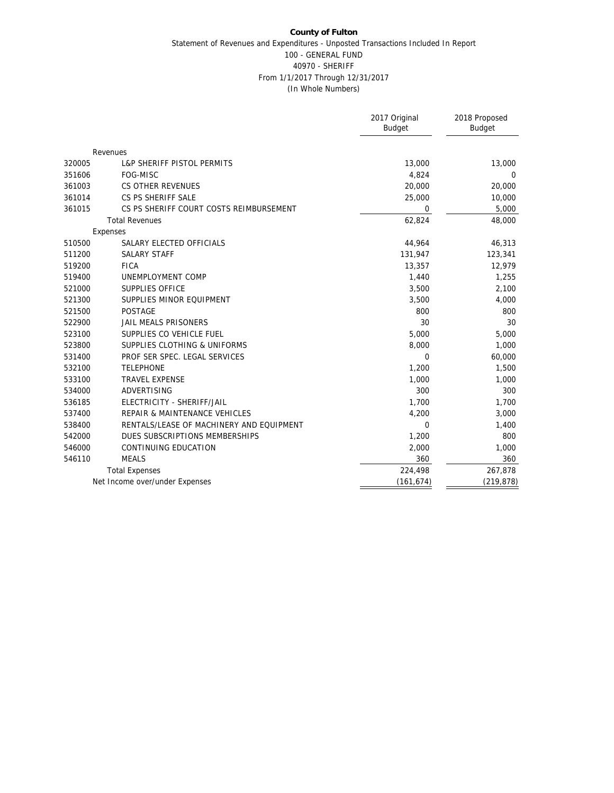#### **County of Fulton** Statement of Revenues and Expenditures - Unposted Transactions Included In Report 100 - GENERAL FUND 40970 - SHERIFF From 1/1/2017 Through 12/31/2017 (In Whole Numbers)

|        |                                          | 2017 Original<br><b>Budget</b> | 2018 Proposed<br>Budget |
|--------|------------------------------------------|--------------------------------|-------------------------|
|        |                                          |                                |                         |
|        | Revenues                                 |                                |                         |
| 320005 | <b>L&amp;P SHERIFF PISTOL PERMITS</b>    | 13,000                         | 13,000                  |
| 351606 | FOG-MISC                                 | 4,824                          | $\overline{0}$          |
| 361003 | CS OTHER REVENUES                        | 20,000                         | 20,000                  |
| 361014 | CS PS SHERIFF SALE                       | 25,000                         | 10,000                  |
| 361015 | CS PS SHERIFF COURT COSTS REIMBURSEMENT  | 0                              | 5,000                   |
|        | <b>Total Revenues</b>                    | 62,824                         | 48,000                  |
|        | Expenses                                 |                                |                         |
| 510500 | SALARY ELECTED OFFICIALS                 | 44,964                         | 46,313                  |
| 511200 | <b>SALARY STAFF</b>                      | 131,947                        | 123,341                 |
| 519200 | <b>FICA</b>                              | 13,357                         | 12,979                  |
| 519400 | UNEMPLOYMENT COMP                        | 1,440                          | 1,255                   |
| 521000 | <b>SUPPLIES OFFICE</b>                   | 3,500                          | 2,100                   |
| 521300 | SUPPLIES MINOR EQUIPMENT                 | 3,500                          | 4,000                   |
| 521500 | <b>POSTAGE</b>                           | 800                            | 800                     |
| 522900 | JAIL MEALS PRISONERS                     | 30                             | 30                      |
| 523100 | SUPPLIES CO VEHICLE FUEL                 | 5,000                          | 5,000                   |
| 523800 | SUPPLIES CLOTHING & UNIFORMS             | 8,000                          | 1,000                   |
| 531400 | PROF SER SPEC. LEGAL SERVICES            | 0                              | 60,000                  |
| 532100 | <b>TELEPHONE</b>                         | 1,200                          | 1,500                   |
| 533100 | <b>TRAVEL EXPENSE</b>                    | 1,000                          | 1,000                   |
| 534000 | ADVERTISING                              | 300                            | 300                     |
| 536185 | ELECTRICITY - SHERIFF/JAIL               | 1,700                          | 1,700                   |
| 537400 | REPAIR & MAINTENANCE VEHICLES            | 4,200                          | 3,000                   |
| 538400 | RENTALS/LEASE OF MACHINERY AND EQUIPMENT | 0                              | 1,400                   |
| 542000 | DUES SUBSCRIPTIONS MEMBERSHIPS           | 1,200                          | 800                     |
| 546000 | CONTINUING EDUCATION                     | 2,000                          | 1,000                   |
| 546110 | <b>MEALS</b>                             | 360                            | 360                     |
|        | <b>Total Expenses</b>                    | 224,498                        | 267,878                 |
|        | Net Income over/under Expenses           | (161, 674)                     | (219, 878)              |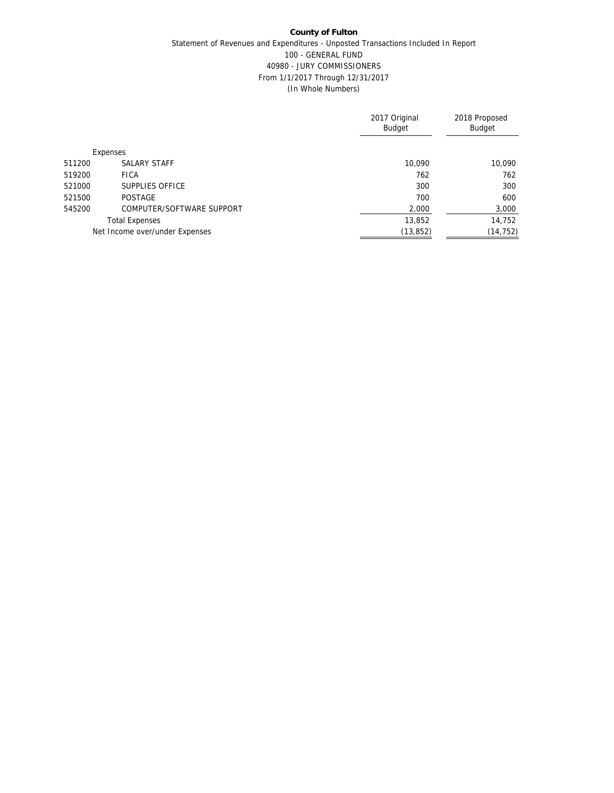## **County of Fulton** Statement of Revenues and Expenditures - Unposted Transactions Included In Report 100 - GENERAL FUND 40980 - JURY COMMISSIONERS From 1/1/2017 Through 12/31/2017 (In Whole Numbers)

|        |                                | 2017 Original<br><b>Budget</b> | 2018 Proposed<br>Budget |
|--------|--------------------------------|--------------------------------|-------------------------|
|        | Expenses                       |                                |                         |
| 511200 | SALARY STAFF                   | 10,090                         | 10,090                  |
| 519200 | <b>FICA</b>                    | 762                            | 762                     |
| 521000 | SUPPLIES OFFICE                | 300                            | 300                     |
| 521500 | <b>POSTAGE</b>                 | 700                            | 600                     |
| 545200 | COMPUTER/SOFTWARE SUPPORT      | 2,000                          | 3,000                   |
|        | <b>Total Expenses</b>          | 13,852                         | 14,752                  |
|        | Net Income over/under Expenses | (13, 852)                      | (14, 752)               |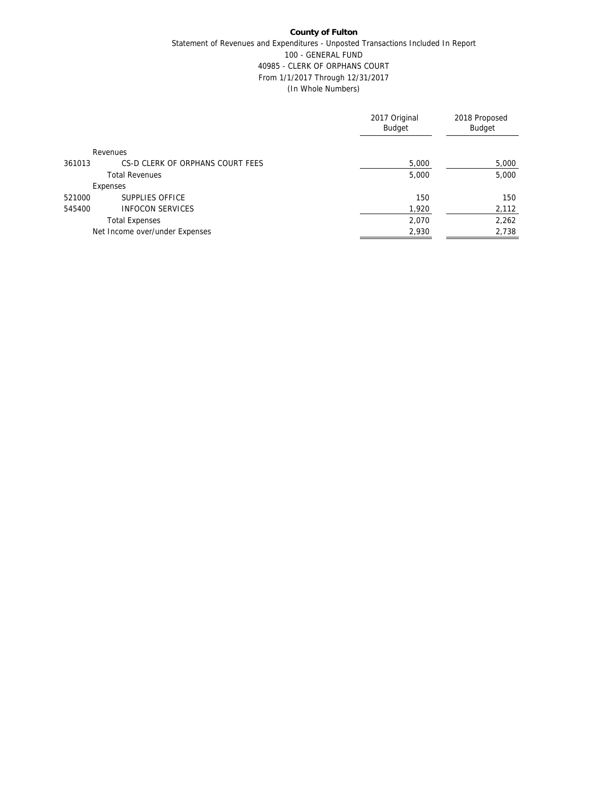## **County of Fulton** Statement of Revenues and Expenditures - Unposted Transactions Included In Report 100 - GENERAL FUND 40985 - CLERK OF ORPHANS COURT From 1/1/2017 Through 12/31/2017 (In Whole Numbers)

|                                            | 2017 Original<br><b>Budget</b> | 2018 Proposed<br><b>Budget</b> |
|--------------------------------------------|--------------------------------|--------------------------------|
| Revenues                                   |                                |                                |
| CS-D CLERK OF ORPHANS COURT FEES<br>361013 | 5,000                          | 5,000                          |
| <b>Total Revenues</b>                      | 5,000                          | 5,000                          |
| Expenses                                   |                                |                                |
| SUPPLIES OFFICE<br>521000                  | 150                            | 150                            |
| <b>INFOCON SERVICES</b><br>545400          | 1,920                          | 2,112                          |
| <b>Total Expenses</b>                      | 2,070                          | 2,262                          |
| Net Income over/under Expenses             | 2,930                          | 2,738                          |
|                                            |                                |                                |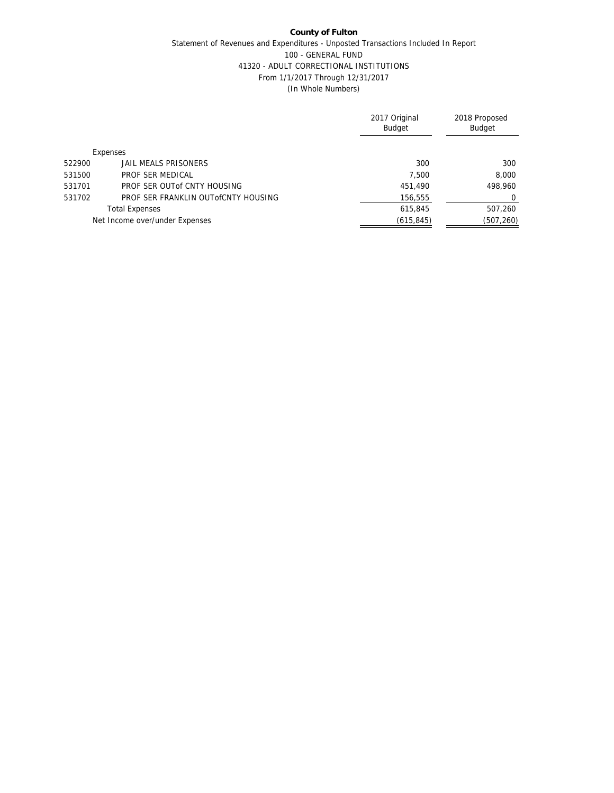## **County of Fulton** Statement of Revenues and Expenditures - Unposted Transactions Included In Report 100 - GENERAL FUND 41320 - ADULT CORRECTIONAL INSTITUTIONS From 1/1/2017 Through 12/31/2017 (In Whole Numbers)

|                                               | 2017 Original<br><b>Budget</b> | 2018 Proposed<br><b>Budget</b> |
|-----------------------------------------------|--------------------------------|--------------------------------|
| Expenses                                      |                                |                                |
| 522900<br>JAIL MEALS PRISONERS                | 300                            | 300                            |
| 531500<br>PROF SER MEDICAL                    | 7.500                          | 8,000                          |
| 531701<br>PROF SER OUT of CNTY HOUSING        | 451,490                        | 498.960                        |
| 531702<br>PROF SER FRANKLIN OUT OCNTY HOUSING | 156,555                        | $\Omega$                       |
| <b>Total Expenses</b>                         | 615,845                        | 507,260                        |
| Net Income over/under Expenses                | (615, 845)                     | (507, 260)                     |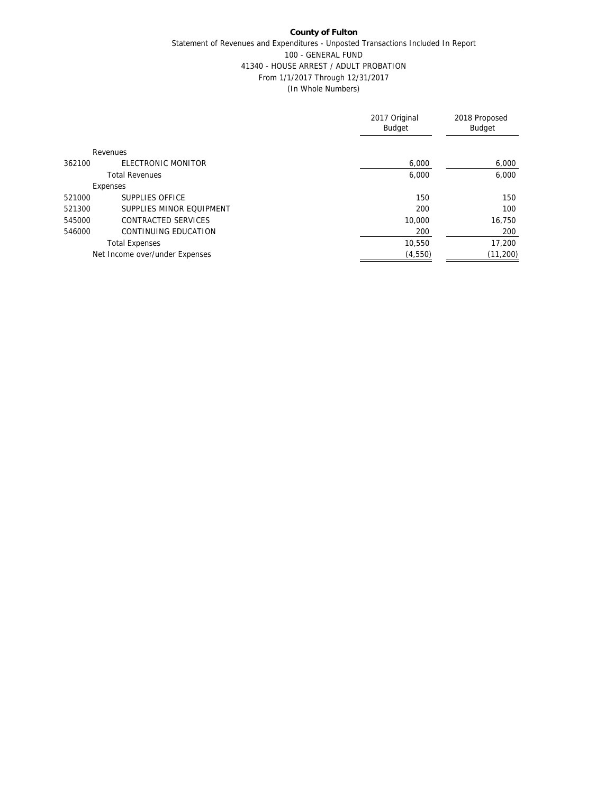## **County of Fulton** Statement of Revenues and Expenditures - Unposted Transactions Included In Report 100 - GENERAL FUND 41340 - HOUSE ARREST / ADULT PROBATION From 1/1/2017 Through 12/31/2017 (In Whole Numbers)

|        |                                | 2017 Original<br><b>Budget</b> | 2018 Proposed<br><b>Budget</b> |
|--------|--------------------------------|--------------------------------|--------------------------------|
|        | Revenues                       |                                |                                |
| 362100 | ELECTRONIC MONITOR             | 6,000                          | 6,000                          |
|        | <b>Total Revenues</b>          | 6,000                          | 6.000                          |
|        | Expenses                       |                                |                                |
| 521000 | SUPPLIES OFFICE                | 150                            | 150                            |
| 521300 | SUPPLIES MINOR EQUIPMENT       | 200                            | 100                            |
| 545000 | CONTRACTED SERVICES            | 10,000                         | 16,750                         |
| 546000 | CONTINUING EDUCATION           | 200                            | 200                            |
|        | <b>Total Expenses</b>          | 10.550                         | 17,200                         |
|        | Net Income over/under Expenses | (4, 550)                       | (11, 200)                      |
|        |                                |                                |                                |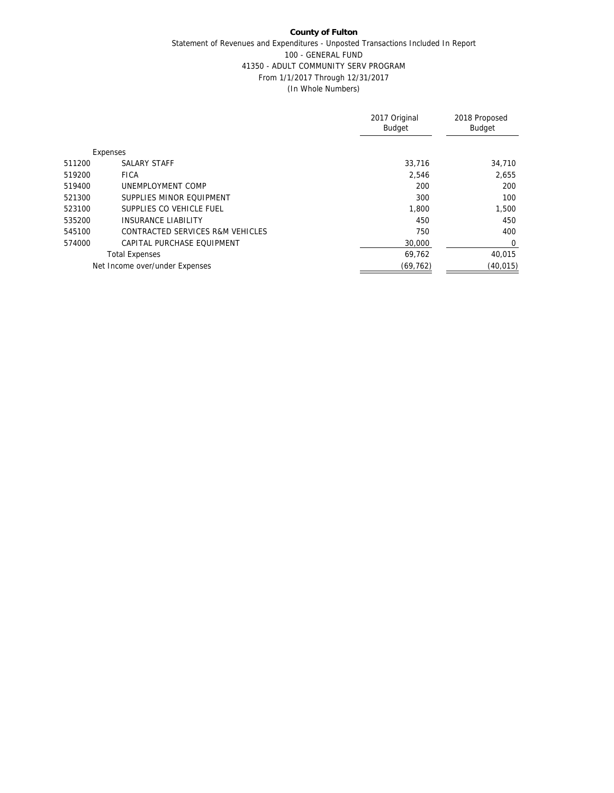## **County of Fulton** Statement of Revenues and Expenditures - Unposted Transactions Included In Report 100 - GENERAL FUND 41350 - ADULT COMMUNITY SERV PROGRAM From 1/1/2017 Through 12/31/2017 (In Whole Numbers)

|        |                                  | 2017 Original<br><b>Budget</b> | 2018 Proposed<br><b>Budget</b> |
|--------|----------------------------------|--------------------------------|--------------------------------|
|        | Expenses                         |                                |                                |
| 511200 | SALARY STAFF                     | 33,716                         | 34,710                         |
| 519200 | <b>FICA</b>                      | 2,546                          | 2,655                          |
| 519400 | UNEMPLOYMENT COMP                | 200                            | 200                            |
| 521300 | SUPPLIES MINOR FOUIPMENT         | 300                            | 100                            |
| 523100 | SUPPLIES CO VEHICLE FUEL         | 1.800                          | 1.500                          |
| 535200 | <b>INSURANCE LIABILITY</b>       | 450                            | 450                            |
| 545100 | CONTRACTED SERVICES R&M VEHICLES | 750                            | 400                            |
| 574000 | CAPITAL PURCHASE FOUIPMENT       | 30,000                         | 0                              |
|        | <b>Total Expenses</b>            | 69,762                         | 40.015                         |
|        | Net Income over/under Expenses   | (69, 762)                      | (40, 015)                      |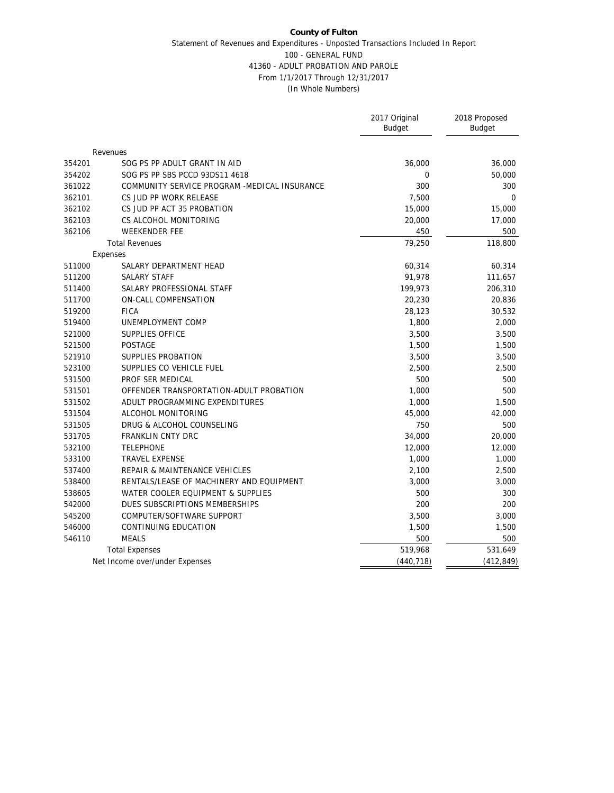#### **County of Fulton** Statement of Revenues and Expenditures - Unposted Transactions Included In Report 100 - GENERAL FUND 41360 - ADULT PROBATION AND PAROLE From 1/1/2017 Through 12/31/2017 (In Whole Numbers)

|        |                                              | 2017 Original<br><b>Budget</b> | 2018 Proposed<br>Budget |
|--------|----------------------------------------------|--------------------------------|-------------------------|
|        |                                              |                                |                         |
|        | Revenues                                     |                                |                         |
| 354201 | SOG PS PP ADULT GRANT IN AID                 | 36,000                         | 36,000                  |
| 354202 | SOG PS PP SBS PCCD 93DS11 4618               | $\overline{0}$                 | 50,000                  |
| 361022 | COMMUNITY SERVICE PROGRAM -MEDICAL INSURANCE | 300                            | 300                     |
| 362101 | CS JUD PP WORK RELEASE                       | 7,500                          | $\Omega$                |
| 362102 | CS JUD PP ACT 35 PROBATION                   | 15,000                         | 15,000                  |
| 362103 | CS ALCOHOL MONITORING                        | 20,000                         | 17,000                  |
| 362106 | <b>WEEKENDER FEE</b>                         | 450                            | 500                     |
|        | <b>Total Revenues</b>                        | 79,250                         | 118,800                 |
|        | Expenses                                     |                                |                         |
| 511000 | SALARY DEPARTMENT HEAD                       | 60,314                         | 60,314                  |
| 511200 | SALARY STAFF                                 | 91,978                         | 111,657                 |
| 511400 | SALARY PROFESSIONAL STAFF                    | 199,973                        | 206,310                 |
| 511700 | ON-CALL COMPENSATION                         | 20,230                         | 20,836                  |
| 519200 | <b>FICA</b>                                  | 28,123                         | 30,532                  |
| 519400 | UNEMPLOYMENT COMP                            | 1,800                          | 2,000                   |
| 521000 | <b>SUPPLIES OFFICE</b>                       | 3,500                          | 3,500                   |
| 521500 | POSTAGE                                      | 1,500                          | 1,500                   |
| 521910 | SUPPLIES PROBATION                           | 3,500                          | 3,500                   |
| 523100 | SUPPLIES CO VEHICLE FUEL                     | 2,500                          | 2,500                   |
| 531500 | PROF SER MEDICAL                             | 500                            | 500                     |
| 531501 | OFFENDER TRANSPORTATION-ADULT PROBATION      | 1,000                          | 500                     |
| 531502 | ADULT PROGRAMMING EXPENDITURES               | 1,000                          | 1,500                   |
| 531504 | ALCOHOL MONITORING                           | 45,000                         | 42,000                  |
| 531505 | DRUG & ALCOHOL COUNSELING                    | 750                            | 500                     |
| 531705 | FRANKLIN CNTY DRC                            | 34,000                         | 20,000                  |
| 532100 | <b>TELEPHONE</b>                             | 12,000                         | 12,000                  |
| 533100 | <b>TRAVEL EXPENSE</b>                        | 1,000                          | 1,000                   |
| 537400 | REPAIR & MAINTENANCE VEHICLES                | 2,100                          | 2,500                   |
| 538400 | RENTALS/LEASE OF MACHINERY AND EQUIPMENT     | 3,000                          | 3,000                   |
| 538605 | WATER COOLER EQUIPMENT & SUPPLIES            | 500                            | 300                     |
| 542000 | DUES SUBSCRIPTIONS MEMBERSHIPS               | 200                            | 200                     |
| 545200 | COMPUTER/SOFTWARE SUPPORT                    | 3,500                          | 3,000                   |
| 546000 | CONTINUING EDUCATION                         | 1,500                          | 1,500                   |
| 546110 | <b>MEALS</b>                                 | 500                            | 500                     |
|        | <b>Total Expenses</b>                        | 519,968                        | 531,649                 |
|        | Net Income over/under Expenses               | (440, 718)                     | (412, 849)              |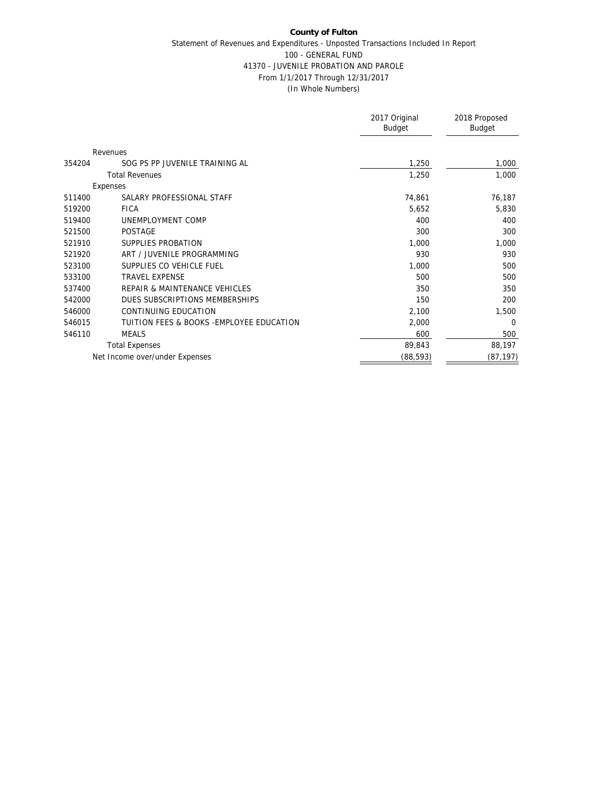## **County of Fulton** Statement of Revenues and Expenditures - Unposted Transactions Included In Report 100 - GENERAL FUND 41370 - JUVENILE PROBATION AND PAROLE From 1/1/2017 Through 12/31/2017 (In Whole Numbers)

|                                          |                                           | 2017 Original<br>Budget | 2018 Proposed<br><b>Budget</b> |
|------------------------------------------|-------------------------------------------|-------------------------|--------------------------------|
| Revenues                                 |                                           |                         |                                |
| 354204<br>SOG PS PP JUVENILE TRAINING AL |                                           | 1,250                   | 1,000                          |
| <b>Total Revenues</b>                    |                                           | 1,250                   | 1,000                          |
| Expenses                                 |                                           |                         |                                |
| SALARY PROFESSIONAL STAFF<br>511400      |                                           | 74,861                  | 76,187                         |
| 519200<br><b>FICA</b>                    |                                           | 5,652                   | 5,830                          |
| 519400<br>UNEMPLOYMENT COMP              |                                           | 400                     | 400                            |
| 521500<br><b>POSTAGE</b>                 |                                           | 300                     | 300                            |
| 521910<br>SUPPLIES PROBATION             |                                           | 1,000                   | 1,000                          |
| 521920<br>ART / JUVENILE PROGRAMMING     |                                           | 930                     | 930                            |
| SUPPLIES CO VEHICLE FUEL<br>523100       |                                           | 1,000                   | 500                            |
| <b>TRAVEL EXPENSE</b><br>533100          |                                           | 500                     | 500                            |
| REPAIR & MAINTENANCE VEHICLES<br>537400  |                                           | 350                     | 350                            |
| 542000<br>DUES SUBSCRIPTIONS MEMBERSHIPS |                                           | 150                     | 200                            |
| CONTINUING EDUCATION<br>546000           |                                           | 2,100                   | 1,500                          |
| 546015                                   | TUITION FEES & BOOKS - EMPLOYEE EDUCATION | 2,000                   | $\Omega$                       |
| 546110<br><b>MEALS</b>                   |                                           | 600                     | 500                            |
| <b>Total Expenses</b>                    |                                           | 89,843                  | 88,197                         |
| Net Income over/under Expenses           |                                           | (88, 593)               | (87, 197)                      |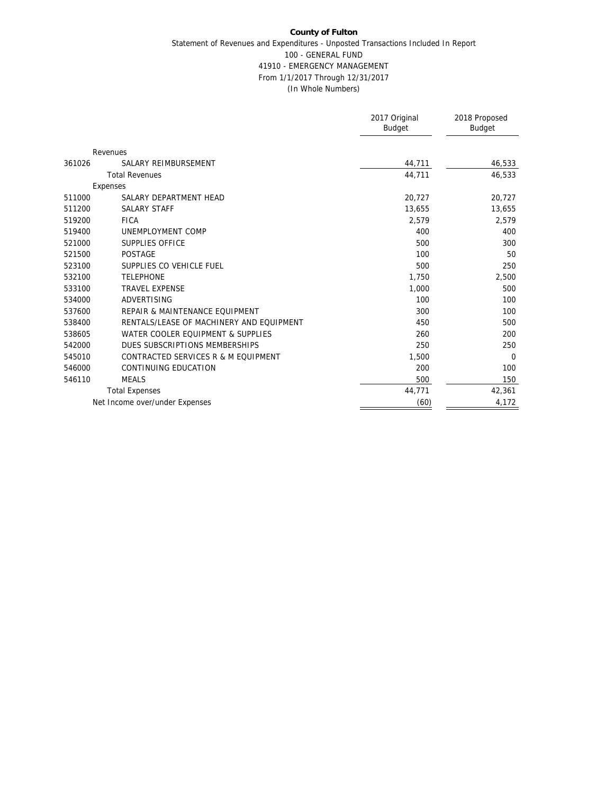### **County of Fulton** Statement of Revenues and Expenditures - Unposted Transactions Included In Report 100 - GENERAL FUND 41910 - EMERGENCY MANAGEMENT From 1/1/2017 Through 12/31/2017 (In Whole Numbers)

|        |                                          | 2017 Original<br>Budget | 2018 Proposed<br><b>Budget</b> |
|--------|------------------------------------------|-------------------------|--------------------------------|
|        |                                          |                         |                                |
|        | Revenues                                 |                         |                                |
| 361026 | SALARY REIMBURSEMENT                     | 44,711                  | 46,533                         |
|        | <b>Total Revenues</b>                    | 44,711                  | 46,533                         |
|        | Expenses                                 |                         |                                |
| 511000 | SALARY DEPARTMENT HEAD                   | 20,727                  | 20,727                         |
| 511200 | <b>SALARY STAFF</b>                      | 13,655                  | 13,655                         |
| 519200 | <b>FICA</b>                              | 2,579                   | 2,579                          |
| 519400 | UNEMPLOYMENT COMP                        | 400                     | 400                            |
| 521000 | SUPPLIES OFFICE                          | 500                     | 300                            |
| 521500 | <b>POSTAGE</b>                           | 100                     | 50                             |
| 523100 | SUPPLIES CO VEHICLE FUEL                 | 500                     | 250                            |
| 532100 | <b>TELEPHONE</b>                         | 1,750                   | 2,500                          |
| 533100 | <b>TRAVEL EXPENSE</b>                    | 1,000                   | 500                            |
| 534000 | ADVERTISING                              | 100                     | 100                            |
| 537600 | REPAIR & MAINTENANCE EQUIPMENT           | 300                     | 100                            |
| 538400 | RENTALS/LEASE OF MACHINERY AND EOUIPMENT | 450                     | 500                            |
| 538605 | WATER COOLER EQUIPMENT & SUPPLIES        | 260                     | 200                            |
| 542000 | DUES SUBSCRIPTIONS MEMBERSHIPS           | 250                     | 250                            |
| 545010 | CONTRACTED SERVICES R & M EQUIPMENT      | 1,500                   | $\Omega$                       |
| 546000 | CONTINUING EDUCATION                     | 200                     | 100                            |
| 546110 | <b>MEALS</b>                             | 500                     | 150                            |
|        | <b>Total Expenses</b>                    | 44,771                  | 42,361                         |
|        | Net Income over/under Expenses           | (60)                    | 4,172                          |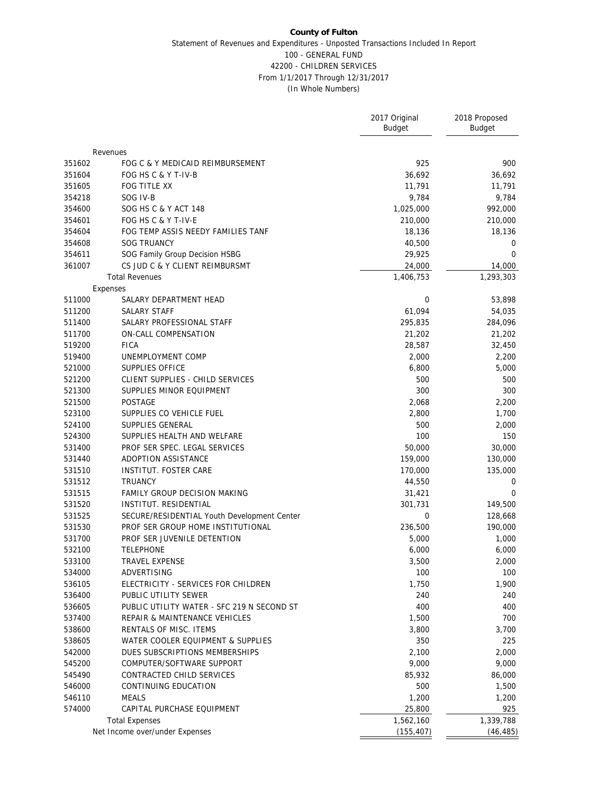#### **County of Fulton** Statement of Revenues and Expenditures - Unposted Transactions Included In Report 100 - GENERAL FUND 42200 - CHILDREN SERVICES From 1/1/2017 Through 12/31/2017 (In Whole Numbers)

|                  |                                                 | 2017 Original<br><b>Budget</b> | 2018 Proposed<br><b>Budget</b> |
|------------------|-------------------------------------------------|--------------------------------|--------------------------------|
|                  | Revenues                                        |                                |                                |
| 351602           | FOG C & Y MEDICAID REIMBURSEMENT                | 925                            | 900                            |
| 351604           | FOG HS C & Y T-IV-B                             | 36,692                         | 36,692                         |
| 351605           | FOG TITLE XX                                    | 11,791                         | 11,791                         |
| 354218           | SOG IV-B                                        | 9,784                          | 9,784                          |
| 354600           | SOG HS C & Y ACT 148                            | 1,025,000                      | 992,000                        |
| 354601           | FOG HS C & Y T-IV-E                             | 210,000                        | 210,000                        |
| 354604           | FOG TEMP ASSIS NEEDY FAMILIES TANF              | 18,136                         | 18,136                         |
| 354608           | <b>SOG TRUANCY</b>                              | 40,500                         | 0                              |
| 354611           | SOG Family Group Decision HSBG                  | 29,925                         | 0                              |
| 361007           | CS JUD C & Y CLIENT REIMBURSMT                  | 24,000                         | 14,000                         |
|                  | <b>Total Revenues</b>                           | 1,406,753                      | 1,293,303                      |
|                  | Expenses                                        |                                |                                |
| 511000           | SALARY DEPARTMENT HEAD                          | $\mathbf{0}$                   | 53,898                         |
| 511200           | <b>SALARY STAFF</b>                             | 61,094                         | 54,035                         |
| 511400           | SALARY PROFESSIONAL STAFF                       | 295,835                        | 284,096                        |
| 511700           | ON-CALL COMPENSATION                            | 21,202                         | 21,202                         |
| 519200           | <b>FICA</b>                                     | 28,587                         | 32,450                         |
| 519400           | UNEMPLOYMENT COMP                               | 2,000                          | 2,200                          |
| 521000           | SUPPLIES OFFICE                                 | 6,800                          | 5,000                          |
| 521200           | CLIENT SUPPLIES - CHILD SERVICES                | 500                            | 500                            |
| 521300           | SUPPLIES MINOR EQUIPMENT                        | 300                            | 300                            |
| 521500           | POSTAGE                                         | 2,068                          | 2,200                          |
| 523100           | SUPPLIES CO VEHICLE FUEL                        | 2,800                          | 1,700                          |
| 524100           | SUPPLIES GENERAL                                | 500                            | 2,000                          |
| 524300           | SUPPLIES HEALTH AND WELFARE                     | 100                            | 150                            |
| 531400           | PROF SER SPEC. LEGAL SERVICES                   | 50,000                         | 30,000                         |
| 531440           | ADOPTION ASSISTANCE                             | 159,000                        | 130,000                        |
| 531510           | INSTITUT. FOSTER CARE                           | 170,000                        | 135,000                        |
|                  | <b>TRUANCY</b>                                  |                                |                                |
| 531512<br>531515 |                                                 | 44,550                         | $\mathbf 0$<br>$\mathbf{0}$    |
|                  | <b>FAMILY GROUP DECISION MAKING</b>             | 31,421                         | 149,500                        |
| 531520           | INSTITUT. RESIDENTIAL                           | 301,731<br>$\mathbf{0}$        |                                |
| 531525           | SECURE/RESIDENTIAL Youth Development Center     |                                | 128,668                        |
| 531530           | PROF SER GROUP HOME INSTITUTIONAL               | 236,500                        | 190,000                        |
| 531700           | PROF SER JUVENILE DETENTION<br><b>TELEPHONE</b> | 5,000                          | 1,000<br>6,000                 |
| 532100           |                                                 | 6,000                          |                                |
| 533100           | TRAVEL EXPENSE                                  | 3,500                          | 2,000                          |
| 534000           | ADVERTISING                                     | 100                            | 100                            |
| 536105           | ELECTRICITY - SERVICES FOR CHILDREN             | 1,750                          | 1,900                          |
| 536400           | PUBLIC UTILITY SEWER                            | 240                            | 240                            |
| 536605           | PUBLIC UTILITY WATER - SFC 219 N SECOND ST      | 400                            | 400                            |
| 537400           | REPAIR & MAINTENANCE VEHICLES                   | 1,500                          | 700                            |
| 538600           | RENTALS OF MISC. ITEMS                          | 3,800                          | 3,700                          |
| 538605           | WATER COOLER EQUIPMENT & SUPPLIES               | 350                            | 225                            |
| 542000           | DUES SUBSCRIPTIONS MEMBERSHIPS                  | 2,100                          | 2,000                          |
| 545200           | COMPUTER/SOFTWARE SUPPORT                       | 9,000                          | 9,000                          |
| 545490           | CONTRACTED CHILD SERVICES                       | 85,932                         | 86,000                         |
| 546000           | CONTINUING EDUCATION                            | 500                            | 1,500                          |
| 546110           | <b>MEALS</b>                                    | 1,200                          | 1,200                          |
| 574000           | CAPITAL PURCHASE EQUIPMENT                      | 25,800                         | 925                            |
|                  | <b>Total Expenses</b>                           | 1,562,160                      | 1,339,788                      |
|                  | Net Income over/under Expenses                  | (155, 407)                     | (46, 485)                      |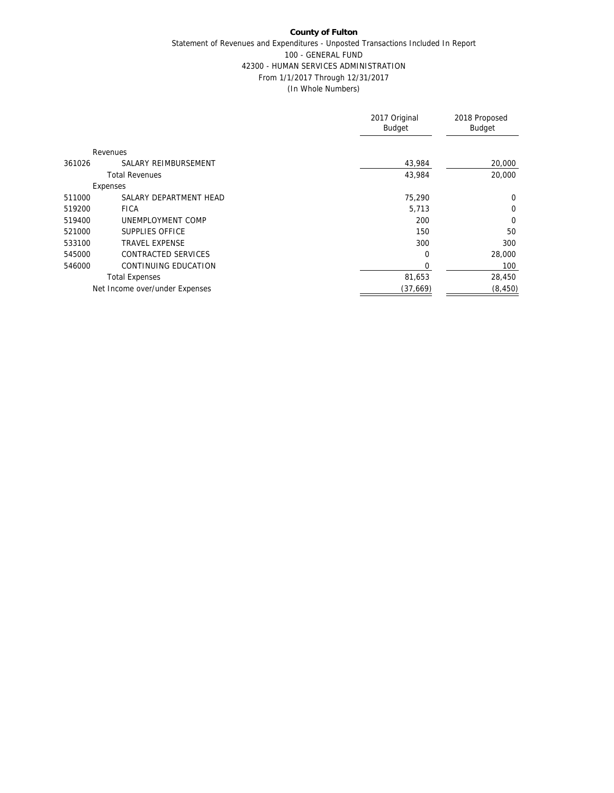## **County of Fulton** Statement of Revenues and Expenditures - Unposted Transactions Included In Report 100 - GENERAL FUND 42300 - HUMAN SERVICES ADMINISTRATION From 1/1/2017 Through 12/31/2017 (In Whole Numbers)

|        |                                | 2017 Original<br><b>Budget</b> | 2018 Proposed<br>Budget |
|--------|--------------------------------|--------------------------------|-------------------------|
|        | Revenues                       |                                |                         |
| 361026 | SALARY REIMBURSEMENT           | 43,984                         | 20,000                  |
|        | <b>Total Revenues</b>          | 43,984                         | 20,000                  |
|        | Expenses                       |                                |                         |
| 511000 | SALARY DEPARTMENT HEAD         | 75,290                         | 0                       |
| 519200 | <b>FICA</b>                    | 5,713                          | 0                       |
| 519400 | UNEMPLOYMENT COMP              | 200                            | $\Omega$                |
| 521000 | SUPPLIES OFFICE                | 150                            | 50                      |
| 533100 | <b>TRAVEL EXPENSE</b>          | 300                            | 300                     |
| 545000 | CONTRACTED SERVICES            | $\Omega$                       | 28,000                  |
| 546000 | CONTINUING EDUCATION           | $\Omega$                       | 100                     |
|        | <b>Total Expenses</b>          | 81,653                         | 28,450                  |
|        | Net Income over/under Expenses | (37,669)                       | (8, 450)                |
|        |                                |                                |                         |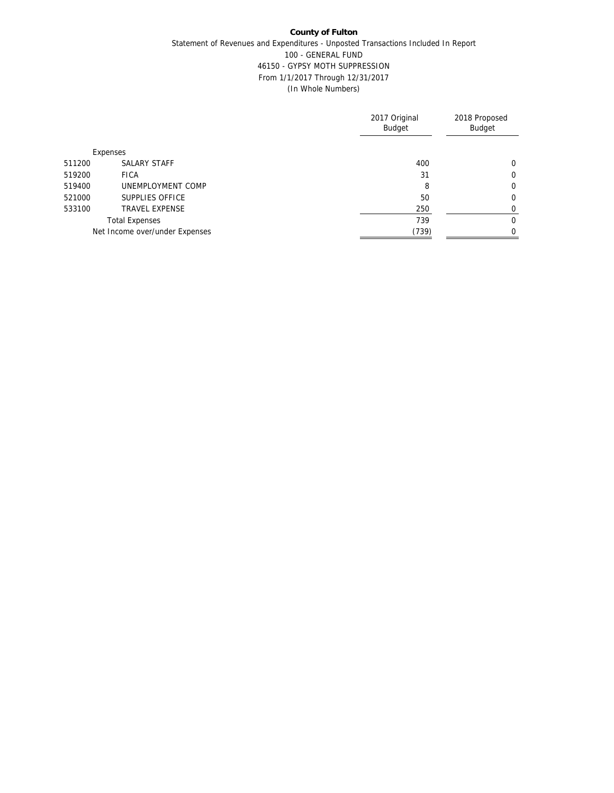## **County of Fulton** Statement of Revenues and Expenditures - Unposted Transactions Included In Report 100 - GENERAL FUND 46150 - GYPSY MOTH SUPPRESSION From 1/1/2017 Through 12/31/2017 (In Whole Numbers)

|        |                                | 2017 Original<br>Budget | 2018 Proposed<br><b>Budget</b> |
|--------|--------------------------------|-------------------------|--------------------------------|
|        | Expenses                       |                         |                                |
| 511200 | SALARY STAFF                   | 400                     | 0                              |
| 519200 | <b>FICA</b>                    | 31                      | $\mathbf 0$                    |
| 519400 | UNEMPLOYMENT COMP              | 8                       | 0                              |
| 521000 | SUPPLIES OFFICE                | 50                      | 0                              |
| 533100 | <b>TRAVEL EXPENSE</b>          | 250                     | 0                              |
|        | <b>Total Expenses</b>          | 739                     | 0                              |
|        | Net Income over/under Expenses | (739)                   | $\Omega$                       |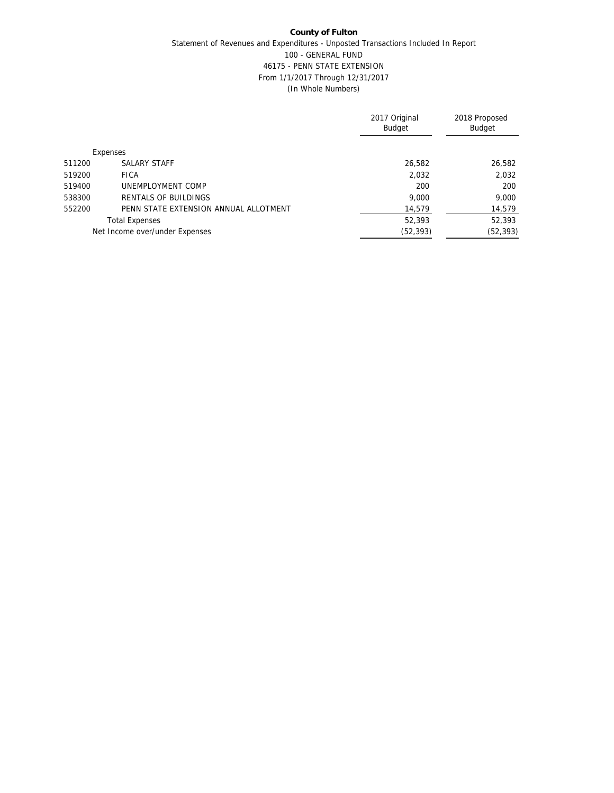## **County of Fulton** Statement of Revenues and Expenditures - Unposted Transactions Included In Report 100 - GENERAL FUND 46175 - PENN STATE EXTENSION From 1/1/2017 Through 12/31/2017 (In Whole Numbers)

|        |                                       | 2017 Original<br><b>Budget</b> | 2018 Proposed<br><b>Budget</b> |
|--------|---------------------------------------|--------------------------------|--------------------------------|
|        | Expenses                              |                                |                                |
| 511200 | SALARY STAFF                          | 26,582                         | 26,582                         |
| 519200 | <b>FICA</b>                           | 2,032                          | 2,032                          |
| 519400 | UNEMPLOYMENT COMP                     | 200                            | 200                            |
| 538300 | RENTALS OF BUILDINGS                  | 9,000                          | 9,000                          |
| 552200 | PENN STATE EXTENSION ANNUAL ALLOTMENT | 14,579                         | 14,579                         |
|        | <b>Total Expenses</b>                 | 52,393                         | 52,393                         |
|        | Net Income over/under Expenses        | (52, 393)                      | (52, 393)                      |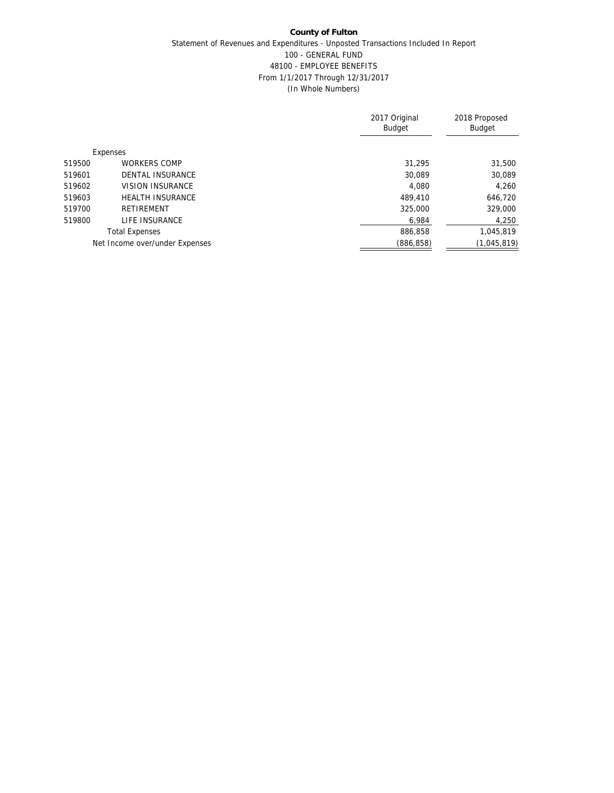## **County of Fulton** Statement of Revenues and Expenditures - Unposted Transactions Included In Report 100 - GENERAL FUND 48100 - EMPLOYEE BENEFITS From 1/1/2017 Through 12/31/2017 (In Whole Numbers)

|        |                                | 2017 Original<br><b>Budget</b> | 2018 Proposed<br><b>Budget</b> |
|--------|--------------------------------|--------------------------------|--------------------------------|
|        | Expenses                       |                                |                                |
| 519500 | <b>WORKERS COMP</b>            | 31,295                         | 31,500                         |
| 519601 | <b>DENTAL INSURANCE</b>        | 30,089                         | 30,089                         |
| 519602 | <b>VISION INSURANCE</b>        | 4.080                          | 4,260                          |
| 519603 | <b>HEALTH INSURANCE</b>        | 489,410                        | 646,720                        |
| 519700 | RETIREMENT                     | 325,000                        | 329,000                        |
| 519800 | LIFE INSURANCE                 | 6,984                          | 4,250                          |
|        | <b>Total Expenses</b>          | 886,858                        | 1,045,819                      |
|        | Net Income over/under Expenses | (886, 858)                     | (1,045,819)                    |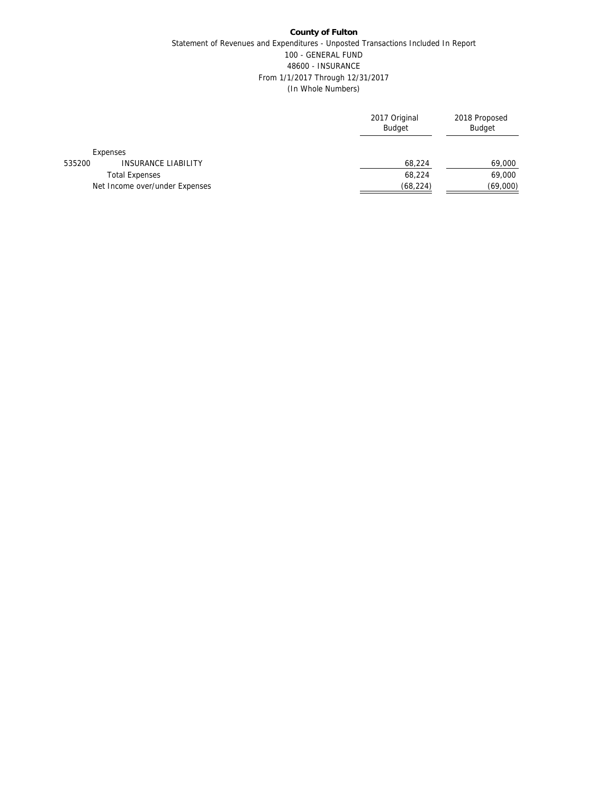## **County of Fulton** Statement of Revenues and Expenditures - Unposted Transactions Included In Report 100 - GENERAL FUND 48600 - INSURANCE From 1/1/2017 Through 12/31/2017 (In Whole Numbers)

|        |                                | 2017 Original<br><b>Budget</b> | 2018 Proposed<br><b>Budget</b> |
|--------|--------------------------------|--------------------------------|--------------------------------|
|        | Expenses                       |                                |                                |
| 535200 | <b>INSURANCE LIABILITY</b>     | 68,224                         | 69,000                         |
|        | <b>Total Expenses</b>          | 68,224                         | 69,000                         |
|        | Net Income over/under Expenses | (68, 224)                      | (69,000)                       |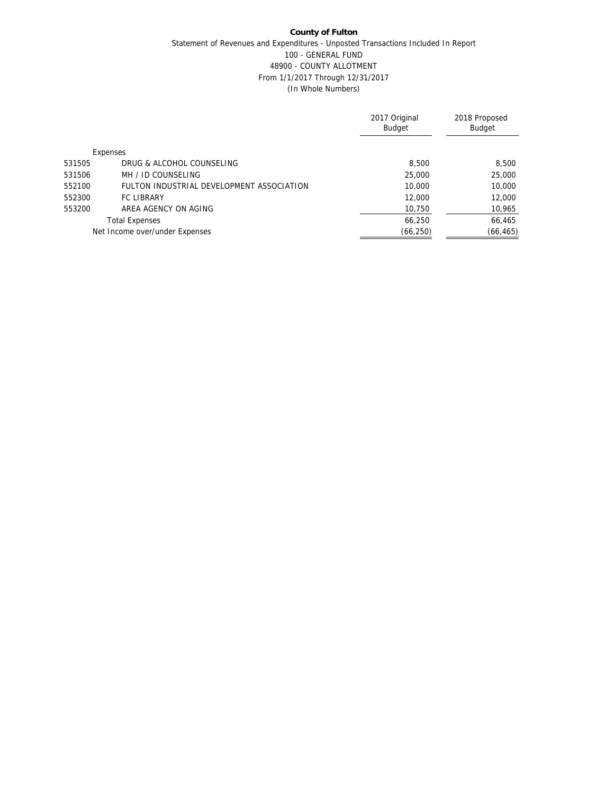## **County of Fulton** Statement of Revenues and Expenditures - Unposted Transactions Included In Report 100 - GENERAL FUND 48900 - COUNTY ALLOTMENT From 1/1/2017 Through 12/31/2017 (In Whole Numbers)

|        |                                           | 2017 Original<br><b>Budget</b> | 2018 Proposed<br><b>Budget</b> |
|--------|-------------------------------------------|--------------------------------|--------------------------------|
|        | Expenses                                  |                                |                                |
| 531505 | DRUG & ALCOHOL COUNSELING                 | 8,500                          | 8,500                          |
| 531506 | MH / ID COUNSELING                        | 25,000                         | 25,000                         |
| 552100 | FULTON INDUSTRIAL DEVELOPMENT ASSOCIATION | 10,000                         | 10,000                         |
| 552300 | <b>FC LIBRARY</b>                         | 12,000                         | 12,000                         |
| 553200 | AREA AGENCY ON AGING                      | 10,750                         | 10,965                         |
|        | <b>Total Expenses</b>                     | 66,250                         | 66,465                         |
|        | Net Income over/under Expenses            | (66, 250)                      | (66, 465)                      |
|        |                                           |                                |                                |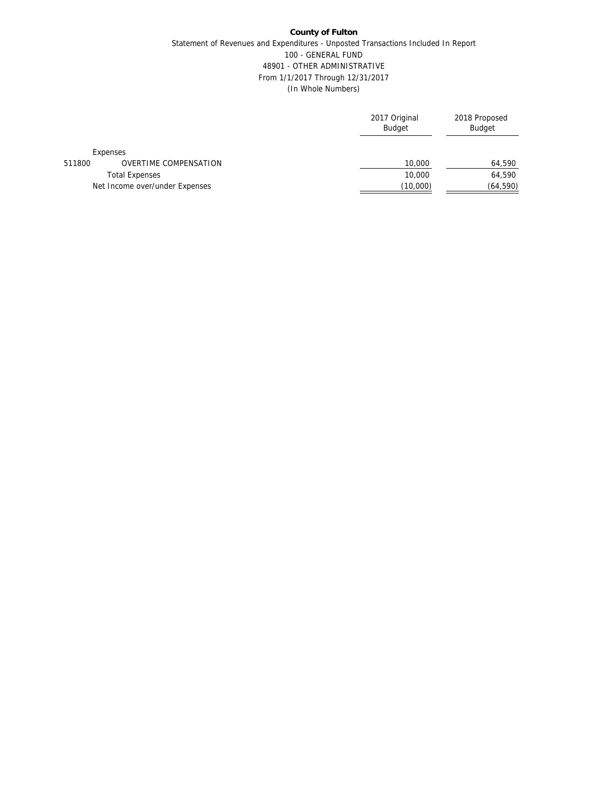## **County of Fulton** Statement of Revenues and Expenditures - Unposted Transactions Included In Report 100 - GENERAL FUND 48901 - OTHER ADMINISTRATIVE From 1/1/2017 Through 12/31/2017 (In Whole Numbers)

|        |                                | 2017 Original<br><b>Budget</b> | 2018 Proposed<br><b>Budget</b> |
|--------|--------------------------------|--------------------------------|--------------------------------|
|        | Expenses                       |                                |                                |
| 511800 | <b>OVERTIME COMPENSATION</b>   | 10,000                         | 64,590                         |
|        | <b>Total Expenses</b>          | 10,000                         | 64,590                         |
|        | Net Income over/under Expenses | (10,000)                       | (64, 590)                      |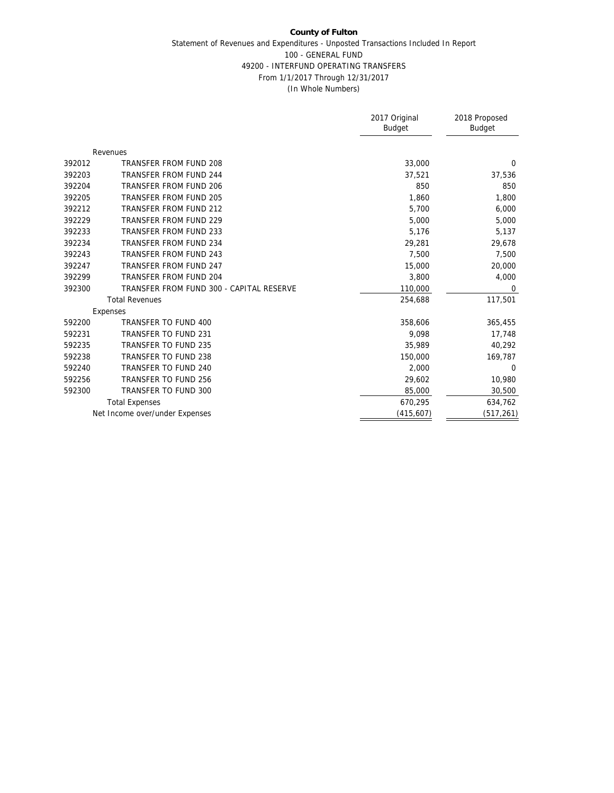#### **County of Fulton** Statement of Revenues and Expenditures - Unposted Transactions Included In Report 100 - GENERAL FUND 49200 - INTERFUND OPERATING TRANSFERS From 1/1/2017 Through 12/31/2017 (In Whole Numbers)

|        |                                          | 2017 Original<br><b>Budget</b> | 2018 Proposed<br><b>Budget</b> |
|--------|------------------------------------------|--------------------------------|--------------------------------|
|        | Revenues                                 |                                |                                |
| 392012 | TRANSFER FROM FUND 208                   | 33,000                         | $\Omega$                       |
| 392203 | <b>TRANSFER FROM FUND 244</b>            | 37,521                         | 37,536                         |
| 392204 | TRANSFER FROM FUND 206                   | 850                            | 850                            |
| 392205 | TRANSFER FROM FUND 205                   | 1,860                          | 1,800                          |
| 392212 | TRANSFER FROM FUND 212                   | 5,700                          | 6,000                          |
| 392229 | TRANSFER FROM FUND 229                   | 5,000                          | 5,000                          |
| 392233 | <b>TRANSFER FROM FUND 233</b>            | 5,176                          | 5,137                          |
| 392234 | <b>TRANSFER FROM FUND 234</b>            | 29,281                         | 29,678                         |
| 392243 | <b>TRANSFER FROM FUND 243</b>            | 7,500                          | 7,500                          |
| 392247 | <b>TRANSFER FROM FUND 247</b>            | 15,000                         | 20,000                         |
| 392299 | <b>TRANSFER FROM FUND 204</b>            | 3,800                          | 4,000                          |
| 392300 | TRANSFER FROM FUND 300 - CAPITAL RESERVE | 110,000                        | 0                              |
|        | <b>Total Revenues</b>                    | 254,688                        | 117,501                        |
|        | Expenses                                 |                                |                                |
| 592200 | TRANSFER TO FUND 400                     | 358,606                        | 365,455                        |
| 592231 | <b>TRANSFER TO FUND 231</b>              | 9,098                          | 17,748                         |
| 592235 | TRANSFER TO FUND 235                     | 35.989                         | 40,292                         |
| 592238 | TRANSFER TO FUND 238                     | 150,000                        | 169,787                        |
| 592240 | TRANSFER TO FUND 240                     | 2,000                          | $\mathbf 0$                    |
| 592256 | TRANSFER TO FUND 256                     | 29,602                         | 10,980                         |
| 592300 | TRANSFER TO FUND 300                     | 85,000                         | 30,500                         |
|        | <b>Total Expenses</b>                    | 670,295                        | 634,762                        |
|        | Net Income over/under Expenses           | (415, 607)                     | (517, 261)                     |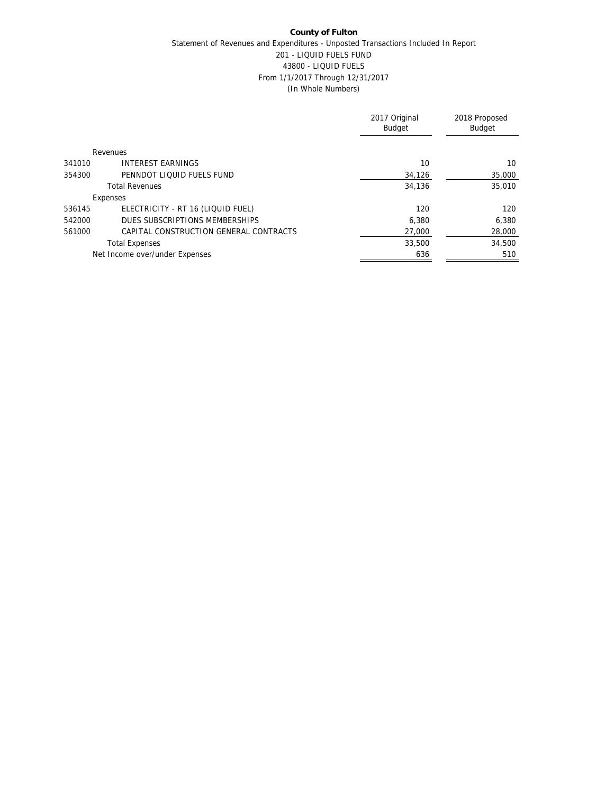## **County of Fulton** Statement of Revenues and Expenditures - Unposted Transactions Included In Report 201 - LIQUID FUELS FUND 43800 - LIQUID FUELS From 1/1/2017 Through 12/31/2017 (In Whole Numbers)

|                                                  | 2017 Original<br>Budget | 2018 Proposed<br><b>Budget</b> |
|--------------------------------------------------|-------------------------|--------------------------------|
| Revenues                                         |                         |                                |
| <b>INTEREST EARNINGS</b><br>341010               | 10                      | 10                             |
| 354300<br>PENNDOT LIQUID FUELS FUND              | 34,126                  | 35,000                         |
| <b>Total Revenues</b>                            | 34,136                  | 35,010                         |
| Expenses                                         |                         |                                |
| ELECTRICITY - RT 16 (LIQUID FUEL)<br>536145      | 120                     | 120                            |
| DUES SUBSCRIPTIONS MEMBERSHIPS<br>542000         | 6.380                   | 6,380                          |
| 561000<br>CAPITAL CONSTRUCTION GENERAL CONTRACTS | 27,000                  | 28,000                         |
| <b>Total Expenses</b>                            | 33,500                  | 34,500                         |
| Net Income over/under Expenses                   | 636                     | 510                            |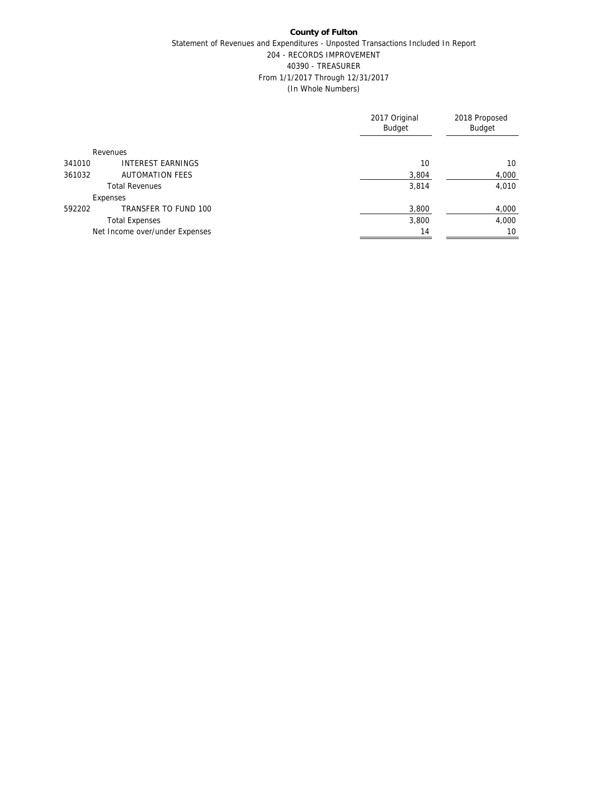## **County of Fulton** Statement of Revenues and Expenditures - Unposted Transactions Included In Report 204 - RECORDS IMPROVEMENT 40390 - TREASURER From 1/1/2017 Through 12/31/2017 (In Whole Numbers)

|                                  | 2017 Original<br>Budget | 2018 Proposed<br>Budget |
|----------------------------------|-------------------------|-------------------------|
| Revenues                         |                         |                         |
| INTEREST EARNINGS<br>341010      | 10                      | 10                      |
| 361032<br><b>AUTOMATION FEES</b> | 3,804                   | 4,000                   |
| <b>Total Revenues</b>            | 3,814                   | 4,010                   |
| Expenses                         |                         |                         |
| TRANSFER TO FUND 100<br>592202   | 3,800                   | 4,000                   |
| <b>Total Expenses</b>            | 3,800                   | 4,000                   |
| Net Income over/under Expenses   | 14                      | 10                      |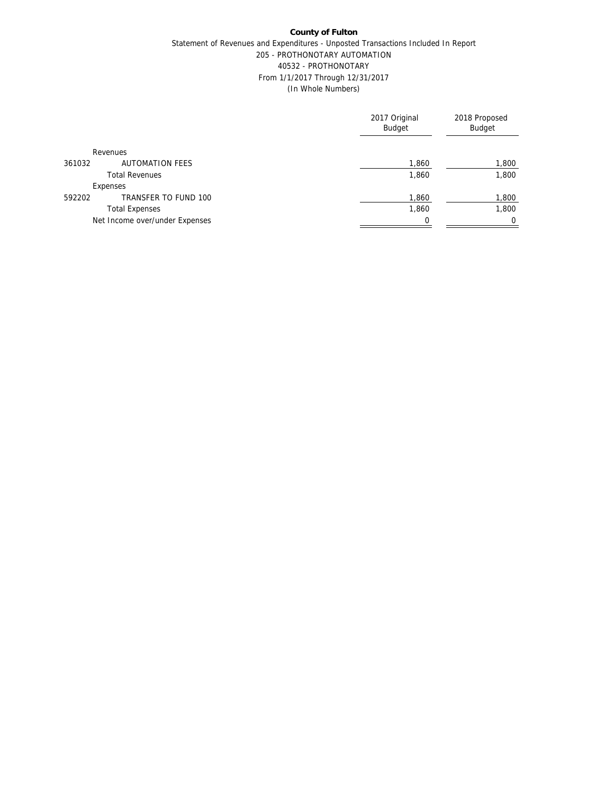## **County of Fulton** Statement of Revenues and Expenditures - Unposted Transactions Included In Report 205 - PROTHONOTARY AUTOMATION 40532 - PROTHONOTARY From 1/1/2017 Through 12/31/2017 (In Whole Numbers)

|                                  | 2017 Original<br><b>Budget</b> | 2018 Proposed<br>Budget |
|----------------------------------|--------------------------------|-------------------------|
| Revenues                         |                                |                         |
| <b>AUTOMATION FEES</b><br>361032 | 1,860                          | 1,800                   |
| <b>Total Revenues</b>            | 1,860                          | 1,800                   |
| Expenses                         |                                |                         |
| TRANSFER TO FUND 100<br>592202   | 1,860                          | 1,800                   |
| <b>Total Expenses</b>            | 1,860                          | 1,800                   |
| Net Income over/under Expenses   |                                | $\Omega$                |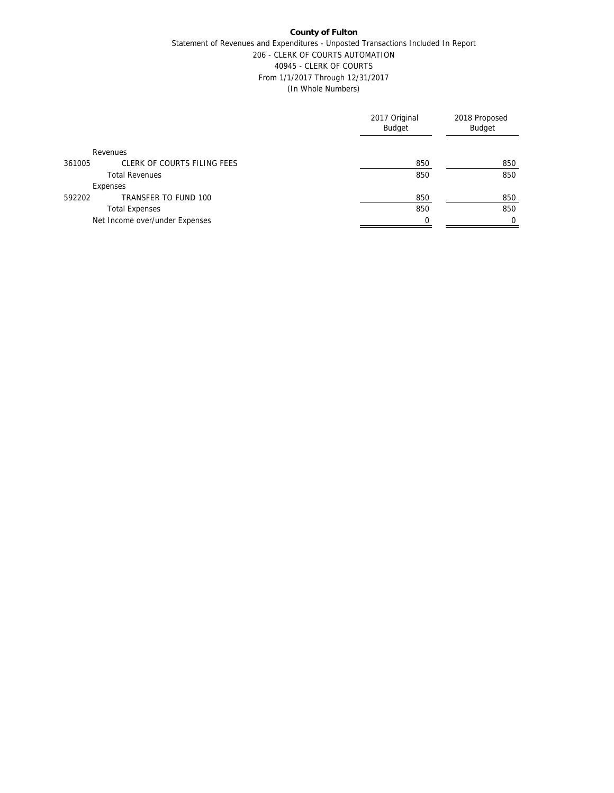## Statement of Revenues and Expenditures - Unposted Transactions Included In Report 206 - CLERK OF COURTS AUTOMATION 40945 - CLERK OF COURTS From 1/1/2017 Through 12/31/2017 (In Whole Numbers)

|                                       | 2017 Original<br><b>Budget</b> | 2018 Proposed<br>Budget |
|---------------------------------------|--------------------------------|-------------------------|
| Revenues                              |                                |                         |
| CLERK OF COURTS FILING FEES<br>361005 | 850                            | 850                     |
| <b>Total Revenues</b>                 | 850                            | 850                     |
| Expenses                              |                                |                         |
| TRANSFER TO FUND 100<br>592202        | 850                            | 850                     |
| <b>Total Expenses</b>                 | 850                            | 850                     |
| Net Income over/under Expenses        |                                | $\Omega$                |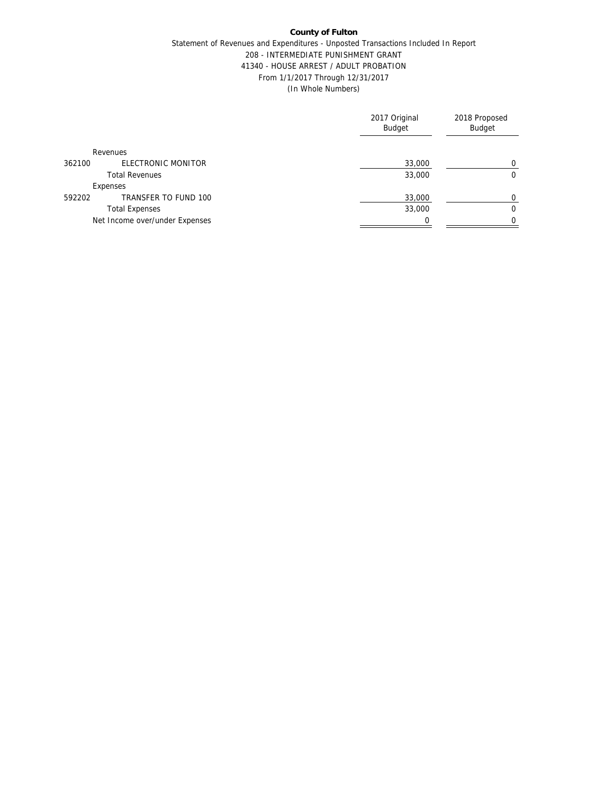### Statement of Revenues and Expenditures - Unposted Transactions Included In Report 208 - INTERMEDIATE PUNISHMENT GRANT 41340 - HOUSE ARREST / ADULT PROBATION From 1/1/2017 Through 12/31/2017 (In Whole Numbers)

|                                | 2017 Original<br>Budget | 2018 Proposed<br>Budget |
|--------------------------------|-------------------------|-------------------------|
| Revenues                       |                         |                         |
| ELECTRONIC MONITOR<br>362100   | 33,000                  | 0                       |
| <b>Total Revenues</b>          | 33,000                  | 0                       |
| Expenses                       |                         |                         |
| TRANSFER TO FUND 100<br>592202 | 33,000                  | $\Omega$                |
| <b>Total Expenses</b>          | 33,000                  | $\Omega$                |
| Net Income over/under Expenses |                         | $\Omega$                |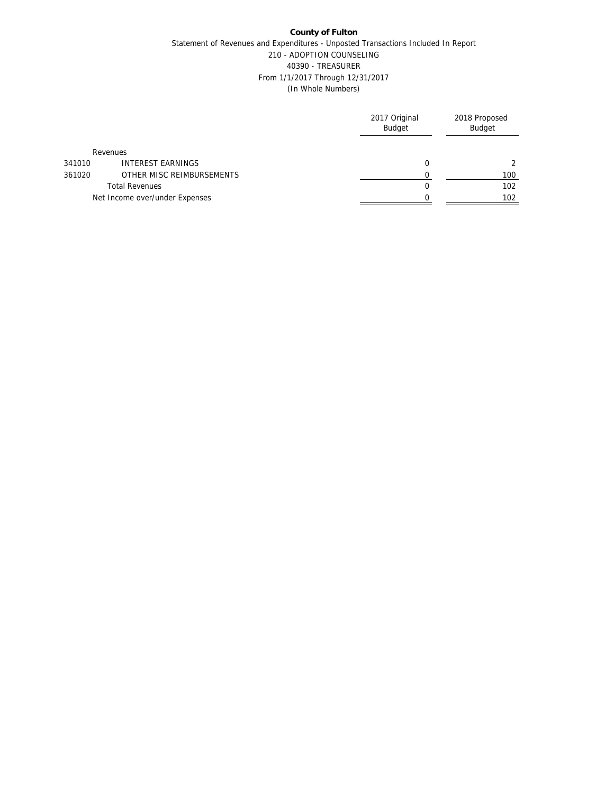## **County of Fulton** Statement of Revenues and Expenditures - Unposted Transactions Included In Report 210 - ADOPTION COUNSELING 40390 - TREASURER From 1/1/2017 Through 12/31/2017 (In Whole Numbers)

|        |                                | 2017 Original<br><b>Budget</b> | 2018 Proposed<br>Budget |
|--------|--------------------------------|--------------------------------|-------------------------|
|        | Revenues                       |                                |                         |
| 341010 | <b>INTEREST EARNINGS</b>       | 0                              |                         |
| 361020 | OTHER MISC REIMBURSEMENTS      |                                | 100                     |
|        | <b>Total Revenues</b>          |                                | 102                     |
|        | Net Income over/under Expenses |                                | 102                     |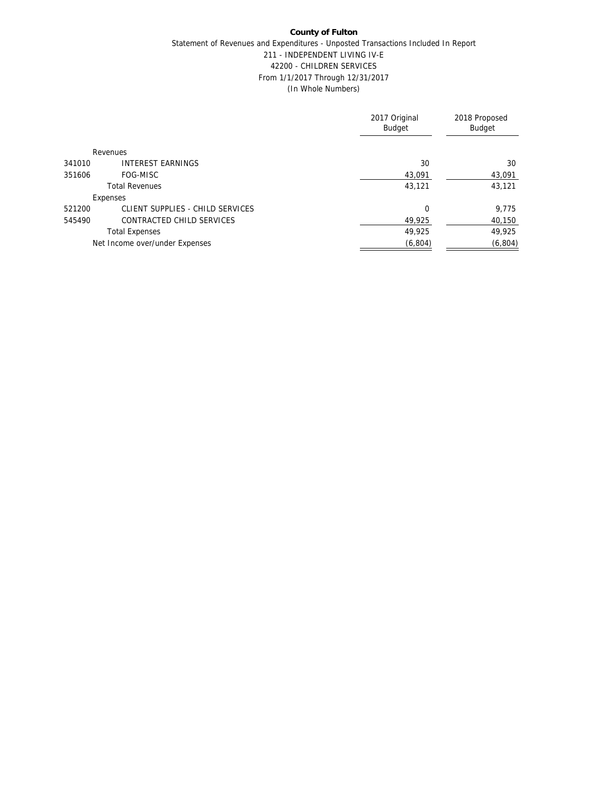## **County of Fulton** Statement of Revenues and Expenditures - Unposted Transactions Included In Report 211 - INDEPENDENT LIVING IV-E 42200 - CHILDREN SERVICES From 1/1/2017 Through 12/31/2017 (In Whole Numbers)

|        |                                  | 2017 Original<br><b>Budget</b> | 2018 Proposed<br>Budget |
|--------|----------------------------------|--------------------------------|-------------------------|
|        | Revenues                         |                                |                         |
| 341010 | <b>INTEREST EARNINGS</b>         | 30                             | 30                      |
| 351606 | FOG-MISC                         | 43.091                         | 43.091                  |
|        | <b>Total Revenues</b>            | 43.121                         | 43,121                  |
|        | Expenses                         |                                |                         |
| 521200 | CLIENT SUPPLIES - CHILD SERVICES | $\Omega$                       | 9,775                   |
| 545490 | CONTRACTED CHILD SERVICES        | 49,925                         | 40,150                  |
|        | <b>Total Expenses</b>            | 49,925                         | 49,925                  |
|        | Net Income over/under Expenses   | (6, 804)                       | (6, 804)                |
|        |                                  |                                |                         |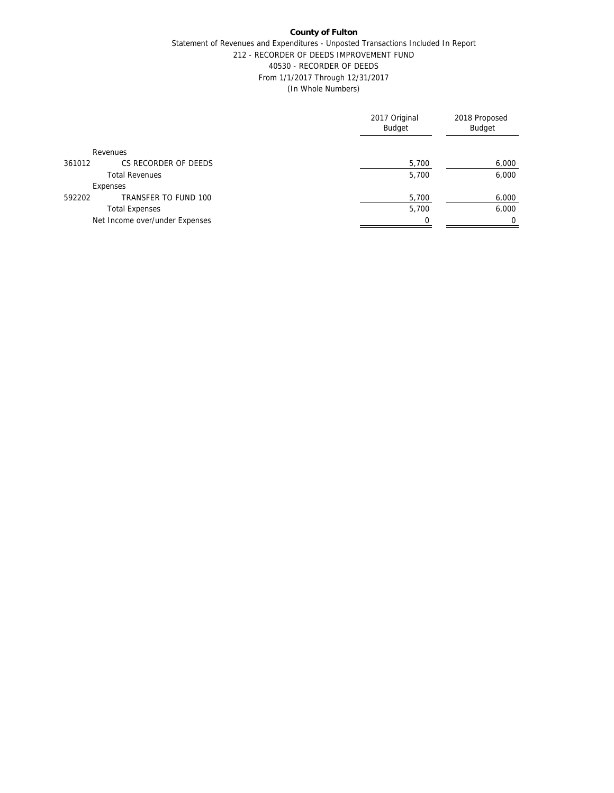## Statement of Revenues and Expenditures - Unposted Transactions Included In Report 212 - RECORDER OF DEEDS IMPROVEMENT FUND 40530 - RECORDER OF DEEDS From 1/1/2017 Through 12/31/2017 (In Whole Numbers)

|                                | 2017 Original<br><b>Budget</b> | 2018 Proposed<br>Budget |
|--------------------------------|--------------------------------|-------------------------|
| Revenues                       |                                |                         |
| CS RECORDER OF DEEDS<br>361012 | 5,700                          | 6,000                   |
| <b>Total Revenues</b>          | 5.700                          | 6,000                   |
| Expenses                       |                                |                         |
| TRANSFER TO FUND 100<br>592202 | 5,700                          | 6,000                   |
| <b>Total Expenses</b>          | 5,700                          | 6,000                   |
| Net Income over/under Expenses |                                | $\Omega$                |
|                                |                                |                         |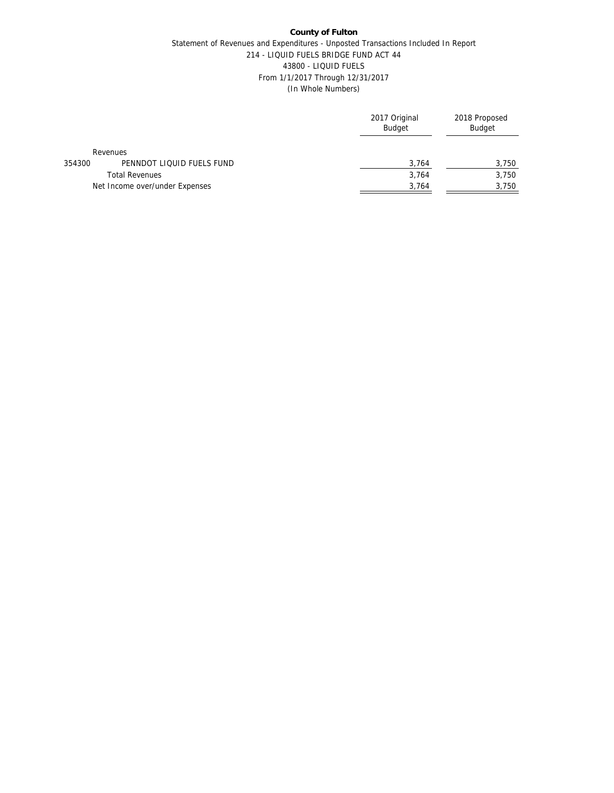### **County of Fulton** Statement of Revenues and Expenditures - Unposted Transactions Included In Report 214 - LIQUID FUELS BRIDGE FUND ACT 44 43800 - LIQUID FUELS From 1/1/2017 Through 12/31/2017 (In Whole Numbers)

|                                     | 2017 Original<br>Budget | 2018 Proposed<br><b>Budget</b> |
|-------------------------------------|-------------------------|--------------------------------|
| Revenues                            |                         |                                |
| PENNDOT LIQUID FUELS FUND<br>354300 | 3,764                   | 3,750                          |
| <b>Total Revenues</b>               | 3,764                   | 3,750                          |
| Net Income over/under Expenses      | 3,764                   | 3,750                          |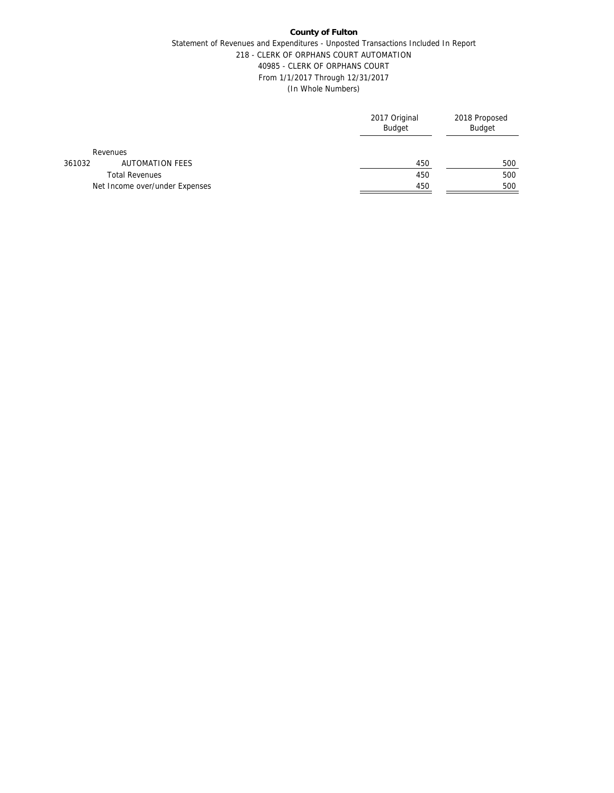## Statement of Revenues and Expenditures - Unposted Transactions Included In Report 218 - CLERK OF ORPHANS COURT AUTOMATION 40985 - CLERK OF ORPHANS COURT From 1/1/2017 Through 12/31/2017 (In Whole Numbers)

|        |                                | 2017 Original<br><b>Budget</b> | 2018 Proposed<br><b>Budget</b> |
|--------|--------------------------------|--------------------------------|--------------------------------|
|        | Revenues                       |                                |                                |
| 361032 | AUTOMATION FEES                | 450                            | 500                            |
|        | <b>Total Revenues</b>          | 450                            | 500                            |
|        | Net Income over/under Expenses | 450                            | 500                            |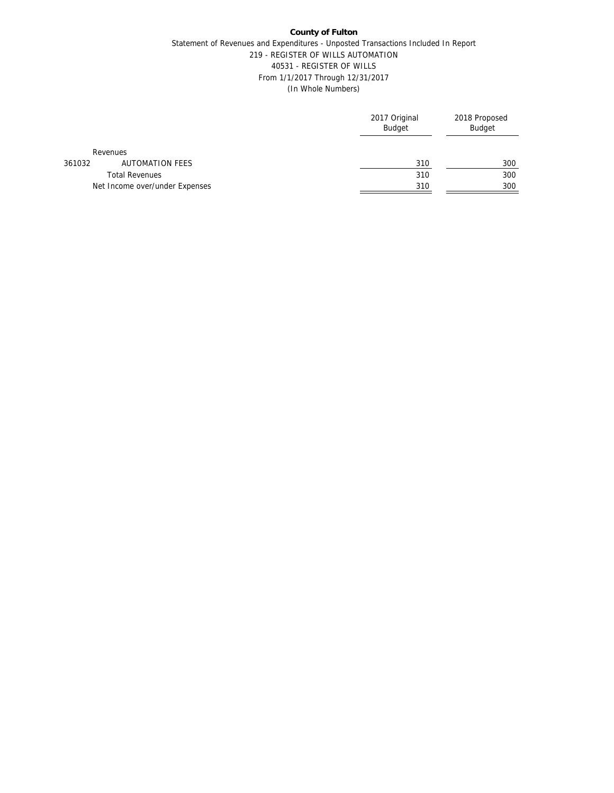## Statement of Revenues and Expenditures - Unposted Transactions Included In Report 219 - REGISTER OF WILLS AUTOMATION 40531 - REGISTER OF WILLS From 1/1/2017 Through 12/31/2017 (In Whole Numbers)

|        |                                | 2017 Original<br><b>Budget</b> | 2018 Proposed<br><b>Budget</b> |
|--------|--------------------------------|--------------------------------|--------------------------------|
|        | Revenues                       |                                |                                |
| 361032 | AUTOMATION FEES                | 310                            | 300                            |
|        | <b>Total Revenues</b>          | 310                            | 300                            |
|        | Net Income over/under Expenses | 310                            | 300                            |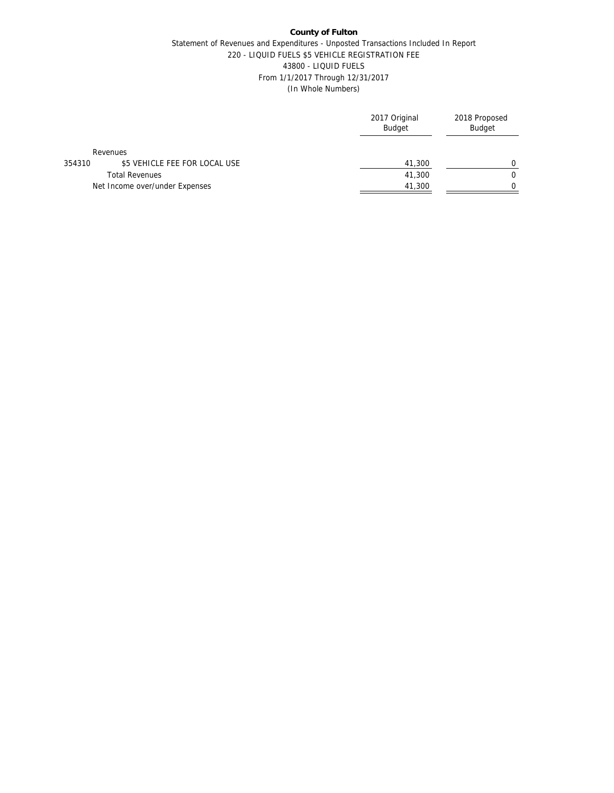## Statement of Revenues and Expenditures - Unposted Transactions Included In Report 220 - LIQUID FUELS \$5 VEHICLE REGISTRATION FEE 43800 - LIQUID FUELS From 1/1/2017 Through 12/31/2017 (In Whole Numbers)

|        |                                | 2017 Original<br><b>Budget</b> | 2018 Proposed<br>Budget |
|--------|--------------------------------|--------------------------------|-------------------------|
|        | Revenues                       |                                |                         |
| 354310 | \$5 VEHICLE FEE FOR LOCAL USE  | 41,300                         |                         |
|        | <b>Total Revenues</b>          | 41,300                         |                         |
|        | Net Income over/under Expenses | 41,300                         |                         |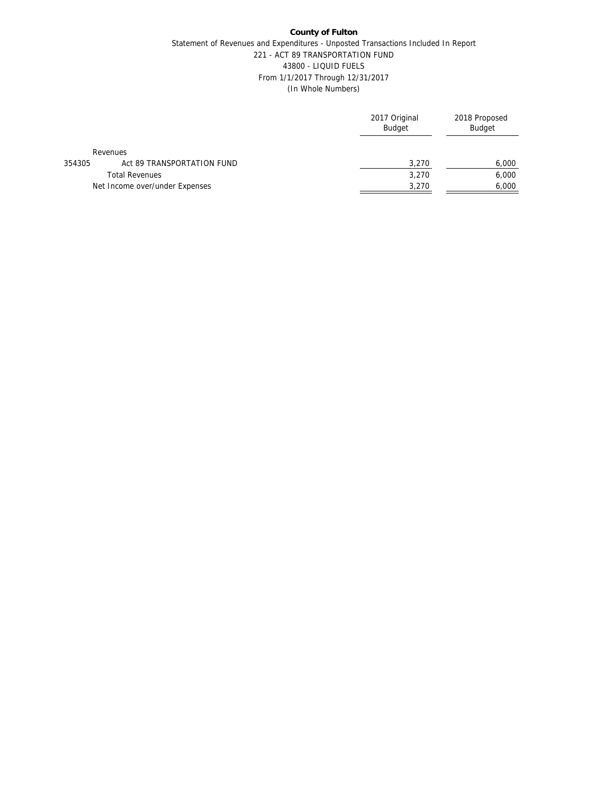## **County of Fulton** Statement of Revenues and Expenditures - Unposted Transactions Included In Report 221 - ACT 89 TRANSPORTATION FUND 43800 - LIQUID FUELS From 1/1/2017 Through 12/31/2017 (In Whole Numbers)

|        |                                | 2017 Original<br>Budget | 2018 Proposed<br><b>Budget</b> |
|--------|--------------------------------|-------------------------|--------------------------------|
|        | Revenues                       |                         |                                |
| 354305 | Act 89 TRANSPORTATION FUND     | 3,270                   | 6,000                          |
|        | <b>Total Revenues</b>          | 3.270                   | 6,000                          |
|        | Net Income over/under Expenses | 3,270                   | 6,000                          |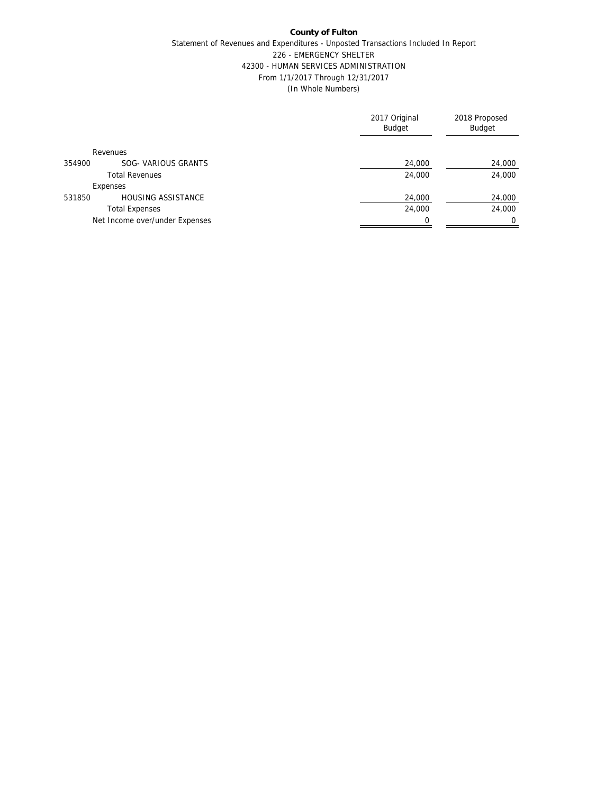## **County of Fulton** Statement of Revenues and Expenditures - Unposted Transactions Included In Report 226 - EMERGENCY SHELTER 42300 - HUMAN SERVICES ADMINISTRATION From 1/1/2017 Through 12/31/2017 (In Whole Numbers)

|                                     | 2017 Original<br><b>Budget</b> | 2018 Proposed<br>Budget |
|-------------------------------------|--------------------------------|-------------------------|
| Revenues                            |                                |                         |
| SOG- VARIOUS GRANTS<br>354900       | 24,000                         | 24,000                  |
| <b>Total Revenues</b>               | 24,000                         | 24,000                  |
| Expenses                            |                                |                         |
| <b>HOUSING ASSISTANCE</b><br>531850 | 24,000                         | 24,000                  |
| <b>Total Expenses</b>               | 24,000                         | 24,000                  |
| Net Income over/under Expenses      |                                |                         |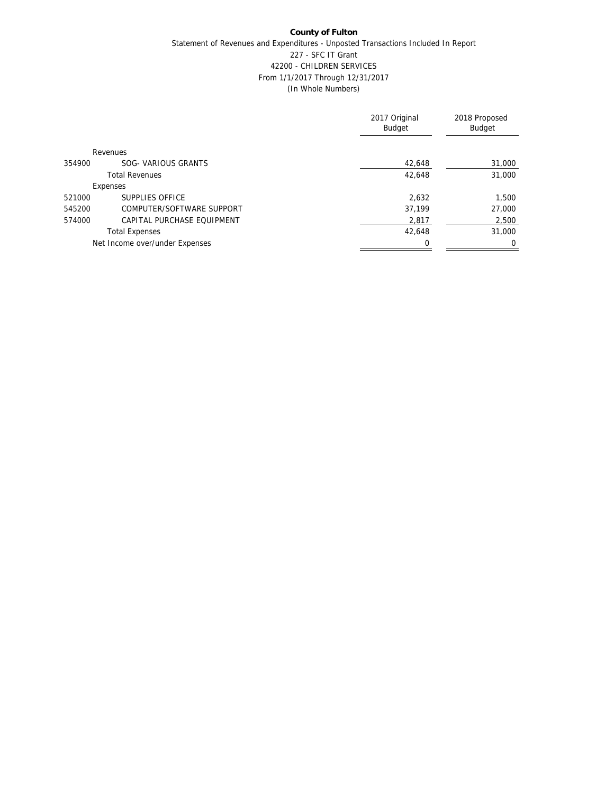## **County of Fulton** Statement of Revenues and Expenditures - Unposted Transactions Included In Report 227 - SFC IT Grant 42200 - CHILDREN SERVICES From 1/1/2017 Through 12/31/2017 (In Whole Numbers)

|        |                                | 2017 Original<br>Budget | 2018 Proposed<br>Budget |
|--------|--------------------------------|-------------------------|-------------------------|
|        | Revenues                       |                         |                         |
| 354900 | SOG- VARIOUS GRANTS            | 42,648                  | 31,000                  |
|        | <b>Total Revenues</b>          | 42,648                  | 31,000                  |
|        | Expenses                       |                         |                         |
| 521000 | SUPPLIES OFFICE                | 2.632                   | 1,500                   |
| 545200 | COMPUTER/SOFTWARE SUPPORT      | 37,199                  | 27,000                  |
| 574000 | CAPITAL PURCHASE FOUIPMENT     | 2,817                   | 2,500                   |
|        | <b>Total Expenses</b>          | 42,648                  | 31,000                  |
|        | Net Income over/under Expenses |                         | 0                       |
|        |                                |                         |                         |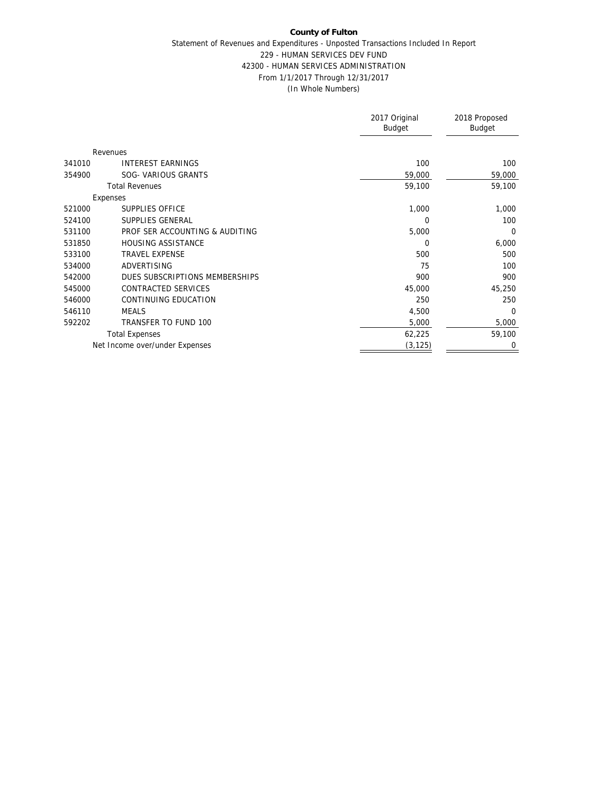#### Statement of Revenues and Expenditures - Unposted Transactions Included In Report 229 - HUMAN SERVICES DEV FUND 42300 - HUMAN SERVICES ADMINISTRATION From 1/1/2017 Through 12/31/2017 (In Whole Numbers)

|                                     |                                | 2017 Original<br><b>Budget</b> | 2018 Proposed<br>Budget |
|-------------------------------------|--------------------------------|--------------------------------|-------------------------|
| Revenues                            |                                |                                |                         |
| <b>INTEREST EARNINGS</b><br>341010  |                                | 100                            | 100                     |
| SOG- VARIOUS GRANTS<br>354900       |                                | 59,000                         | 59,000                  |
| <b>Total Revenues</b>               |                                | 59,100                         | 59,100                  |
| Expenses                            |                                |                                |                         |
| SUPPLIES OFFICE<br>521000           |                                | 1,000                          | 1,000                   |
| SUPPLIES GENERAL<br>524100          |                                | 0                              | 100                     |
| 531100                              | PROF SER ACCOUNTING & AUDITING | 5,000                          | $\Omega$                |
| 531850<br><b>HOUSING ASSISTANCE</b> |                                | 0                              | 6,000                   |
| <b>TRAVEL EXPENSE</b><br>533100     |                                | 500                            | 500                     |
| 534000<br>ADVERTISING               |                                | 75                             | 100                     |
| 542000                              | DUES SUBSCRIPTIONS MEMBERSHIPS | 900                            | 900                     |
| CONTRACTED SERVICES<br>545000       |                                | 45,000                         | 45,250                  |
| CONTINUING EDUCATION<br>546000      |                                | 250                            | 250                     |
| 546110<br><b>MEALS</b>              |                                | 4,500                          | $\Omega$                |
| 592202<br>TRANSFER TO FUND 100      |                                | 5,000                          | 5,000                   |
| <b>Total Expenses</b>               |                                | 62,225                         | 59,100                  |
| Net Income over/under Expenses      |                                | (3, 125)                       | $\mathbf 0$             |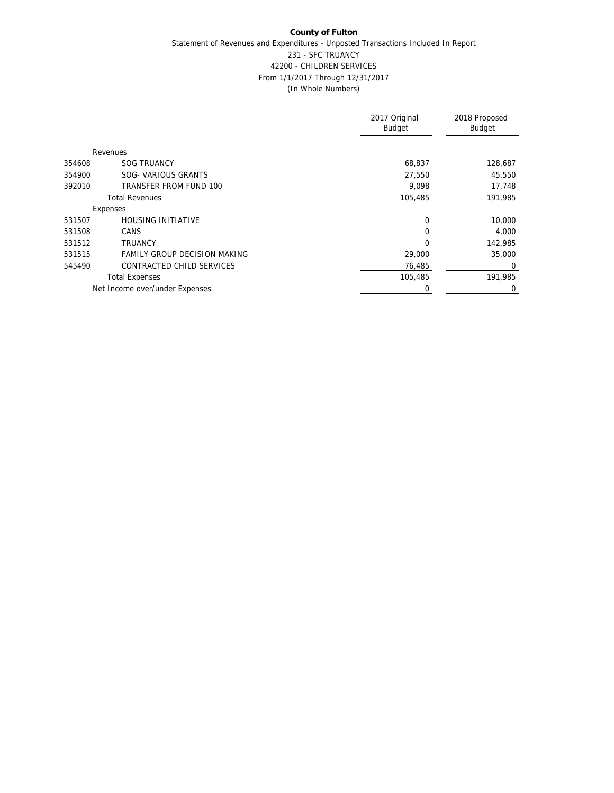## **County of Fulton** Statement of Revenues and Expenditures - Unposted Transactions Included In Report 231 - SFC TRUANCY 42200 - CHILDREN SERVICES From 1/1/2017 Through 12/31/2017 (In Whole Numbers)

|        |                                     | 2017 Original<br><b>Budget</b> | 2018 Proposed<br>Budget |
|--------|-------------------------------------|--------------------------------|-------------------------|
|        | Revenues                            |                                |                         |
| 354608 | <b>SOG TRUANCY</b>                  | 68,837                         | 128,687                 |
| 354900 | SOG- VARIOUS GRANTS                 | 27,550                         | 45,550                  |
| 392010 | TRANSFER FROM FUND 100              | 9,098                          | 17,748                  |
|        | <b>Total Revenues</b>               | 105,485                        | 191,985                 |
|        | Expenses                            |                                |                         |
| 531507 | <b>HOUSING INITIATIVE</b>           | 0                              | 10,000                  |
| 531508 | <b>CANS</b>                         | $\Omega$                       | 4,000                   |
| 531512 | <b>TRUANCY</b>                      | $\Omega$                       | 142,985                 |
| 531515 | <b>FAMILY GROUP DECISION MAKING</b> | 29,000                         | 35,000                  |
| 545490 | CONTRACTED CHILD SERVICES           | 76,485                         | $\Omega$                |
|        | <b>Total Expenses</b>               | 105,485                        | 191,985                 |
|        | Net Income over/under Expenses      | 0                              | 0                       |
|        |                                     |                                |                         |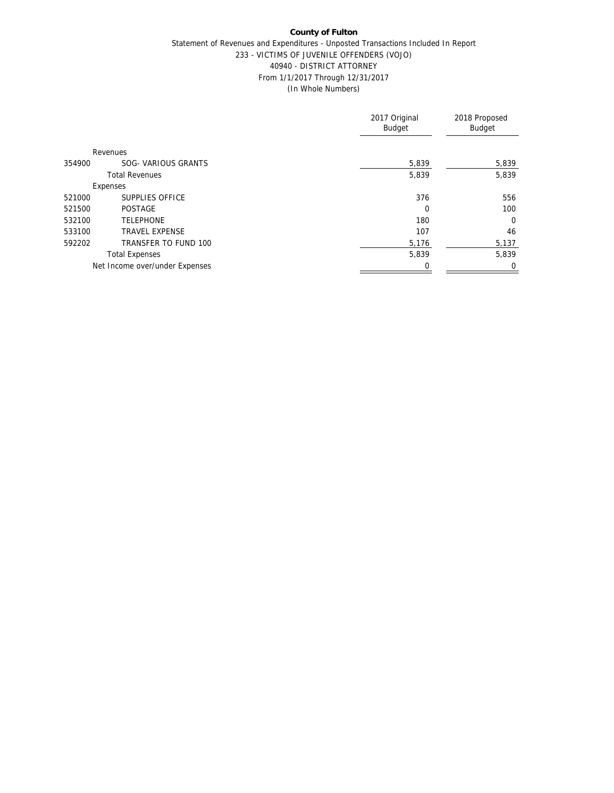#### Statement of Revenues and Expenditures - Unposted Transactions Included In Report 233 - VICTIMS OF JUVENILE OFFENDERS (VOJO) 40940 - DISTRICT ATTORNEY From 1/1/2017 Through 12/31/2017 (In Whole Numbers)

|                                 | 2017 Original<br><b>Budget</b> | 2018 Proposed<br>Budget |
|---------------------------------|--------------------------------|-------------------------|
| Revenues                        |                                |                         |
| SOG- VARIOUS GRANTS<br>354900   | 5,839                          | 5,839                   |
| <b>Total Revenues</b>           | 5,839                          | 5,839                   |
| Expenses                        |                                |                         |
| SUPPLIES OFFICE<br>521000       | 376                            | 556                     |
| 521500<br><b>POSTAGE</b>        | 0                              | 100                     |
| <b>TELEPHONE</b><br>532100      | 180                            | $\overline{0}$          |
| <b>TRAVEL EXPENSE</b><br>533100 | 107                            | 46                      |
| 592202<br>TRANSFER TO FUND 100  | 5,176                          | 5,137                   |
| <b>Total Expenses</b>           | 5,839                          | 5,839                   |
| Net Income over/under Expenses  | 0                              | 0                       |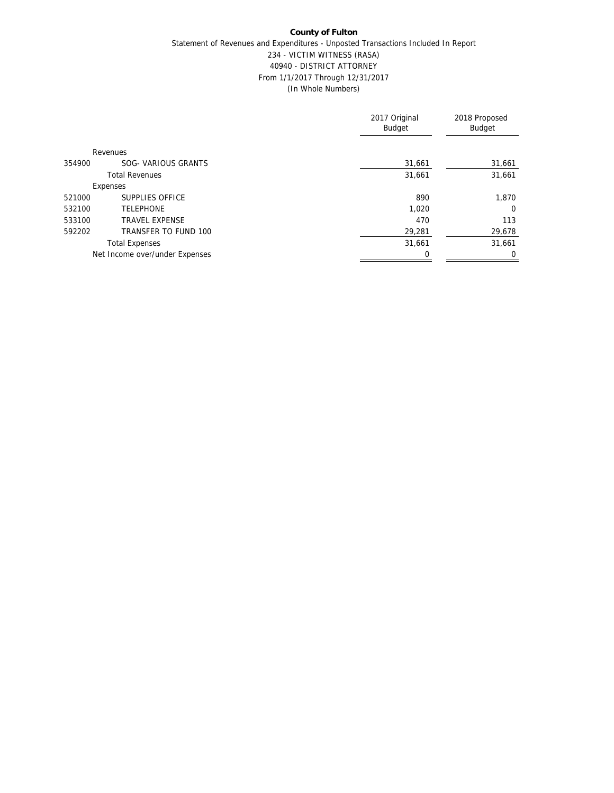# **County of Fulton** Statement of Revenues and Expenditures - Unposted Transactions Included In Report 234 - VICTIM WITNESS (RASA) 40940 - DISTRICT ATTORNEY From 1/1/2017 Through 12/31/2017 (In Whole Numbers)

|        |                                | 2017 Original<br><b>Budget</b> | 2018 Proposed<br><b>Budget</b> |
|--------|--------------------------------|--------------------------------|--------------------------------|
|        | Revenues                       |                                |                                |
| 354900 | SOG- VARIOUS GRANTS            | 31,661                         | 31,661                         |
|        | <b>Total Revenues</b>          | 31,661                         | 31,661                         |
|        | Expenses                       |                                |                                |
| 521000 | SUPPLIES OFFICE                | 890                            | 1,870                          |
| 532100 | <b>TELEPHONE</b>               | 1,020                          | $\Omega$                       |
| 533100 | <b>TRAVEL EXPENSE</b>          | 470                            | 113                            |
| 592202 | TRANSFER TO FUND 100           | 29,281                         | 29,678                         |
|        | <b>Total Expenses</b>          | 31,661                         | 31,661                         |
|        | Net Income over/under Expenses |                                | $\mathbf 0$                    |
|        |                                |                                |                                |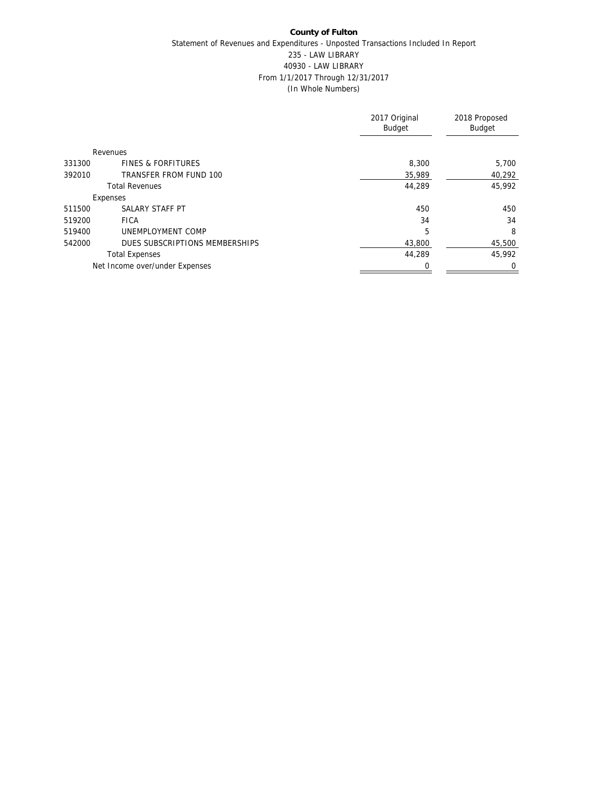# **County of Fulton** Statement of Revenues and Expenditures - Unposted Transactions Included In Report 235 - LAW LIBRARY 40930 - LAW LIBRARY From 1/1/2017 Through 12/31/2017 (In Whole Numbers)

|        |                                | 2017 Original<br><b>Budget</b> | 2018 Proposed<br>Budget |
|--------|--------------------------------|--------------------------------|-------------------------|
|        | Revenues                       |                                |                         |
| 331300 | <b>FINES &amp; FORFITURES</b>  | 8,300                          | 5,700                   |
| 392010 | TRANSFER FROM FUND 100         | 35,989                         | 40,292                  |
|        | <b>Total Revenues</b>          | 44.289                         | 45.992                  |
|        | Expenses                       |                                |                         |
| 511500 | SALARY STAFF PT                | 450                            | 450                     |
| 519200 | <b>FICA</b>                    | 34                             | 34                      |
| 519400 | UNEMPLOYMENT COMP              | 5                              | 8                       |
| 542000 | DUES SUBSCRIPTIONS MEMBERSHIPS | 43,800                         | 45,500                  |
|        | <b>Total Expenses</b>          | 44.289                         | 45.992                  |
|        | Net Income over/under Expenses |                                | $\mathbf 0$             |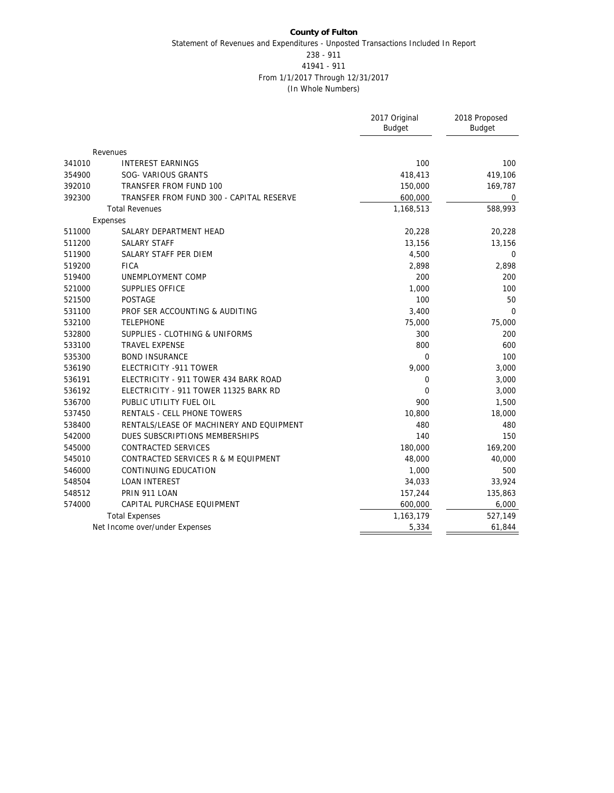## **County of Fulton** Statement of Revenues and Expenditures - Unposted Transactions Included In Report 238 - 911 41941 - 911 From 1/1/2017 Through 12/31/2017

(In Whole Numbers)

|                                                    | 2017 Original<br><b>Budget</b> | 2018 Proposed<br><b>Budget</b> |
|----------------------------------------------------|--------------------------------|--------------------------------|
|                                                    |                                |                                |
| Revenues                                           |                                |                                |
| 341010<br><b>INTEREST EARNINGS</b>                 | 100                            | 100                            |
| 354900<br>SOG- VARIOUS GRANTS                      | 418,413                        | 419,106                        |
| 392010<br>TRANSFER FROM FUND 100                   | 150,000                        | 169,787                        |
| 392300<br>TRANSFER FROM FUND 300 - CAPITAL RESERVE | 600,000                        | $\mathbf 0$                    |
| <b>Total Revenues</b>                              | 1,168,513                      | 588,993                        |
| Expenses                                           |                                |                                |
| 511000<br>SALARY DEPARTMENT HEAD                   | 20,228                         | 20,228                         |
| 511200<br><b>SALARY STAFF</b>                      | 13,156                         | 13,156                         |
| 511900<br>SALARY STAFF PER DIEM                    | 4,500                          | $\mathbf 0$                    |
| <b>FICA</b><br>519200                              | 2,898                          | 2,898                          |
| UNEMPLOYMENT COMP<br>519400                        | 200                            | 200                            |
| 521000<br>SUPPLIES OFFICE                          | 1,000                          | 100                            |
| 521500<br><b>POSTAGE</b>                           | 100                            | 50                             |
| 531100<br>PROF SER ACCOUNTING & AUDITING           | 3,400                          | $\mathbf 0$                    |
| <b>TELEPHONE</b><br>532100                         | 75,000                         | 75,000                         |
| 532800<br>SUPPLIES - CLOTHING & UNIFORMS           | 300                            | 200                            |
| 533100<br><b>TRAVEL EXPENSE</b>                    | 800                            | 600                            |
| <b>BOND INSURANCE</b><br>535300                    | $\overline{0}$                 | 100                            |
| 536190<br>ELECTRICITY -911 TOWER                   | 9,000                          | 3,000                          |
| 536191<br>ELECTRICITY - 911 TOWER 434 BARK ROAD    | 0                              | 3,000                          |
| 536192<br>ELECTRICITY - 911 TOWER 11325 BARK RD    | 0                              | 3,000                          |
| 536700<br>PUBLIC UTILITY FUEL OIL                  | 900                            | 1,500                          |
| 537450<br>RENTALS - CELL PHONE TOWERS              | 10,800                         | 18,000                         |
| 538400<br>RENTALS/LEASE OF MACHINERY AND EQUIPMENT | 480                            | 480                            |
| 542000<br>DUES SUBSCRIPTIONS MEMBERSHIPS           | 140                            | 150                            |
| 545000<br>CONTRACTED SERVICES                      | 180,000                        | 169,200                        |
| 545010<br>CONTRACTED SERVICES R & M EQUIPMENT      | 48,000                         | 40,000                         |
| 546000<br>CONTINUING EDUCATION                     | 1,000                          | 500                            |
| 548504<br><b>LOAN INTEREST</b>                     | 34,033                         | 33,924                         |
| 548512<br>PRIN 911 LOAN                            | 157,244                        | 135,863                        |
| 574000<br>CAPITAL PURCHASE EQUIPMENT               | 600,000                        | 6,000                          |
| <b>Total Expenses</b>                              | 1,163,179                      | 527,149                        |
| Net Income over/under Expenses                     | 5,334                          | 61,844                         |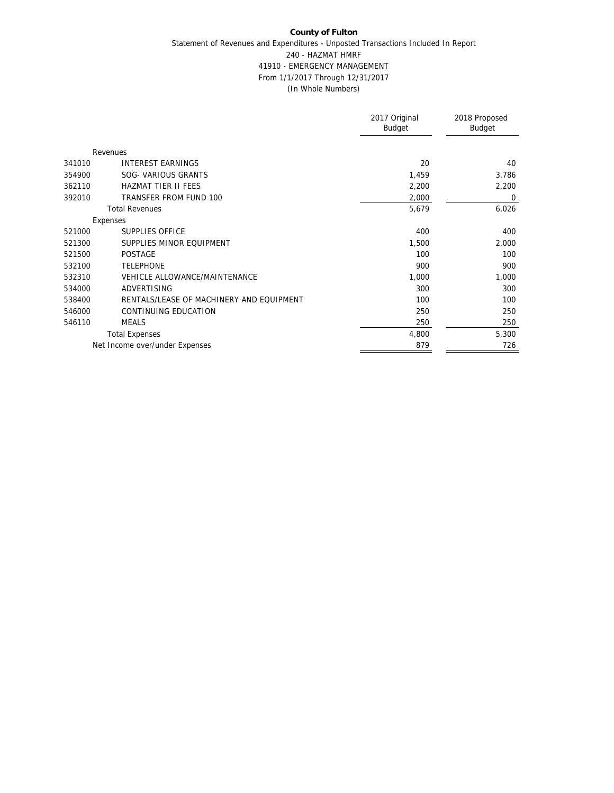## **County of Fulton** Statement of Revenues and Expenditures - Unposted Transactions Included In Report 240 - HAZMAT HMRF 41910 - EMERGENCY MANAGEMENT From 1/1/2017 Through 12/31/2017 (In Whole Numbers)

|                                                    | 2017 Original<br>Budget | 2018 Proposed<br>Budget |
|----------------------------------------------------|-------------------------|-------------------------|
| Revenues                                           |                         |                         |
| <b>INTEREST EARNINGS</b><br>341010                 | 20                      | 40                      |
| SOG- VARIOUS GRANTS<br>354900                      | 1,459                   | 3,786                   |
| <b>HAZMAT TIER II FEES</b><br>362110               | 2,200                   | 2,200                   |
| TRANSFER FROM FUND 100<br>392010                   | 2,000                   | 0                       |
| <b>Total Revenues</b>                              | 5,679                   | 6,026                   |
| Expenses                                           |                         |                         |
| SUPPLIES OFFICE<br>521000                          | 400                     | 400                     |
| 521300<br>SUPPLIES MINOR EQUIPMENT                 | 1,500                   | 2,000                   |
| 521500<br><b>POSTAGE</b>                           | 100                     | 100                     |
| 532100<br><b>TELEPHONE</b>                         | 900                     | 900                     |
| VEHICLE ALLOWANCE/MAINTENANCE<br>532310            | 1,000                   | 1,000                   |
| ADVERTISING<br>534000                              | 300                     | 300                     |
| RENTALS/LEASE OF MACHINERY AND EQUIPMENT<br>538400 | 100                     | 100                     |
| 546000<br>CONTINUING EDUCATION                     | 250                     | 250                     |
| 546110<br><b>MEALS</b>                             | 250                     | 250                     |
| <b>Total Expenses</b>                              | 4,800                   | 5,300                   |
| Net Income over/under Expenses                     | 879                     | 726                     |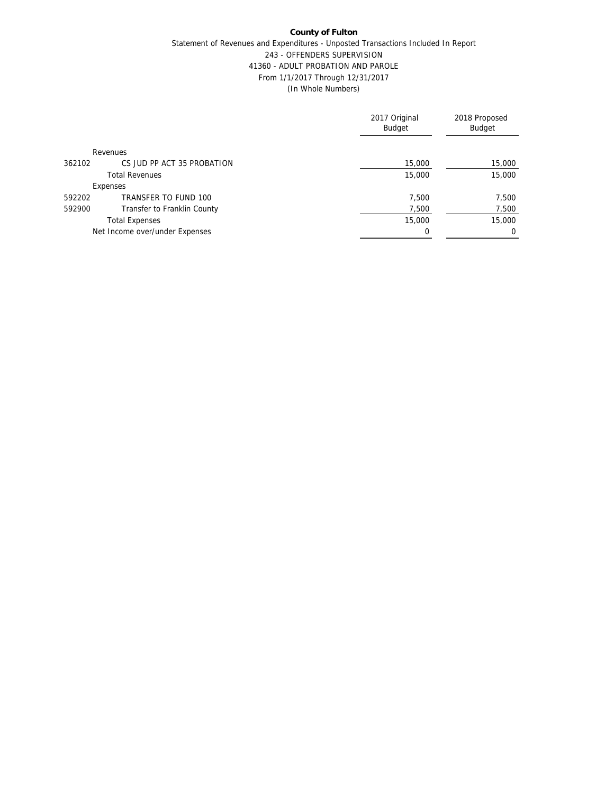## **County of Fulton** Statement of Revenues and Expenditures - Unposted Transactions Included In Report 243 - OFFENDERS SUPERVISION 41360 - ADULT PROBATION AND PAROLE From 1/1/2017 Through 12/31/2017

(In Whole Numbers)

|        |                                | 2017 Original<br>Budget | 2018 Proposed<br>Budget |
|--------|--------------------------------|-------------------------|-------------------------|
|        | Revenues                       |                         |                         |
| 362102 | CS JUD PP ACT 35 PROBATION     | 15,000                  | 15,000                  |
|        | <b>Total Revenues</b>          | 15,000                  | 15,000                  |
|        | Expenses                       |                         |                         |
| 592202 | TRANSFER TO FUND 100           | 7.500                   | 7,500                   |
| 592900 | Transfer to Franklin County    | 7,500                   | 7,500                   |
|        | <b>Total Expenses</b>          | 15,000                  | 15,000                  |
|        | Net Income over/under Expenses | 0                       |                         |
|        |                                |                         |                         |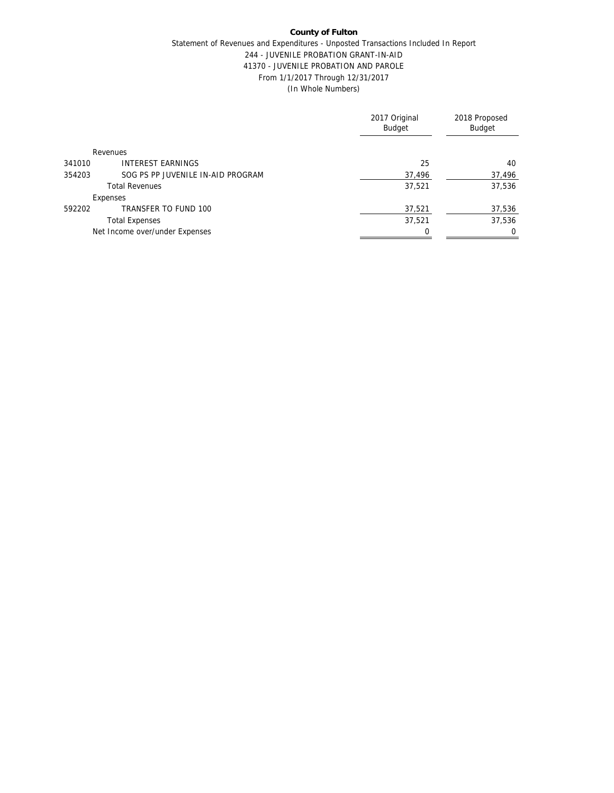# Statement of Revenues and Expenditures - Unposted Transactions Included In Report 244 - JUVENILE PROBATION GRANT-IN-AID 41370 - JUVENILE PROBATION AND PAROLE From 1/1/2017 Through 12/31/2017 (In Whole Numbers)

|        |                                   | 2017 Original<br><b>Budget</b> | 2018 Proposed<br>Budget |
|--------|-----------------------------------|--------------------------------|-------------------------|
|        | Revenues                          |                                |                         |
| 341010 | <b>INTEREST EARNINGS</b>          | 25                             | 40                      |
| 354203 | SOG PS PP JUVENILE IN-AID PROGRAM | 37,496                         | 37,496                  |
|        | <b>Total Revenues</b>             | 37,521                         | 37,536                  |
|        | Expenses                          |                                |                         |
| 592202 | TRANSFER TO FUND 100              | 37,521                         | 37,536                  |
|        | <b>Total Expenses</b>             | 37,521                         | 37,536                  |
|        | Net Income over/under Expenses    |                                | $\Omega$                |
|        |                                   |                                |                         |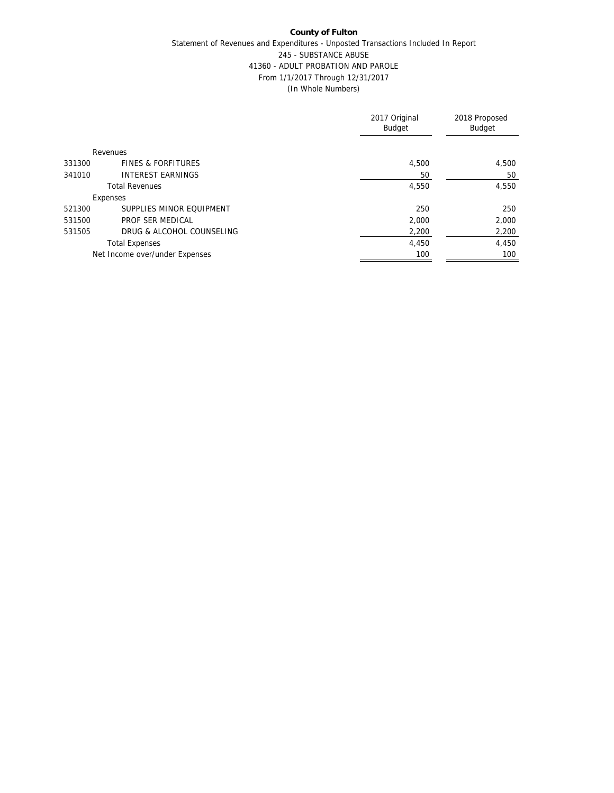## **County of Fulton** Statement of Revenues and Expenditures - Unposted Transactions Included In Report 245 - SUBSTANCE ABUSE 41360 - ADULT PROBATION AND PAROLE From 1/1/2017 Through 12/31/2017 (In Whole Numbers)

|        |                                | 2017 Original<br><b>Budget</b> | 2018 Proposed<br>Budget |
|--------|--------------------------------|--------------------------------|-------------------------|
|        | Revenues                       |                                |                         |
| 331300 | <b>FINES &amp; FORFITURES</b>  | 4,500                          | 4,500                   |
| 341010 | <b>INTEREST EARNINGS</b>       | 50                             | 50                      |
|        | <b>Total Revenues</b>          | 4,550                          | 4,550                   |
|        | Expenses                       |                                |                         |
| 521300 | SUPPLIES MINOR FOUIPMENT       | 250                            | 250                     |
| 531500 | PROF SER MEDICAL               | 2.000                          | 2,000                   |
| 531505 | DRUG & ALCOHOL COUNSELING      | 2,200                          | 2,200                   |
|        | <b>Total Expenses</b>          | 4,450                          | 4,450                   |
|        | Net Income over/under Expenses | 100                            | 100                     |
|        |                                |                                |                         |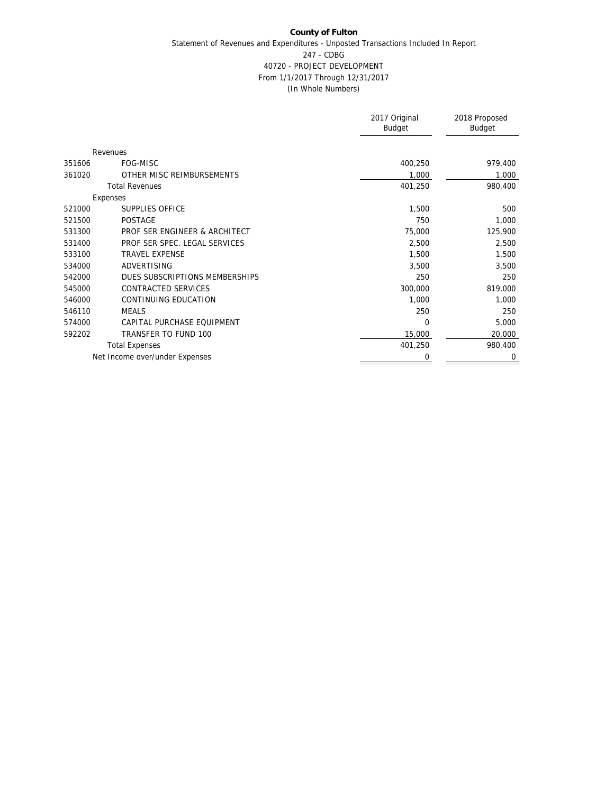# **County of Fulton** Statement of Revenues and Expenditures - Unposted Transactions Included In Report 247 - CDBG 40720 - PROJECT DEVELOPMENT From 1/1/2017 Through 12/31/2017 (In Whole Numbers)

|        |                                | 2017 Original<br>Budget | 2018 Proposed<br>Budget |
|--------|--------------------------------|-------------------------|-------------------------|
|        | Revenues                       |                         |                         |
| 351606 | FOG-MISC                       | 400,250                 | 979,400                 |
| 361020 | OTHER MISC REIMBURSEMENTS      | 1,000                   | 1,000                   |
|        | <b>Total Revenues</b>          | 401,250                 | 980,400                 |
|        | Expenses                       |                         |                         |
| 521000 | SUPPLIES OFFICE                | 1,500                   | 500                     |
| 521500 | <b>POSTAGE</b>                 | 750                     | 1,000                   |
| 531300 | PROF SER ENGINEER & ARCHITECT  | 75,000                  | 125,900                 |
| 531400 | PROF SER SPEC. LEGAL SERVICES  | 2,500                   | 2,500                   |
| 533100 | <b>TRAVEL EXPENSE</b>          | 1,500                   | 1,500                   |
| 534000 | <b>ADVERTISING</b>             | 3,500                   | 3,500                   |
| 542000 | DUES SUBSCRIPTIONS MEMBERSHIPS | 250                     | 250                     |
| 545000 | CONTRACTED SERVICES            | 300,000                 | 819,000                 |
| 546000 | CONTINUING EDUCATION           | 1,000                   | 1,000                   |
| 546110 | <b>MEALS</b>                   | 250                     | 250                     |
| 574000 | CAPITAL PURCHASE EQUIPMENT     | $\Omega$                | 5,000                   |
| 592202 | TRANSFER TO FUND 100           | 15,000                  | 20,000                  |
|        | <b>Total Expenses</b>          | 401,250                 | 980,400                 |
|        | Net Income over/under Expenses | 0                       | 0                       |
|        |                                |                         |                         |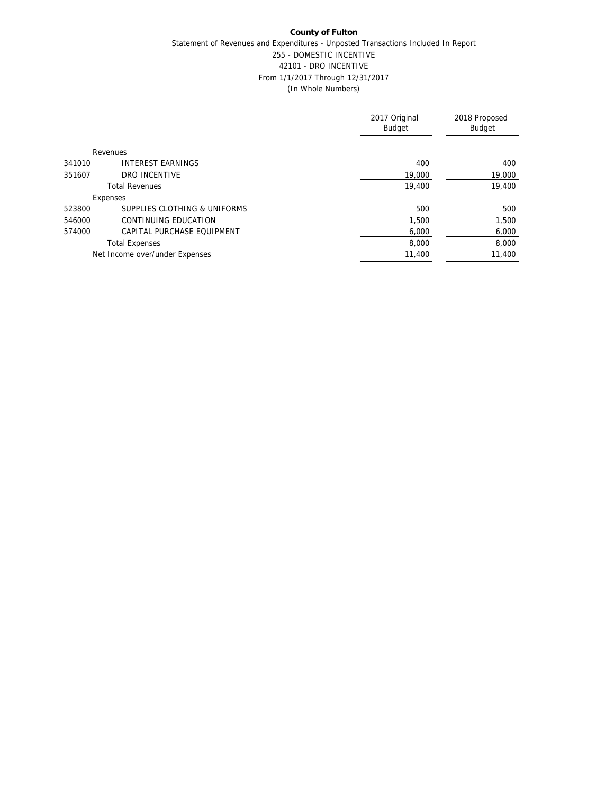# **County of Fulton** Statement of Revenues and Expenditures - Unposted Transactions Included In Report 255 - DOMESTIC INCENTIVE 42101 - DRO INCENTIVE From 1/1/2017 Through 12/31/2017 (In Whole Numbers)

| 2017 Original<br><b>Budget</b> | 2018 Proposed<br>Budget |
|--------------------------------|-------------------------|
|                                |                         |
| 400                            | 400                     |
| 19,000                         | 19,000                  |
| 19,400                         | 19,400                  |
|                                |                         |
| 500                            | 500                     |
| 1.500                          | 1,500                   |
| 6.000                          | 6,000                   |
| 8,000                          | 8.000                   |
| 11,400                         | 11,400                  |
|                                |                         |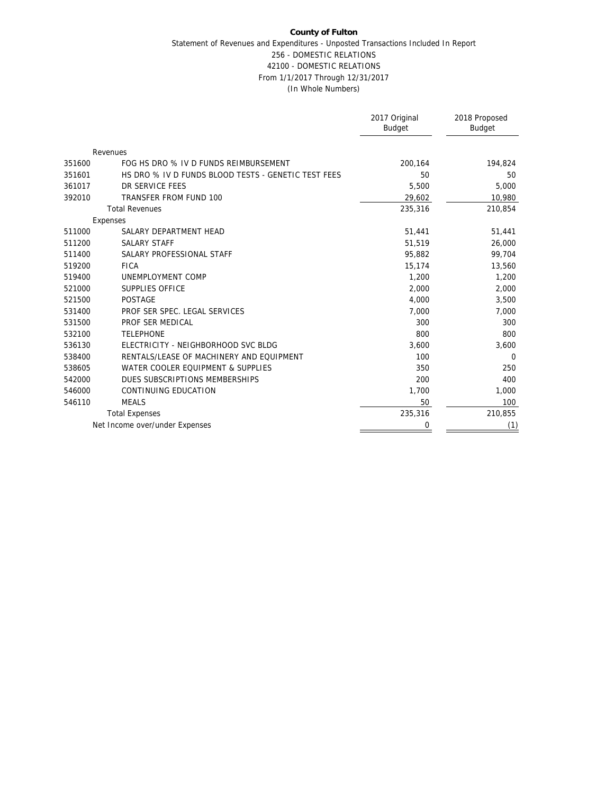## **County of Fulton** Statement of Revenues and Expenditures - Unposted Transactions Included In Report 256 - DOMESTIC RELATIONS 42100 - DOMESTIC RELATIONS From 1/1/2017 Through 12/31/2017 (In Whole Numbers)

|        |                                                     | 2017 Original<br><b>Budget</b> | 2018 Proposed<br>Budget |
|--------|-----------------------------------------------------|--------------------------------|-------------------------|
|        | Revenues                                            |                                |                         |
| 351600 | FOG HS DRO % IV D FUNDS REIMBURSEMENT               | 200,164                        | 194,824                 |
| 351601 | HS DRO % IV D FUNDS BLOOD TESTS - GENETIC TEST FEES | 50                             | 50                      |
| 361017 | DR SERVICE FEES                                     | 5,500                          | 5,000                   |
| 392010 | TRANSFER FROM FUND 100                              | 29,602                         | 10,980                  |
|        | <b>Total Revenues</b>                               | 235,316                        | 210,854                 |
|        | Expenses                                            |                                |                         |
| 511000 | SALARY DEPARTMENT HEAD                              | 51,441                         | 51,441                  |
| 511200 | <b>SALARY STAFF</b>                                 | 51,519                         | 26,000                  |
| 511400 | SALARY PROFESSIONAL STAFF                           | 95,882                         | 99,704                  |
| 519200 | <b>FICA</b>                                         | 15,174                         | 13,560                  |
| 519400 | UNEMPLOYMENT COMP                                   | 1,200                          | 1,200                   |
| 521000 | SUPPLIES OFFICE                                     | 2,000                          | 2,000                   |
| 521500 | <b>POSTAGE</b>                                      | 4,000                          | 3,500                   |
| 531400 | PROF SER SPEC. LEGAL SERVICES                       | 7,000                          | 7,000                   |
| 531500 | PROF SER MEDICAL                                    | 300                            | 300                     |
| 532100 | <b>TELEPHONE</b>                                    | 800                            | 800                     |
| 536130 | ELECTRICITY - NEIGHBORHOOD SVC BLDG                 | 3.600                          | 3,600                   |
| 538400 | RENTALS/LEASE OF MACHINERY AND EQUIPMENT            | 100                            | $\Omega$                |
| 538605 | WATER COOLER EQUIPMENT & SUPPLIES                   | 350                            | 250                     |
| 542000 | DUES SUBSCRIPTIONS MEMBERSHIPS                      | 200                            | 400                     |
| 546000 | CONTINUING EDUCATION                                | 1,700                          | 1,000                   |
| 546110 | <b>MEALS</b>                                        | 50                             | 100                     |
|        | <b>Total Expenses</b>                               | 235,316                        | 210,855                 |
|        | Net Income over/under Expenses                      | 0                              | (1)                     |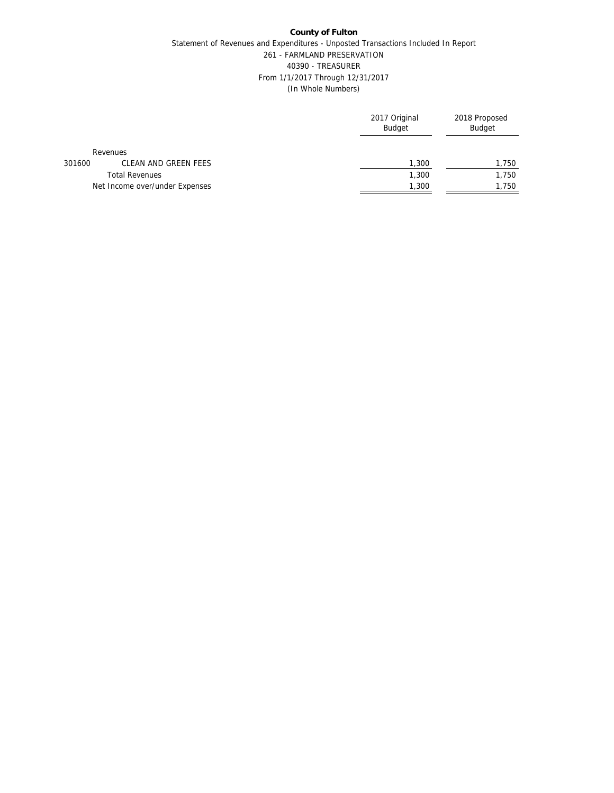## **County of Fulton** Statement of Revenues and Expenditures - Unposted Transactions Included In Report 261 - FARMLAND PRESERVATION 40390 - TREASURER From 1/1/2017 Through 12/31/2017 (In Whole Numbers)

|        |                                | 2017 Original<br><b>Budget</b> | 2018 Proposed<br>Budget |
|--------|--------------------------------|--------------------------------|-------------------------|
|        | Revenues                       |                                |                         |
| 301600 | CLEAN AND GREEN FEES           | 1,300                          | 1,750                   |
|        | <b>Total Revenues</b>          | 1,300                          | 1,750                   |
|        | Net Income over/under Expenses | 1,300                          | 1,750                   |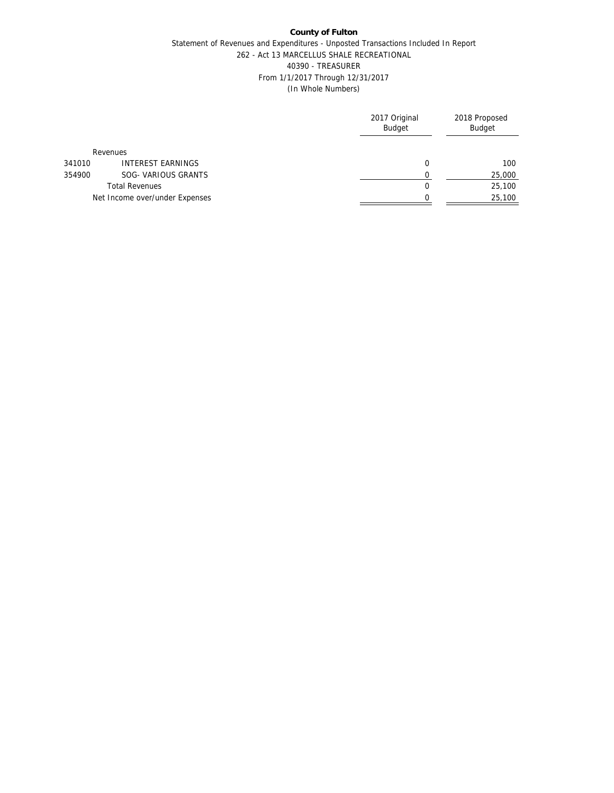### Statement of Revenues and Expenditures - Unposted Transactions Included In Report 262 - Act 13 MARCELLUS SHALE RECREATIONAL 40390 - TREASURER From 1/1/2017 Through 12/31/2017 (In Whole Numbers)

|        |                                | 2017 Original<br><b>Budget</b> | 2018 Proposed<br>Budget |
|--------|--------------------------------|--------------------------------|-------------------------|
|        | Revenues                       |                                |                         |
| 341010 | <b>INTEREST EARNINGS</b>       | 0                              | 100                     |
| 354900 | SOG- VARIOUS GRANTS            |                                | 25,000                  |
|        | <b>Total Revenues</b>          | 0                              | 25,100                  |
|        | Net Income over/under Expenses |                                | 25,100                  |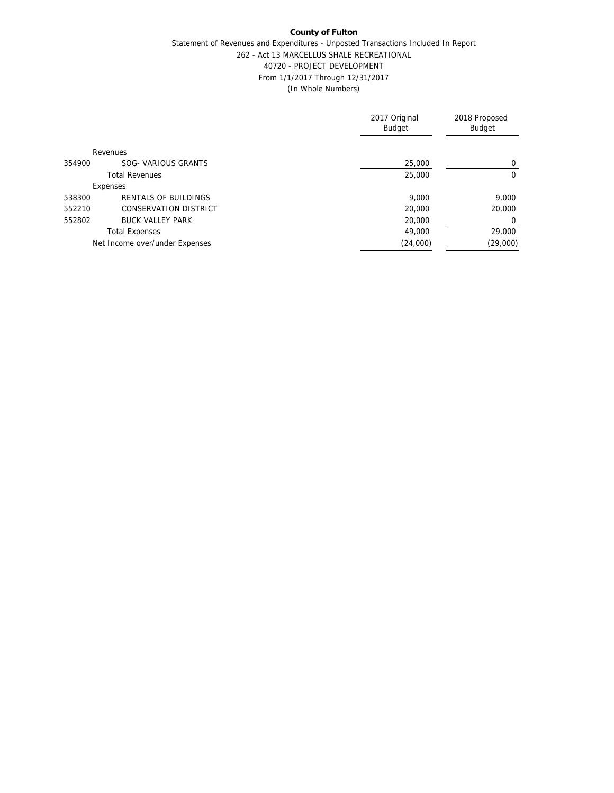## Statement of Revenues and Expenditures - Unposted Transactions Included In Report 262 - Act 13 MARCELLUS SHALE RECREATIONAL 40720 - PROJECT DEVELOPMENT From 1/1/2017 Through 12/31/2017 (In Whole Numbers)

|        |                                | 2017 Original<br><b>Budget</b> | 2018 Proposed<br>Budget |
|--------|--------------------------------|--------------------------------|-------------------------|
|        | Revenues                       |                                |                         |
| 354900 | SOG- VARIOUS GRANTS            | 25,000                         | 0                       |
|        | <b>Total Revenues</b>          | 25,000                         | 0                       |
|        | Expenses                       |                                |                         |
| 538300 | <b>RENTALS OF BUILDINGS</b>    | 9.000                          | 9,000                   |
| 552210 | <b>CONSERVATION DISTRICT</b>   | 20,000                         | 20,000                  |
| 552802 | <b>BUCK VALLEY PARK</b>        | 20,000                         | 0                       |
|        | <b>Total Expenses</b>          | 49,000                         | 29,000                  |
|        | Net Income over/under Expenses | (24,000)                       | (29,000)                |
|        |                                |                                |                         |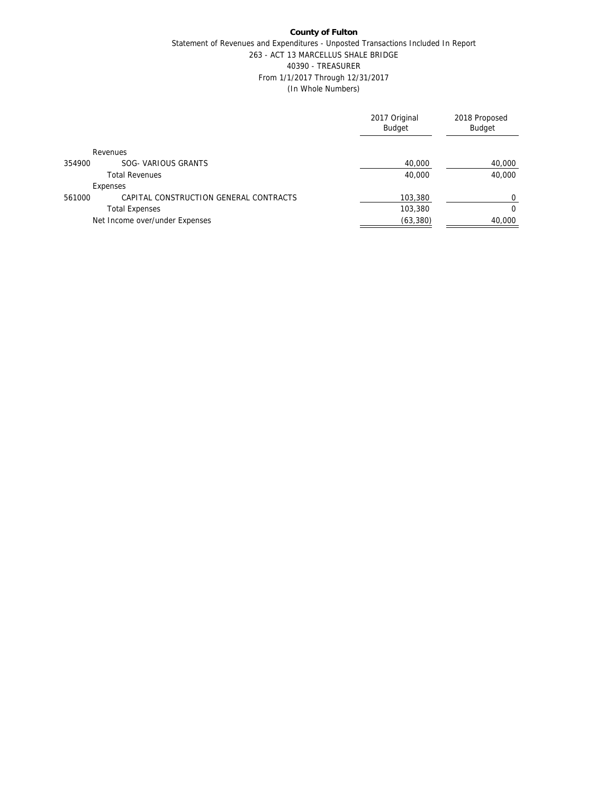### **County of Fulton** Statement of Revenues and Expenditures - Unposted Transactions Included In Report 263 - ACT 13 MARCELLUS SHALE BRIDGE 40390 - TREASURER From 1/1/2017 Through 12/31/2017 (In Whole Numbers)

|                                                  | 2017 Original<br><b>Budget</b> | 2018 Proposed<br>Budget |
|--------------------------------------------------|--------------------------------|-------------------------|
| <b>Revenues</b>                                  |                                |                         |
| SOG- VARIOUS GRANTS<br>354900                    | 40,000                         | 40,000                  |
| <b>Total Revenues</b>                            | 40,000                         | 40,000                  |
| Expenses                                         |                                |                         |
| CAPITAL CONSTRUCTION GENERAL CONTRACTS<br>561000 | 103,380                        | $\Omega$                |
| <b>Total Expenses</b>                            | 103,380                        | $\Omega$                |
| Net Income over/under Expenses                   | (63, 380)                      | 40,000                  |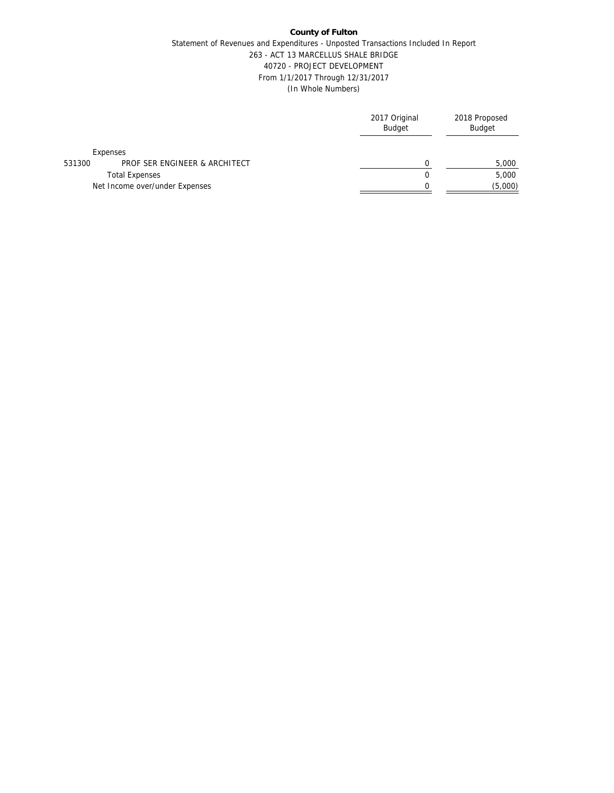### **County of Fulton** Statement of Revenues and Expenditures - Unposted Transactions Included In Report 263 - ACT 13 MARCELLUS SHALE BRIDGE 40720 - PROJECT DEVELOPMENT From 1/1/2017 Through 12/31/2017 (In Whole Numbers)

|        |                                | 2017 Original<br><b>Budget</b> | 2018 Proposed<br>Budget |
|--------|--------------------------------|--------------------------------|-------------------------|
|        | Expenses                       |                                |                         |
| 531300 | PROF SER ENGINEER & ARCHITECT  |                                | 5,000                   |
|        | <b>Total Expenses</b>          | 0                              | 5,000                   |
|        | Net Income over/under Expenses |                                | (5,000)                 |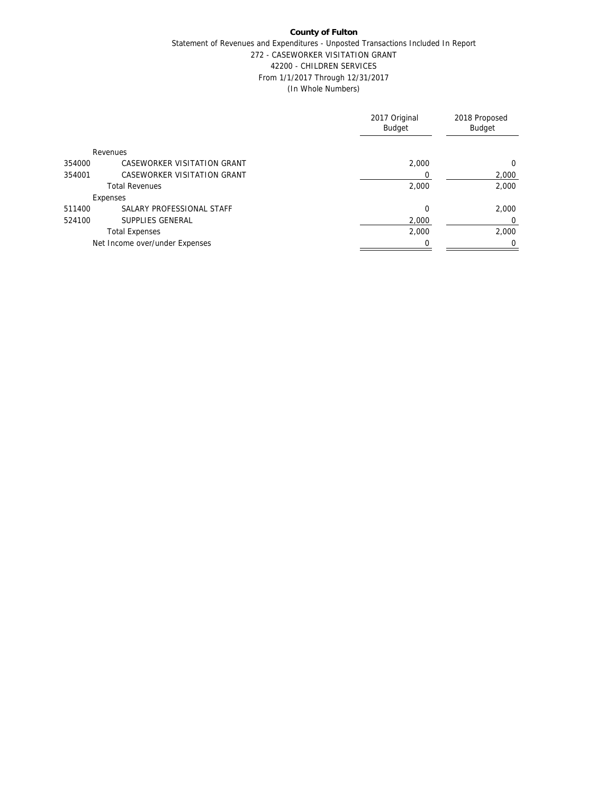## Statement of Revenues and Expenditures - Unposted Transactions Included In Report 272 - CASEWORKER VISITATION GRANT 42200 - CHILDREN SERVICES From 1/1/2017 Through 12/31/2017 (In Whole Numbers)

|                                       | 2017 Original<br><b>Budget</b> | 2018 Proposed<br>Budget |
|---------------------------------------|--------------------------------|-------------------------|
| Revenues                              |                                |                         |
| CASEWORKER VISITATION GRANT<br>354000 | 2.000                          | $\Omega$                |
| CASEWORKER VISITATION GRANT<br>354001 |                                | 2,000                   |
| <b>Total Revenues</b>                 | 2,000                          | 2,000                   |
| Expenses                              |                                |                         |
| SALARY PROFESSIONAL STAFF<br>511400   | $\Omega$                       | 2.000                   |
| SUPPLIES GENERAL<br>524100            | 2.000                          | $\mathbf 0$             |
| <b>Total Expenses</b>                 | 2,000                          | 2.000                   |
| Net Income over/under Expenses        |                                | $\Omega$                |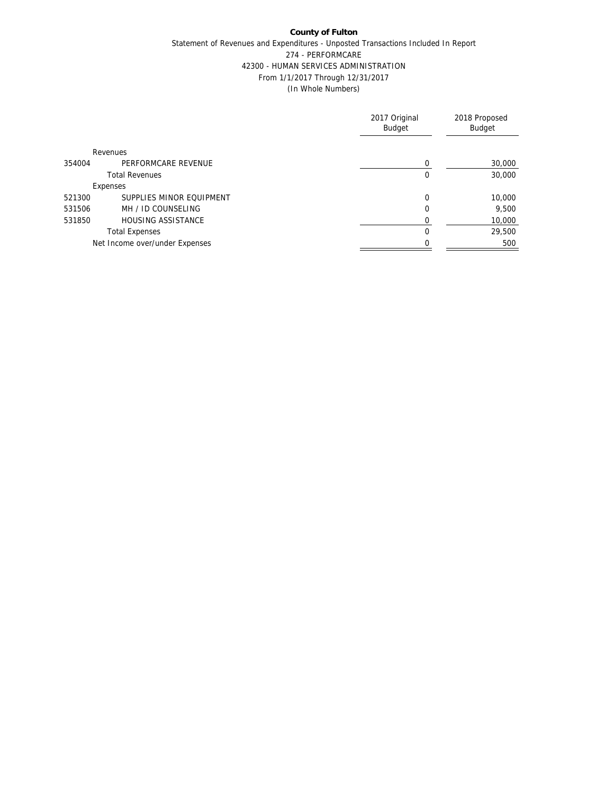# **County of Fulton** Statement of Revenues and Expenditures - Unposted Transactions Included In Report 274 - PERFORMCARE 42300 - HUMAN SERVICES ADMINISTRATION From 1/1/2017 Through 12/31/2017 (In Whole Numbers)

|        |                                | 2017 Original<br><b>Budget</b> | 2018 Proposed<br>Budget |
|--------|--------------------------------|--------------------------------|-------------------------|
|        | Revenues                       |                                |                         |
| 354004 | PERFORMCARE REVENUE            |                                | 30,000                  |
|        | <b>Total Revenues</b>          | 0                              | 30,000                  |
|        | Expenses                       |                                |                         |
| 521300 | SUPPLIES MINOR EQUIPMENT       | $\Omega$                       | 10,000                  |
| 531506 | MH / ID COUNSELING             | 0                              | 9,500                   |
| 531850 | <b>HOUSING ASSISTANCE</b>      |                                | 10,000                  |
|        | <b>Total Expenses</b>          | 0                              | 29,500                  |
|        | Net Income over/under Expenses |                                | 500                     |
|        |                                |                                |                         |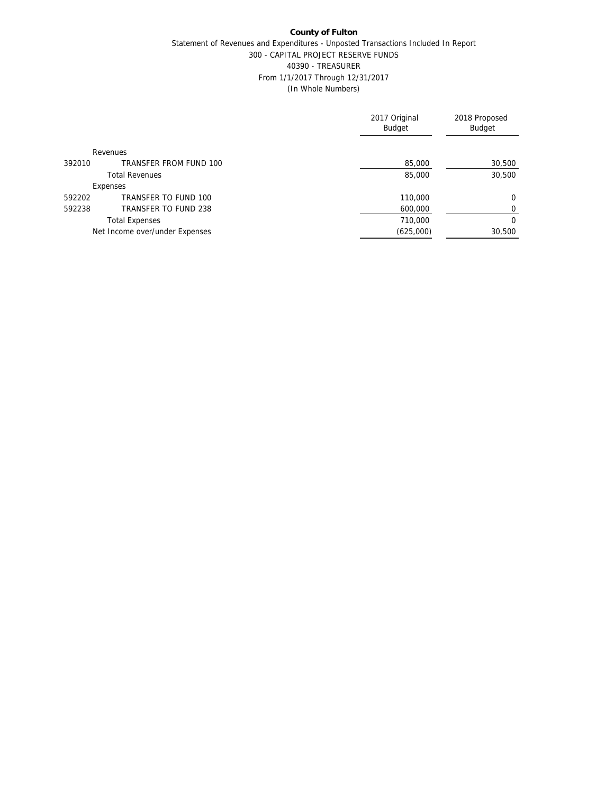### **County of Fulton** Statement of Revenues and Expenditures - Unposted Transactions Included In Report 300 - CAPITAL PROJECT RESERVE FUNDS 40390 - TREASURER From 1/1/2017 Through 12/31/2017 (In Whole Numbers)

|        |                                | 2017 Original<br><b>Budget</b> | 2018 Proposed<br>Budget |
|--------|--------------------------------|--------------------------------|-------------------------|
|        | Revenues                       |                                |                         |
| 392010 | TRANSFER FROM FUND 100         | 85,000                         | 30,500                  |
|        | <b>Total Revenues</b>          | 85,000                         | 30,500                  |
|        | Expenses                       |                                |                         |
| 592202 | TRANSFER TO FUND 100           | 110,000                        | 0                       |
| 592238 | TRANSFER TO FUND 238           | 600,000                        | 0                       |
|        | <b>Total Expenses</b>          | 710,000                        | $\Omega$                |
|        | Net Income over/under Expenses | (625,000)                      | 30,500                  |
|        |                                |                                |                         |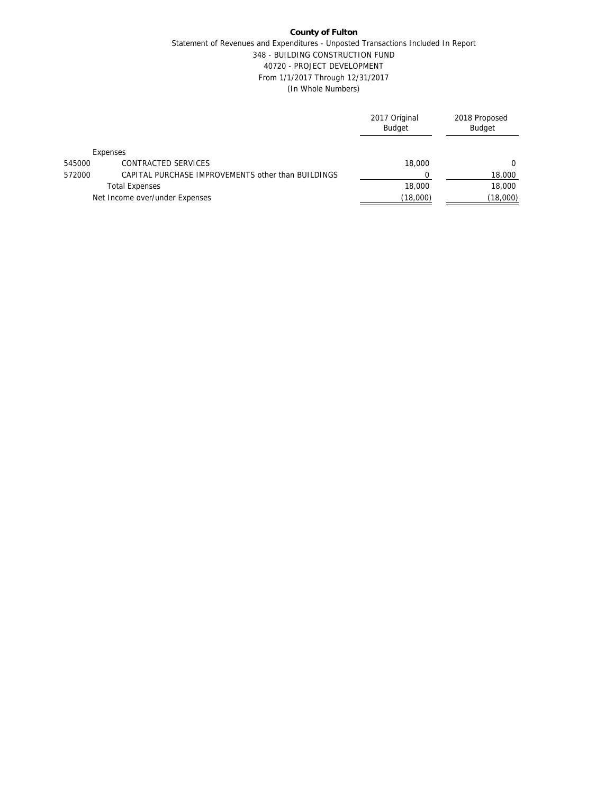### **County of Fulton** Statement of Revenues and Expenditures - Unposted Transactions Included In Report 348 - BUILDING CONSTRUCTION FUND 40720 - PROJECT DEVELOPMENT From 1/1/2017 Through 12/31/2017 (In Whole Numbers)

|        |                                                    | 2017 Original<br>Budget | 2018 Proposed<br>Budget |
|--------|----------------------------------------------------|-------------------------|-------------------------|
|        | Expenses                                           |                         |                         |
| 545000 | CONTRACTED SERVICES                                | 18,000                  | $\Omega$                |
| 572000 | CAPITAL PURCHASE IMPROVEMENTS other than BUILDINGS |                         | 18,000                  |
|        | <b>Total Expenses</b>                              | 18,000                  | 18,000                  |
|        | Net Income over/under Expenses                     | (18,000)                | (18,000)                |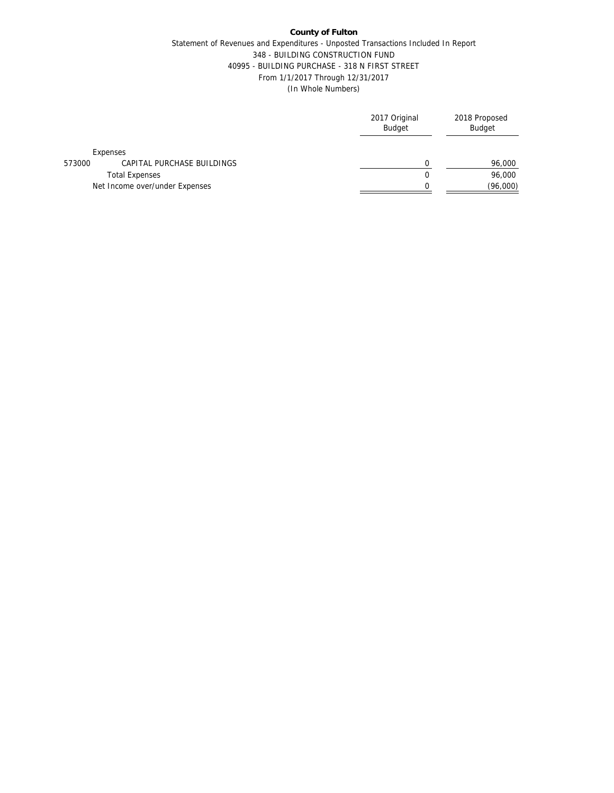## Statement of Revenues and Expenditures - Unposted Transactions Included In Report 348 - BUILDING CONSTRUCTION FUND 40995 - BUILDING PURCHASE - 318 N FIRST STREET From 1/1/2017 Through 12/31/2017 (In Whole Numbers)

|        |                                | 2017 Original<br>Budget | 2018 Proposed<br>Budget |
|--------|--------------------------------|-------------------------|-------------------------|
|        | Expenses                       |                         |                         |
| 573000 | CAPITAL PURCHASE BUILDINGS     |                         | 96,000                  |
|        | <b>Total Expenses</b>          | 0                       | 96,000                  |
|        | Net Income over/under Expenses |                         | (96,000)                |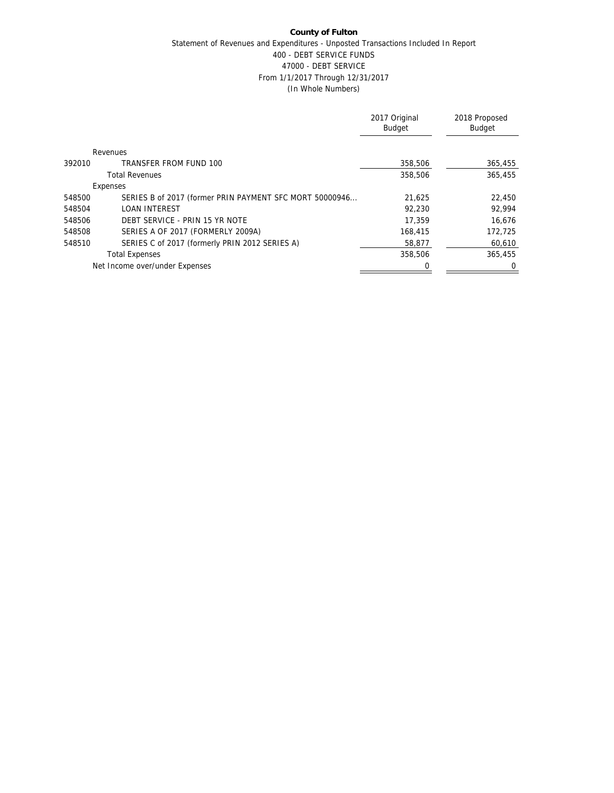## **County of Fulton** Statement of Revenues and Expenditures - Unposted Transactions Included In Report 400 - DEBT SERVICE FUNDS 47000 - DEBT SERVICE From 1/1/2017 Through 12/31/2017 (In Whole Numbers)

|        |                                                         | 2017 Original<br><b>Budget</b> | 2018 Proposed<br>Budget |
|--------|---------------------------------------------------------|--------------------------------|-------------------------|
|        | Revenues                                                |                                |                         |
| 392010 | TRANSFER FROM FUND 100                                  | 358,506                        | 365,455                 |
|        | <b>Total Revenues</b>                                   | 358,506                        | 365,455                 |
|        | Expenses                                                |                                |                         |
| 548500 | SERIES B of 2017 (former PRIN PAYMENT SFC MORT 50000946 | 21,625                         | 22,450                  |
| 548504 | <b>LOAN INTEREST</b>                                    | 92,230                         | 92,994                  |
| 548506 | DEBT SERVICE - PRIN 15 YR NOTE                          | 17,359                         | 16.676                  |
| 548508 | SERIES A OF 2017 (FORMERLY 2009A)                       | 168,415                        | 172,725                 |
| 548510 | SERIES C of 2017 (formerly PRIN 2012 SERIES A)          | 58,877                         | 60,610                  |
|        | <b>Total Expenses</b>                                   | 358,506                        | 365,455                 |
|        | Net Income over/under Expenses                          |                                | 0                       |
|        |                                                         |                                |                         |